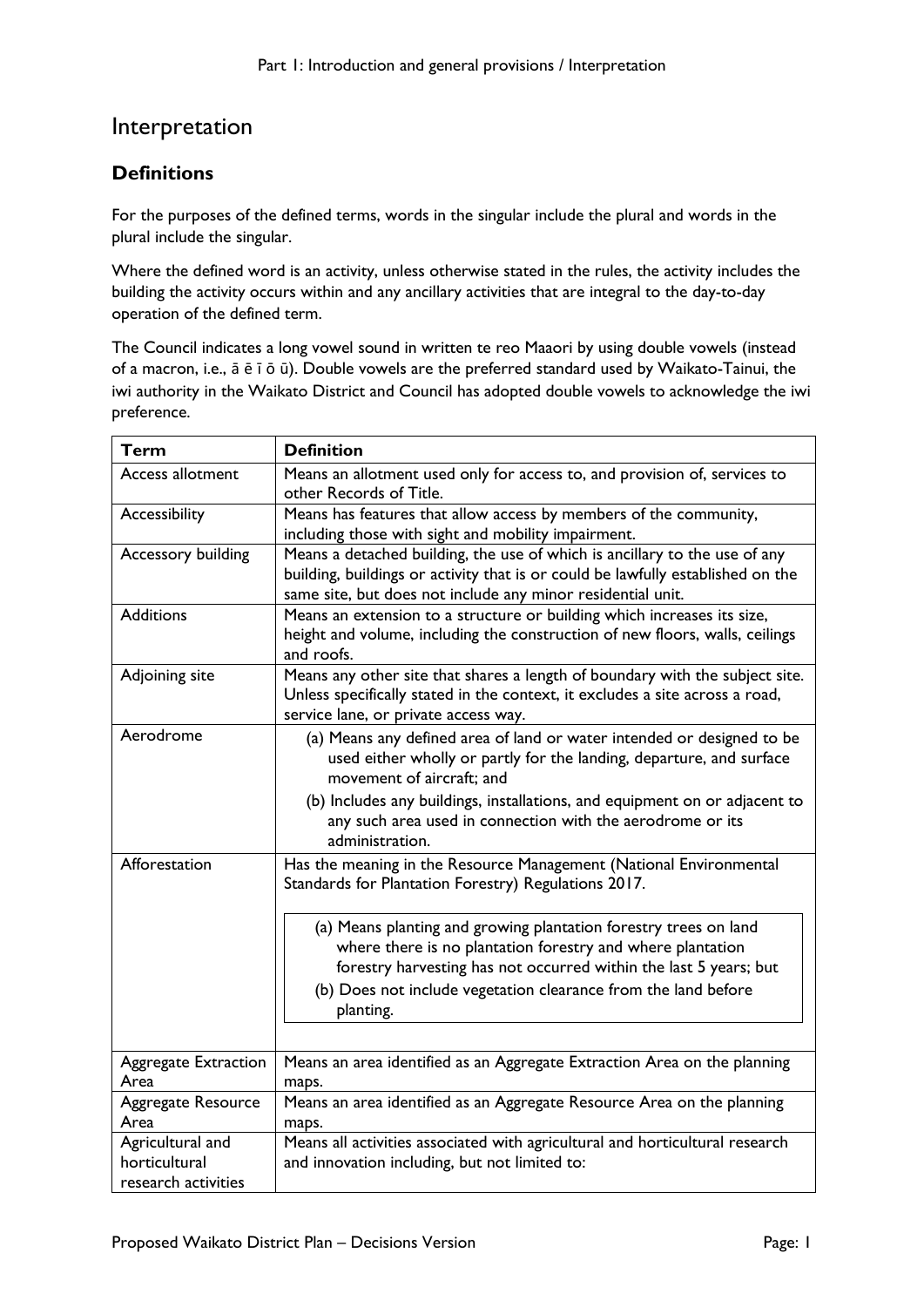## Interpretation

## **Definitions**

For the purposes of the defined terms, words in the singular include the plural and words in the plural include the singular.

Where the defined word is an activity, unless otherwise stated in the rules, the activity includes the building the activity occurs within and any ancillary activities that are integral to the day-to-day operation of the defined term.

The Council indicates a long vowel sound in written te reo Maaori by using double vowels (instead of a macron, i.e., ā ē ī ō ū). Double vowels are the preferred standard used by Waikato-Tainui, the iwi authority in the Waikato District and Council has adopted double vowels to acknowledge the iwi preference.

| Term                                                     | <b>Definition</b>                                                                                                                                                                                                            |
|----------------------------------------------------------|------------------------------------------------------------------------------------------------------------------------------------------------------------------------------------------------------------------------------|
| Access allotment                                         | Means an allotment used only for access to, and provision of, services to<br>other Records of Title.                                                                                                                         |
| Accessibility                                            | Means has features that allow access by members of the community,                                                                                                                                                            |
|                                                          | including those with sight and mobility impairment.                                                                                                                                                                          |
| Accessory building                                       | Means a detached building, the use of which is ancillary to the use of any<br>building, buildings or activity that is or could be lawfully established on the<br>same site, but does not include any minor residential unit. |
| <b>Additions</b>                                         | Means an extension to a structure or building which increases its size,<br>height and volume, including the construction of new floors, walls, ceilings<br>and roofs.                                                        |
| Adjoining site                                           | Means any other site that shares a length of boundary with the subject site.<br>Unless specifically stated in the context, it excludes a site across a road,<br>service lane, or private access way.                         |
| Aerodrome                                                | (a) Means any defined area of land or water intended or designed to be<br>used either wholly or partly for the landing, departure, and surface<br>movement of aircraft; and                                                  |
|                                                          | (b) Includes any buildings, installations, and equipment on or adjacent to<br>any such area used in connection with the aerodrome or its<br>administration.                                                                  |
| Afforestation                                            | Has the meaning in the Resource Management (National Environmental<br>Standards for Plantation Forestry) Regulations 2017.                                                                                                   |
|                                                          | (a) Means planting and growing plantation forestry trees on land<br>where there is no plantation forestry and where plantation<br>forestry harvesting has not occurred within the last 5 years; but                          |
|                                                          | (b) Does not include vegetation clearance from the land before<br>planting.                                                                                                                                                  |
|                                                          |                                                                                                                                                                                                                              |
| Aggregate Extraction<br>Area                             | Means an area identified as an Aggregate Extraction Area on the planning<br>maps.                                                                                                                                            |
| Aggregate Resource<br>Area                               | Means an area identified as an Aggregate Resource Area on the planning<br>maps.                                                                                                                                              |
| Agricultural and<br>horticultural<br>research activities | Means all activities associated with agricultural and horticultural research<br>and innovation including, but not limited to:                                                                                                |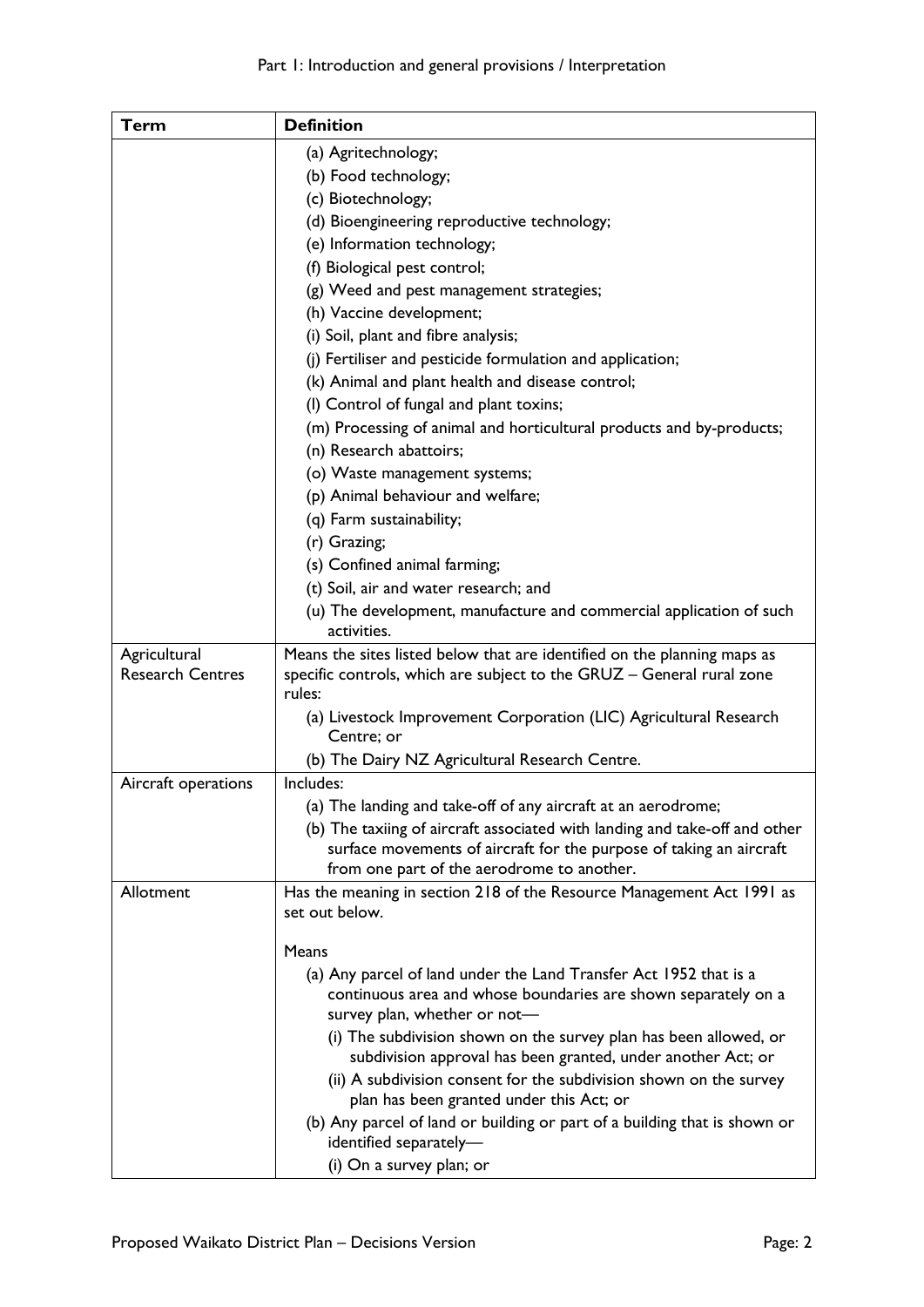## Part 1: Introduction and general provisions / Interpretation

| <b>Term</b>             | <b>Definition</b>                                                                                   |
|-------------------------|-----------------------------------------------------------------------------------------------------|
|                         | (a) Agritechnology;                                                                                 |
|                         | (b) Food technology;                                                                                |
|                         | (c) Biotechnology;                                                                                  |
|                         | (d) Bioengineering reproductive technology;                                                         |
|                         | (e) Information technology;                                                                         |
|                         | (f) Biological pest control;                                                                        |
|                         | (g) Weed and pest management strategies;                                                            |
|                         | (h) Vaccine development;                                                                            |
|                         | (i) Soil, plant and fibre analysis;                                                                 |
|                         | (j) Fertiliser and pesticide formulation and application;                                           |
|                         | (k) Animal and plant health and disease control;                                                    |
|                         | (I) Control of fungal and plant toxins;                                                             |
|                         | (m) Processing of animal and horticultural products and by-products;                                |
|                         | (n) Research abattoirs;                                                                             |
|                         | (o) Waste management systems;                                                                       |
|                         | (p) Animal behaviour and welfare;                                                                   |
|                         | (q) Farm sustainability;                                                                            |
|                         | (r) Grazing;                                                                                        |
|                         | (s) Confined animal farming;                                                                        |
|                         | (t) Soil, air and water research; and                                                               |
|                         | (u) The development, manufacture and commercial application of such                                 |
|                         | activities.                                                                                         |
| Agricultural            | Means the sites listed below that are identified on the planning maps as                            |
| <b>Research Centres</b> | specific controls, which are subject to the GRUZ - General rural zone<br>rules:                     |
|                         | (a) Livestock Improvement Corporation (LIC) Agricultural Research                                   |
|                         | Centre; or                                                                                          |
|                         | (b) The Dairy NZ Agricultural Research Centre.                                                      |
| Aircraft operations     | Includes:                                                                                           |
|                         | (a) The landing and take-off of any aircraft at an aerodrome;                                       |
|                         | (b) The taxiing of aircraft associated with landing and take-off and other                          |
|                         | surface movements of aircraft for the purpose of taking an aircraft                                 |
|                         | from one part of the aerodrome to another.                                                          |
| Allotment               | Has the meaning in section 218 of the Resource Management Act 1991 as                               |
|                         | set out below.                                                                                      |
|                         | Means                                                                                               |
|                         | (a) Any parcel of land under the Land Transfer Act 1952 that is a                                   |
|                         | continuous area and whose boundaries are shown separately on a                                      |
|                         | survey plan, whether or not-                                                                        |
|                         | (i) The subdivision shown on the survey plan has been allowed, or                                   |
|                         | subdivision approval has been granted, under another Act; or                                        |
|                         | (ii) A subdivision consent for the subdivision shown on the survey                                  |
|                         | plan has been granted under this Act; or                                                            |
|                         | (b) Any parcel of land or building or part of a building that is shown or<br>identified separately- |
|                         | (i) On a survey plan; or                                                                            |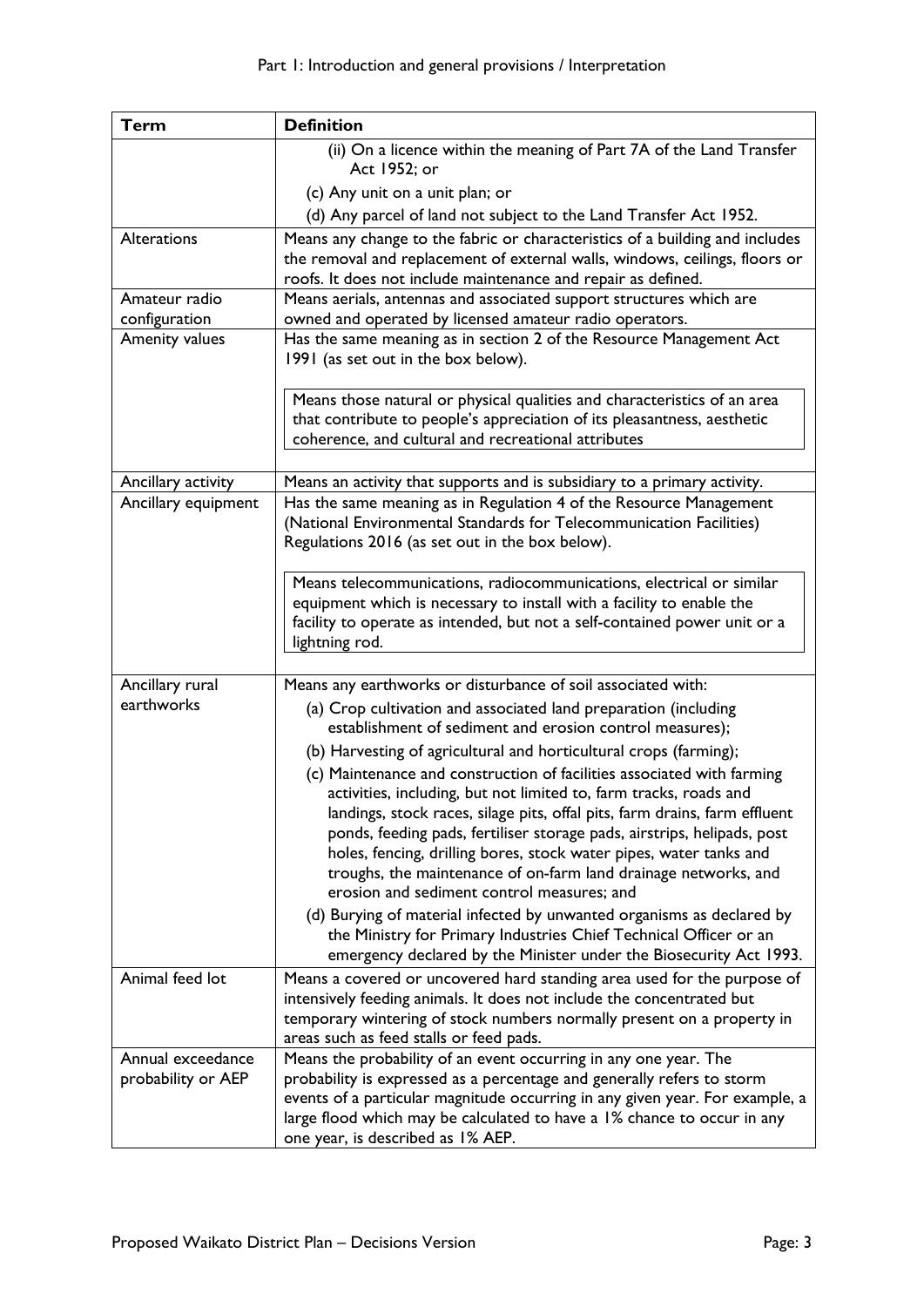| <b>Term</b>                             | <b>Definition</b>                                                                                                                                                                                                                                                                                                                                                                                                                                                                           |
|-----------------------------------------|---------------------------------------------------------------------------------------------------------------------------------------------------------------------------------------------------------------------------------------------------------------------------------------------------------------------------------------------------------------------------------------------------------------------------------------------------------------------------------------------|
|                                         | (ii) On a licence within the meaning of Part 7A of the Land Transfer<br>Act 1952; or                                                                                                                                                                                                                                                                                                                                                                                                        |
|                                         | (c) Any unit on a unit plan; or                                                                                                                                                                                                                                                                                                                                                                                                                                                             |
|                                         | (d) Any parcel of land not subject to the Land Transfer Act 1952.                                                                                                                                                                                                                                                                                                                                                                                                                           |
| Alterations                             | Means any change to the fabric or characteristics of a building and includes<br>the removal and replacement of external walls, windows, ceilings, floors or<br>roofs. It does not include maintenance and repair as defined.                                                                                                                                                                                                                                                                |
| Amateur radio                           | Means aerials, antennas and associated support structures which are                                                                                                                                                                                                                                                                                                                                                                                                                         |
| configuration                           | owned and operated by licensed amateur radio operators.                                                                                                                                                                                                                                                                                                                                                                                                                                     |
| Amenity values                          | Has the same meaning as in section 2 of the Resource Management Act<br>1991 (as set out in the box below).                                                                                                                                                                                                                                                                                                                                                                                  |
|                                         | Means those natural or physical qualities and characteristics of an area<br>that contribute to people's appreciation of its pleasantness, aesthetic<br>coherence, and cultural and recreational attributes                                                                                                                                                                                                                                                                                  |
| Ancillary activity                      | Means an activity that supports and is subsidiary to a primary activity.                                                                                                                                                                                                                                                                                                                                                                                                                    |
| Ancillary equipment                     | Has the same meaning as in Regulation 4 of the Resource Management<br>(National Environmental Standards for Telecommunication Facilities)<br>Regulations 2016 (as set out in the box below).                                                                                                                                                                                                                                                                                                |
|                                         | Means telecommunications, radiocommunications, electrical or similar<br>equipment which is necessary to install with a facility to enable the<br>facility to operate as intended, but not a self-contained power unit or a<br>lightning rod.                                                                                                                                                                                                                                                |
| Ancillary rural                         | Means any earthworks or disturbance of soil associated with:                                                                                                                                                                                                                                                                                                                                                                                                                                |
| earthworks                              | (a) Crop cultivation and associated land preparation (including<br>establishment of sediment and erosion control measures);<br>(b) Harvesting of agricultural and horticultural crops (farming);                                                                                                                                                                                                                                                                                            |
|                                         | (c) Maintenance and construction of facilities associated with farming<br>activities, including, but not limited to, farm tracks, roads and<br>landings, stock races, silage pits, offal pits, farm drains, farm effluent<br>ponds, feeding pads, fertiliser storage pads, airstrips, helipads, post<br>holes, fencing, drilling bores, stock water pipes, water tanks and<br>troughs, the maintenance of on-farm land drainage networks, and<br>erosion and sediment control measures; and |
|                                         | (d) Burying of material infected by unwanted organisms as declared by<br>the Ministry for Primary Industries Chief Technical Officer or an<br>emergency declared by the Minister under the Biosecurity Act 1993.                                                                                                                                                                                                                                                                            |
| Animal feed lot                         | Means a covered or uncovered hard standing area used for the purpose of<br>intensively feeding animals. It does not include the concentrated but<br>temporary wintering of stock numbers normally present on a property in<br>areas such as feed stalls or feed pads.                                                                                                                                                                                                                       |
| Annual exceedance<br>probability or AEP | Means the probability of an event occurring in any one year. The<br>probability is expressed as a percentage and generally refers to storm<br>events of a particular magnitude occurring in any given year. For example, a<br>large flood which may be calculated to have a 1% chance to occur in any<br>one year, is described as 1% AEP.                                                                                                                                                  |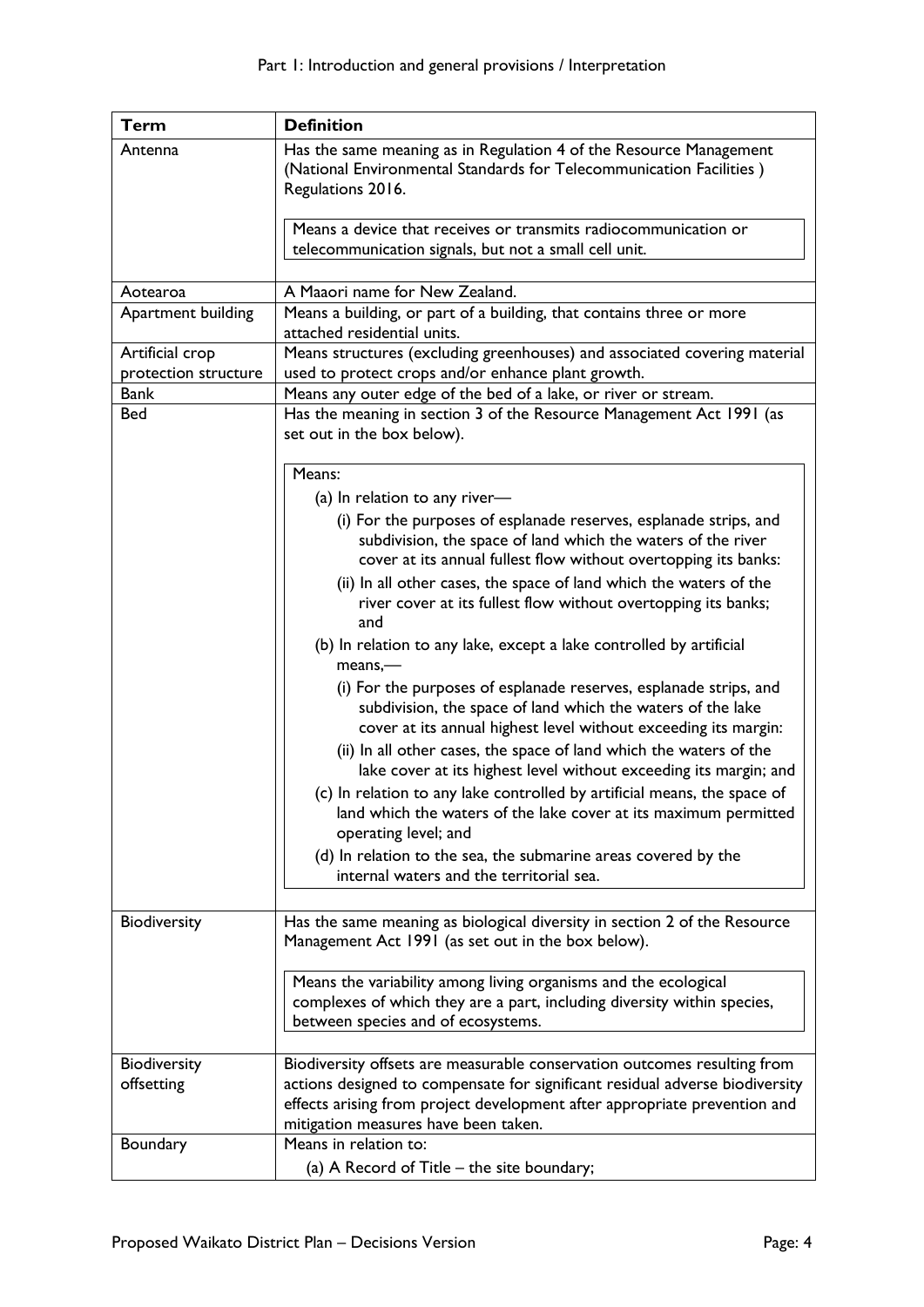| <b>Term</b>                  | <b>Definition</b>                                                                                                                                                                                                                                                             |
|------------------------------|-------------------------------------------------------------------------------------------------------------------------------------------------------------------------------------------------------------------------------------------------------------------------------|
| Antenna                      | Has the same meaning as in Regulation 4 of the Resource Management<br>(National Environmental Standards for Telecommunication Facilities)<br>Regulations 2016.                                                                                                                |
|                              | Means a device that receives or transmits radiocommunication or<br>telecommunication signals, but not a small cell unit.                                                                                                                                                      |
| Aotearoa                     | A Maaori name for New Zealand.                                                                                                                                                                                                                                                |
| Apartment building           | Means a building, or part of a building, that contains three or more<br>attached residential units.                                                                                                                                                                           |
| Artificial crop              | Means structures (excluding greenhouses) and associated covering material                                                                                                                                                                                                     |
| protection structure<br>Bank | used to protect crops and/or enhance plant growth.<br>Means any outer edge of the bed of a lake, or river or stream.                                                                                                                                                          |
| <b>Bed</b>                   | Has the meaning in section 3 of the Resource Management Act 1991 (as<br>set out in the box below).                                                                                                                                                                            |
|                              | Means:                                                                                                                                                                                                                                                                        |
|                              | (a) In relation to any river-                                                                                                                                                                                                                                                 |
|                              | (i) For the purposes of esplanade reserves, esplanade strips, and<br>subdivision, the space of land which the waters of the river<br>cover at its annual fullest flow without overtopping its banks:                                                                          |
|                              | (ii) In all other cases, the space of land which the waters of the<br>river cover at its fullest flow without overtopping its banks;<br>and                                                                                                                                   |
|                              | (b) In relation to any lake, except a lake controlled by artificial<br>$means, -$                                                                                                                                                                                             |
|                              | (i) For the purposes of esplanade reserves, esplanade strips, and<br>subdivision, the space of land which the waters of the lake<br>cover at its annual highest level without exceeding its margin:                                                                           |
|                              | (ii) In all other cases, the space of land which the waters of the<br>lake cover at its highest level without exceeding its margin; and                                                                                                                                       |
|                              | (c) In relation to any lake controlled by artificial means, the space of<br>land which the waters of the lake cover at its maximum permitted<br>operating level; and                                                                                                          |
|                              | (d) In relation to the sea, the submarine areas covered by the<br>internal waters and the territorial sea.                                                                                                                                                                    |
| Biodiversity                 | Has the same meaning as biological diversity in section 2 of the Resource<br>Management Act 1991 (as set out in the box below).                                                                                                                                               |
|                              | Means the variability among living organisms and the ecological<br>complexes of which they are a part, including diversity within species,<br>between species and of ecosystems.                                                                                              |
| Biodiversity<br>offsetting   | Biodiversity offsets are measurable conservation outcomes resulting from<br>actions designed to compensate for significant residual adverse biodiversity<br>effects arising from project development after appropriate prevention and<br>mitigation measures have been taken. |
| Boundary                     | Means in relation to:<br>(a) A Record of Title – the site boundary;                                                                                                                                                                                                           |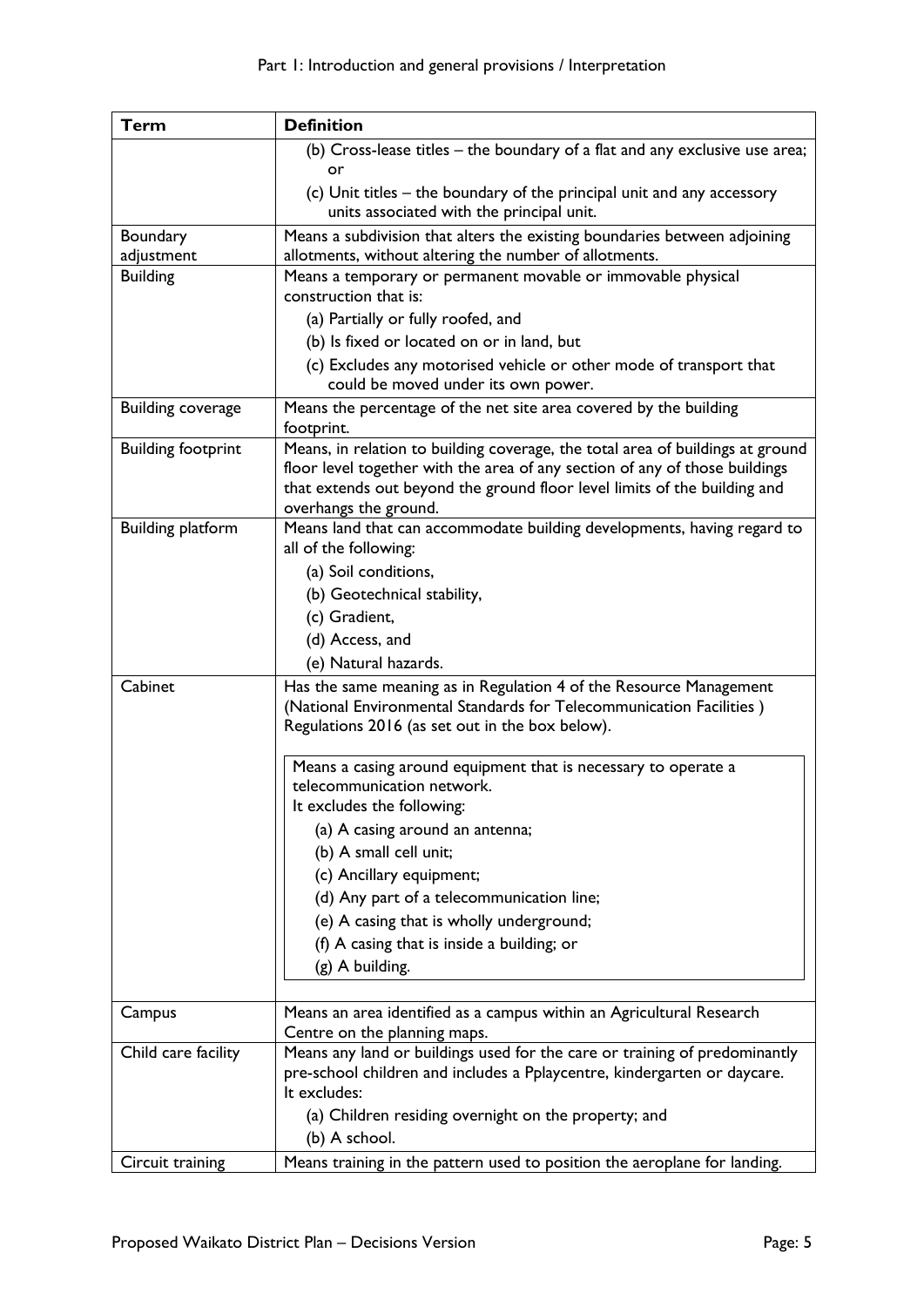| <b>Term</b>               | <b>Definition</b>                                                                                         |
|---------------------------|-----------------------------------------------------------------------------------------------------------|
|                           | (b) Cross-lease titles - the boundary of a flat and any exclusive use area;                               |
|                           | or                                                                                                        |
|                           | (c) Unit titles – the boundary of the principal unit and any accessory                                    |
|                           | units associated with the principal unit.                                                                 |
| Boundary                  | Means a subdivision that alters the existing boundaries between adjoining                                 |
| adjustment                | allotments, without altering the number of allotments.                                                    |
| <b>Building</b>           | Means a temporary or permanent movable or immovable physical<br>construction that is:                     |
|                           | (a) Partially or fully roofed, and                                                                        |
|                           |                                                                                                           |
|                           | (b) Is fixed or located on or in land, but                                                                |
|                           | (c) Excludes any motorised vehicle or other mode of transport that<br>could be moved under its own power. |
| <b>Building coverage</b>  | Means the percentage of the net site area covered by the building                                         |
|                           | footprint.                                                                                                |
| <b>Building footprint</b> | Means, in relation to building coverage, the total area of buildings at ground                            |
|                           | floor level together with the area of any section of any of those buildings                               |
|                           | that extends out beyond the ground floor level limits of the building and                                 |
|                           | overhangs the ground.                                                                                     |
| <b>Building platform</b>  | Means land that can accommodate building developments, having regard to<br>all of the following:          |
|                           | (a) Soil conditions,                                                                                      |
|                           | (b) Geotechnical stability,                                                                               |
|                           | (c) Gradient,                                                                                             |
|                           | (d) Access, and                                                                                           |
|                           | (e) Natural hazards.                                                                                      |
| Cabinet                   | Has the same meaning as in Regulation 4 of the Resource Management                                        |
|                           | (National Environmental Standards for Telecommunication Facilities)                                       |
|                           | Regulations 2016 (as set out in the box below).                                                           |
|                           |                                                                                                           |
|                           | Means a casing around equipment that is necessary to operate a                                            |
|                           | telecommunication network.                                                                                |
|                           | It excludes the following:                                                                                |
|                           | (a) A casing around an antenna;                                                                           |
|                           | (b) A small cell unit;                                                                                    |
|                           | (c) Ancillary equipment;                                                                                  |
|                           | (d) Any part of a telecommunication line;                                                                 |
|                           | (e) A casing that is wholly underground;                                                                  |
|                           | (f) A casing that is inside a building; or                                                                |
|                           | (g) A building.                                                                                           |
|                           |                                                                                                           |
| Campus                    | Means an area identified as a campus within an Agricultural Research<br>Centre on the planning maps.      |
| Child care facility       | Means any land or buildings used for the care or training of predominantly                                |
|                           | pre-school children and includes a Pplaycentre, kindergarten or daycare.                                  |
|                           | It excludes:                                                                                              |
|                           | (a) Children residing overnight on the property; and                                                      |
|                           | (b) A school.                                                                                             |
| Circuit training          | Means training in the pattern used to position the aeroplane for landing.                                 |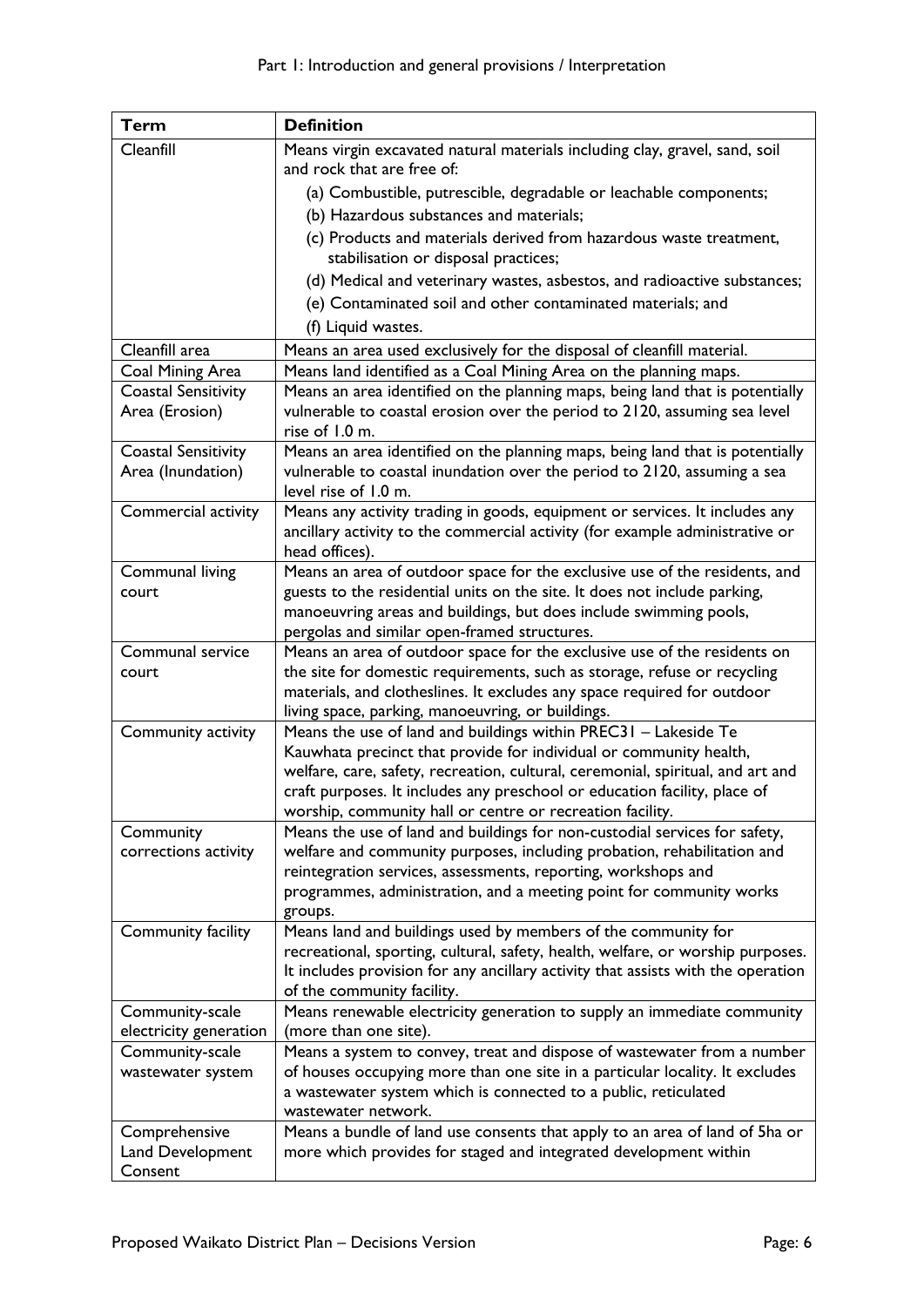| Term                                            | <b>Definition</b>                                                                                                                                         |
|-------------------------------------------------|-----------------------------------------------------------------------------------------------------------------------------------------------------------|
| Cleanfill                                       | Means virgin excavated natural materials including clay, gravel, sand, soil                                                                               |
|                                                 | and rock that are free of:                                                                                                                                |
|                                                 | (a) Combustible, putrescible, degradable or leachable components;                                                                                         |
|                                                 | (b) Hazardous substances and materials;                                                                                                                   |
|                                                 | (c) Products and materials derived from hazardous waste treatment,                                                                                        |
|                                                 | stabilisation or disposal practices;                                                                                                                      |
|                                                 | (d) Medical and veterinary wastes, asbestos, and radioactive substances;                                                                                  |
|                                                 | (e) Contaminated soil and other contaminated materials; and                                                                                               |
|                                                 | (f) Liquid wastes.                                                                                                                                        |
| Cleanfill area                                  | Means an area used exclusively for the disposal of cleanfill material.                                                                                    |
| Coal Mining Area                                | Means land identified as a Coal Mining Area on the planning maps.                                                                                         |
| <b>Coastal Sensitivity</b>                      | Means an area identified on the planning maps, being land that is potentially                                                                             |
| Area (Erosion)                                  | vulnerable to coastal erosion over the period to 2120, assuming sea level                                                                                 |
|                                                 | rise of 1.0 m.                                                                                                                                            |
| <b>Coastal Sensitivity</b><br>Area (Inundation) | Means an area identified on the planning maps, being land that is potentially<br>vulnerable to coastal inundation over the period to 2120, assuming a sea |
|                                                 | level rise of 1.0 m.                                                                                                                                      |
| Commercial activity                             | Means any activity trading in goods, equipment or services. It includes any                                                                               |
|                                                 | ancillary activity to the commercial activity (for example administrative or                                                                              |
|                                                 | head offices).                                                                                                                                            |
| Communal living                                 | Means an area of outdoor space for the exclusive use of the residents, and                                                                                |
| court                                           | guests to the residential units on the site. It does not include parking,                                                                                 |
|                                                 | manoeuvring areas and buildings, but does include swimming pools,                                                                                         |
|                                                 | pergolas and similar open-framed structures.                                                                                                              |
| Communal service                                | Means an area of outdoor space for the exclusive use of the residents on                                                                                  |
| court                                           | the site for domestic requirements, such as storage, refuse or recycling                                                                                  |
|                                                 | materials, and clotheslines. It excludes any space required for outdoor<br>living space, parking, manoeuvring, or buildings.                              |
| Community activity                              | Means the use of land and buildings within PREC31 - Lakeside Te                                                                                           |
|                                                 | Kauwhata precinct that provide for individual or community health,                                                                                        |
|                                                 | welfare, care, safety, recreation, cultural, ceremonial, spiritual, and art and                                                                           |
|                                                 | craft purposes. It includes any preschool or education facility, place of                                                                                 |
|                                                 | worship, community hall or centre or recreation facility.                                                                                                 |
| Community                                       | Means the use of land and buildings for non-custodial services for safety,                                                                                |
| corrections activity                            | welfare and community purposes, including probation, rehabilitation and                                                                                   |
|                                                 | reintegration services, assessments, reporting, workshops and                                                                                             |
|                                                 | programmes, administration, and a meeting point for community works                                                                                       |
| Community facility                              | groups.<br>Means land and buildings used by members of the community for                                                                                  |
|                                                 | recreational, sporting, cultural, safety, health, welfare, or worship purposes.                                                                           |
|                                                 | It includes provision for any ancillary activity that assists with the operation                                                                          |
|                                                 | of the community facility.                                                                                                                                |
| Community-scale                                 | Means renewable electricity generation to supply an immediate community                                                                                   |
| electricity generation                          | (more than one site).                                                                                                                                     |
| Community-scale                                 | Means a system to convey, treat and dispose of wastewater from a number                                                                                   |
| wastewater system                               | of houses occupying more than one site in a particular locality. It excludes                                                                              |
|                                                 | a wastewater system which is connected to a public, reticulated<br>wastewater network.                                                                    |
| Comprehensive                                   | Means a bundle of land use consents that apply to an area of land of 5ha or                                                                               |
| Land Development                                | more which provides for staged and integrated development within                                                                                          |
| Consent                                         |                                                                                                                                                           |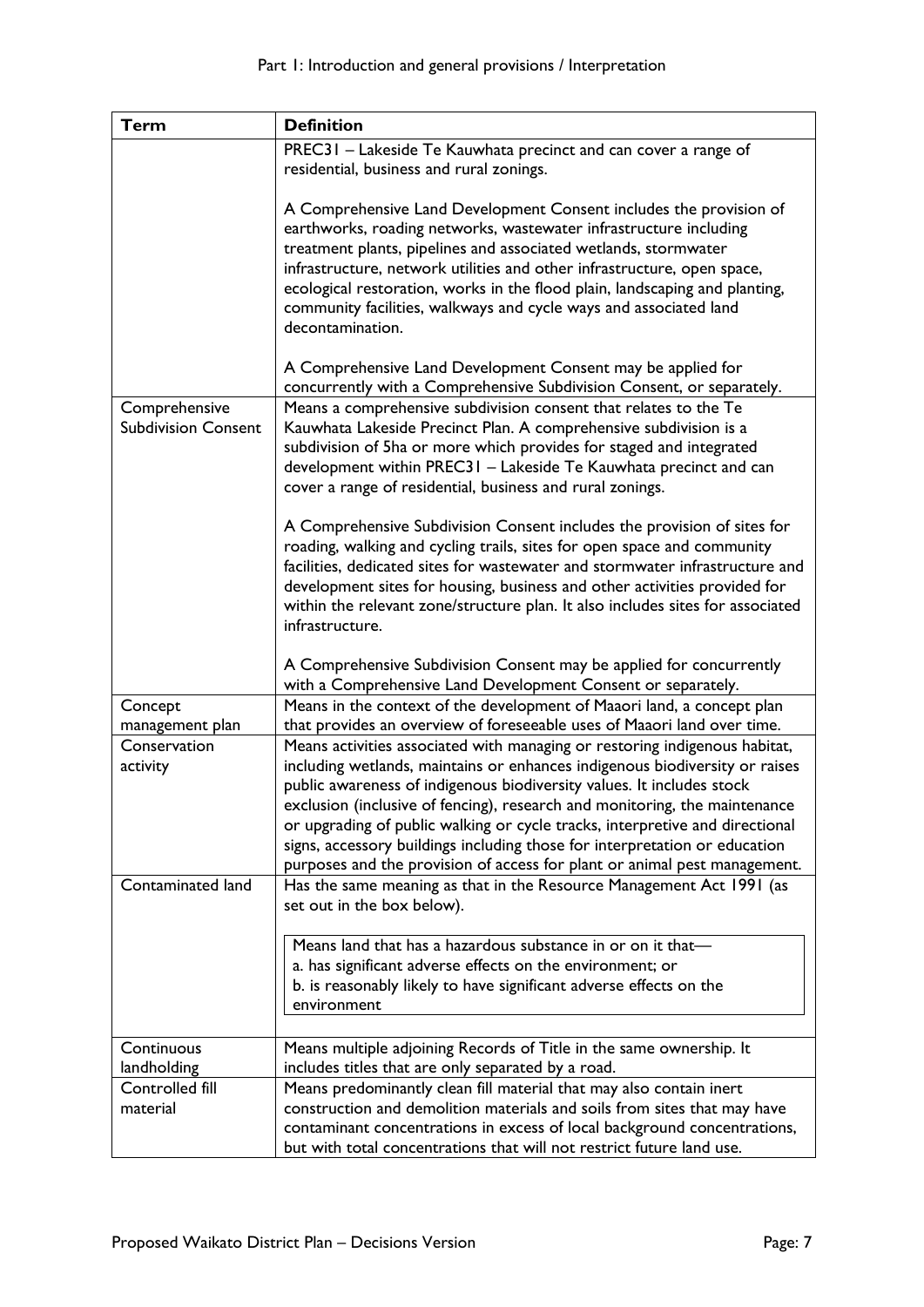| <b>Term</b>                                 | <b>Definition</b>                                                                                                                                                                                                                                                                                                                                                                                                                                             |
|---------------------------------------------|---------------------------------------------------------------------------------------------------------------------------------------------------------------------------------------------------------------------------------------------------------------------------------------------------------------------------------------------------------------------------------------------------------------------------------------------------------------|
|                                             | PREC31 - Lakeside Te Kauwhata precinct and can cover a range of                                                                                                                                                                                                                                                                                                                                                                                               |
|                                             | residential, business and rural zonings.                                                                                                                                                                                                                                                                                                                                                                                                                      |
|                                             | A Comprehensive Land Development Consent includes the provision of<br>earthworks, roading networks, wastewater infrastructure including<br>treatment plants, pipelines and associated wetlands, stormwater<br>infrastructure, network utilities and other infrastructure, open space,<br>ecological restoration, works in the flood plain, landscaping and planting,<br>community facilities, walkways and cycle ways and associated land<br>decontamination. |
|                                             | A Comprehensive Land Development Consent may be applied for                                                                                                                                                                                                                                                                                                                                                                                                   |
|                                             | concurrently with a Comprehensive Subdivision Consent, or separately.                                                                                                                                                                                                                                                                                                                                                                                         |
| Comprehensive<br><b>Subdivision Consent</b> | Means a comprehensive subdivision consent that relates to the Te<br>Kauwhata Lakeside Precinct Plan. A comprehensive subdivision is a<br>subdivision of 5ha or more which provides for staged and integrated<br>development within PREC31 - Lakeside Te Kauwhata precinct and can<br>cover a range of residential, business and rural zonings.                                                                                                                |
|                                             | A Comprehensive Subdivision Consent includes the provision of sites for<br>roading, walking and cycling trails, sites for open space and community<br>facilities, dedicated sites for wastewater and stormwater infrastructure and<br>development sites for housing, business and other activities provided for<br>within the relevant zone/structure plan. It also includes sites for associated<br>infrastructure.                                          |
|                                             | A Comprehensive Subdivision Consent may be applied for concurrently                                                                                                                                                                                                                                                                                                                                                                                           |
| Concept                                     | with a Comprehensive Land Development Consent or separately.<br>Means in the context of the development of Maaori land, a concept plan                                                                                                                                                                                                                                                                                                                        |
| management plan                             | that provides an overview of foreseeable uses of Maaori land over time.                                                                                                                                                                                                                                                                                                                                                                                       |
| Conservation                                | Means activities associated with managing or restoring indigenous habitat,                                                                                                                                                                                                                                                                                                                                                                                    |
| activity                                    | including wetlands, maintains or enhances indigenous biodiversity or raises                                                                                                                                                                                                                                                                                                                                                                                   |
|                                             | public awareness of indigenous biodiversity values. It includes stock                                                                                                                                                                                                                                                                                                                                                                                         |
|                                             | exclusion (inclusive of fencing), research and monitoring, the maintenance                                                                                                                                                                                                                                                                                                                                                                                    |
|                                             | or upgrading of public walking or cycle tracks, interpretive and directional                                                                                                                                                                                                                                                                                                                                                                                  |
|                                             | signs, accessory buildings including those for interpretation or education                                                                                                                                                                                                                                                                                                                                                                                    |
| Contaminated land                           | purposes and the provision of access for plant or animal pest management.<br>Has the same meaning as that in the Resource Management Act 1991 (as                                                                                                                                                                                                                                                                                                             |
|                                             | set out in the box below).                                                                                                                                                                                                                                                                                                                                                                                                                                    |
|                                             | Means land that has a hazardous substance in or on it that-<br>a. has significant adverse effects on the environment; or<br>b. is reasonably likely to have significant adverse effects on the<br>environment                                                                                                                                                                                                                                                 |
| Continuous                                  | Means multiple adjoining Records of Title in the same ownership. It                                                                                                                                                                                                                                                                                                                                                                                           |
| landholding                                 | includes titles that are only separated by a road.                                                                                                                                                                                                                                                                                                                                                                                                            |
| Controlled fill                             | Means predominantly clean fill material that may also contain inert                                                                                                                                                                                                                                                                                                                                                                                           |
| material                                    | construction and demolition materials and soils from sites that may have                                                                                                                                                                                                                                                                                                                                                                                      |
|                                             | contaminant concentrations in excess of local background concentrations,                                                                                                                                                                                                                                                                                                                                                                                      |
|                                             | but with total concentrations that will not restrict future land use.                                                                                                                                                                                                                                                                                                                                                                                         |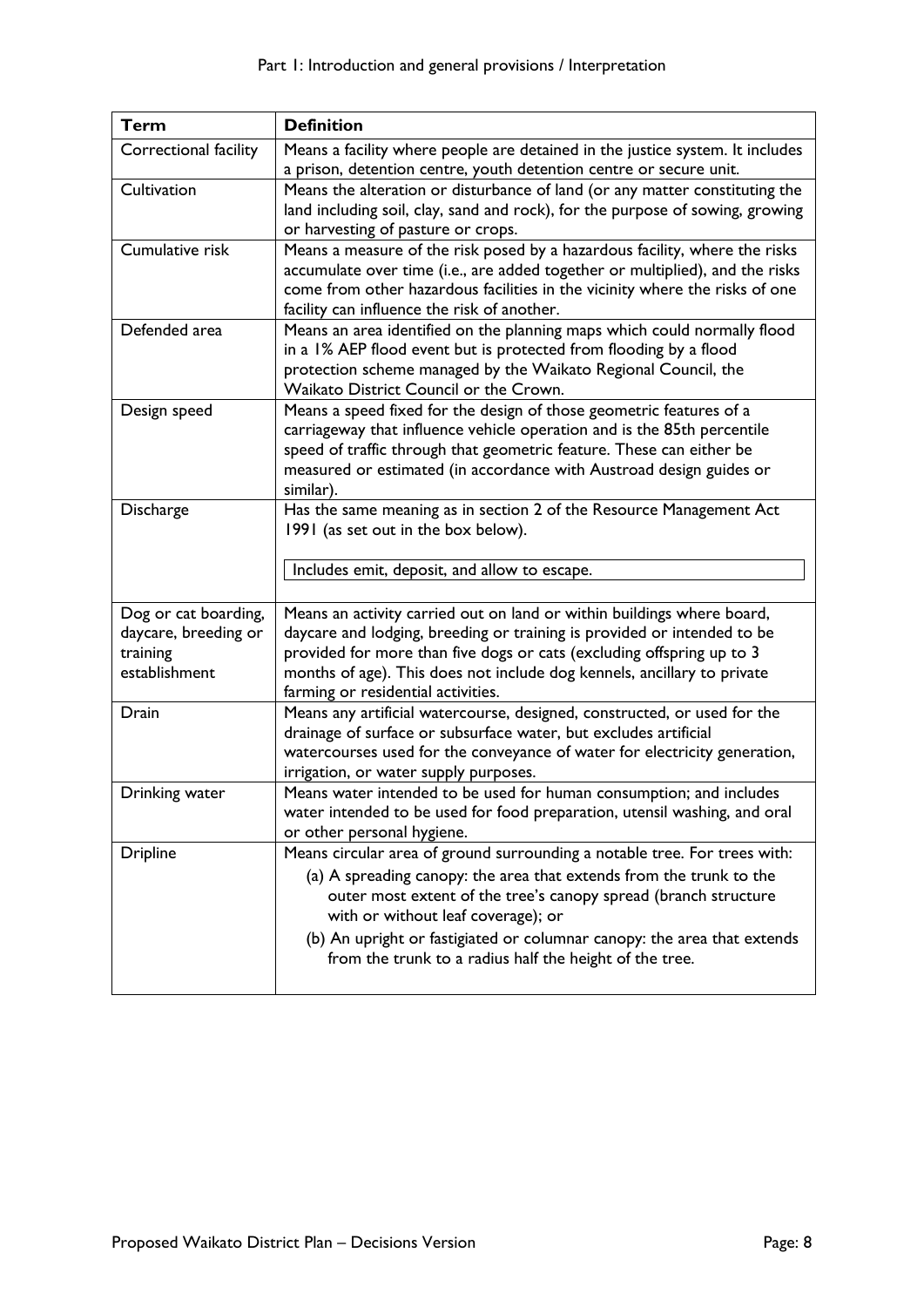| Term                  | <b>Definition</b>                                                             |
|-----------------------|-------------------------------------------------------------------------------|
| Correctional facility | Means a facility where people are detained in the justice system. It includes |
|                       | a prison, detention centre, youth detention centre or secure unit.            |
| Cultivation           | Means the alteration or disturbance of land (or any matter constituting the   |
|                       | land including soil, clay, sand and rock), for the purpose of sowing, growing |
|                       | or harvesting of pasture or crops.                                            |
| Cumulative risk       | Means a measure of the risk posed by a hazardous facility, where the risks    |
|                       | accumulate over time (i.e., are added together or multiplied), and the risks  |
|                       | come from other hazardous facilities in the vicinity where the risks of one   |
|                       | facility can influence the risk of another.                                   |
| Defended area         | Means an area identified on the planning maps which could normally flood      |
|                       | in a 1% AEP flood event but is protected from flooding by a flood             |
|                       | protection scheme managed by the Waikato Regional Council, the                |
|                       | Waikato District Council or the Crown.                                        |
| Design speed          | Means a speed fixed for the design of those geometric features of a           |
|                       | carriageway that influence vehicle operation and is the 85th percentile       |
|                       | speed of traffic through that geometric feature. These can either be          |
|                       | measured or estimated (in accordance with Austroad design guides or           |
|                       | similar).                                                                     |
| Discharge             | Has the same meaning as in section 2 of the Resource Management Act           |
|                       | 1991 (as set out in the box below).                                           |
|                       |                                                                               |
|                       | Includes emit, deposit, and allow to escape.                                  |
|                       |                                                                               |
| Dog or cat boarding,  | Means an activity carried out on land or within buildings where board,        |
| daycare, breeding or  | daycare and lodging, breeding or training is provided or intended to be       |
| training              | provided for more than five dogs or cats (excluding offspring up to 3         |
| establishment         | months of age). This does not include dog kennels, ancillary to private       |
|                       | farming or residential activities.                                            |
| Drain                 | Means any artificial watercourse, designed, constructed, or used for the      |
|                       | drainage of surface or subsurface water, but excludes artificial              |
|                       | watercourses used for the conveyance of water for electricity generation,     |
|                       | irrigation, or water supply purposes.                                         |
| Drinking water        | Means water intended to be used for human consumption; and includes           |
|                       | water intended to be used for food preparation, utensil washing, and oral     |
|                       | or other personal hygiene.                                                    |
| <b>Dripline</b>       | Means circular area of ground surrounding a notable tree. For trees with:     |
|                       | (a) A spreading canopy: the area that extends from the trunk to the           |
|                       | outer most extent of the tree's canopy spread (branch structure               |
|                       | with or without leaf coverage); or                                            |
|                       | (b) An upright or fastigiated or columnar canopy: the area that extends       |
|                       | from the trunk to a radius half the height of the tree.                       |
|                       |                                                                               |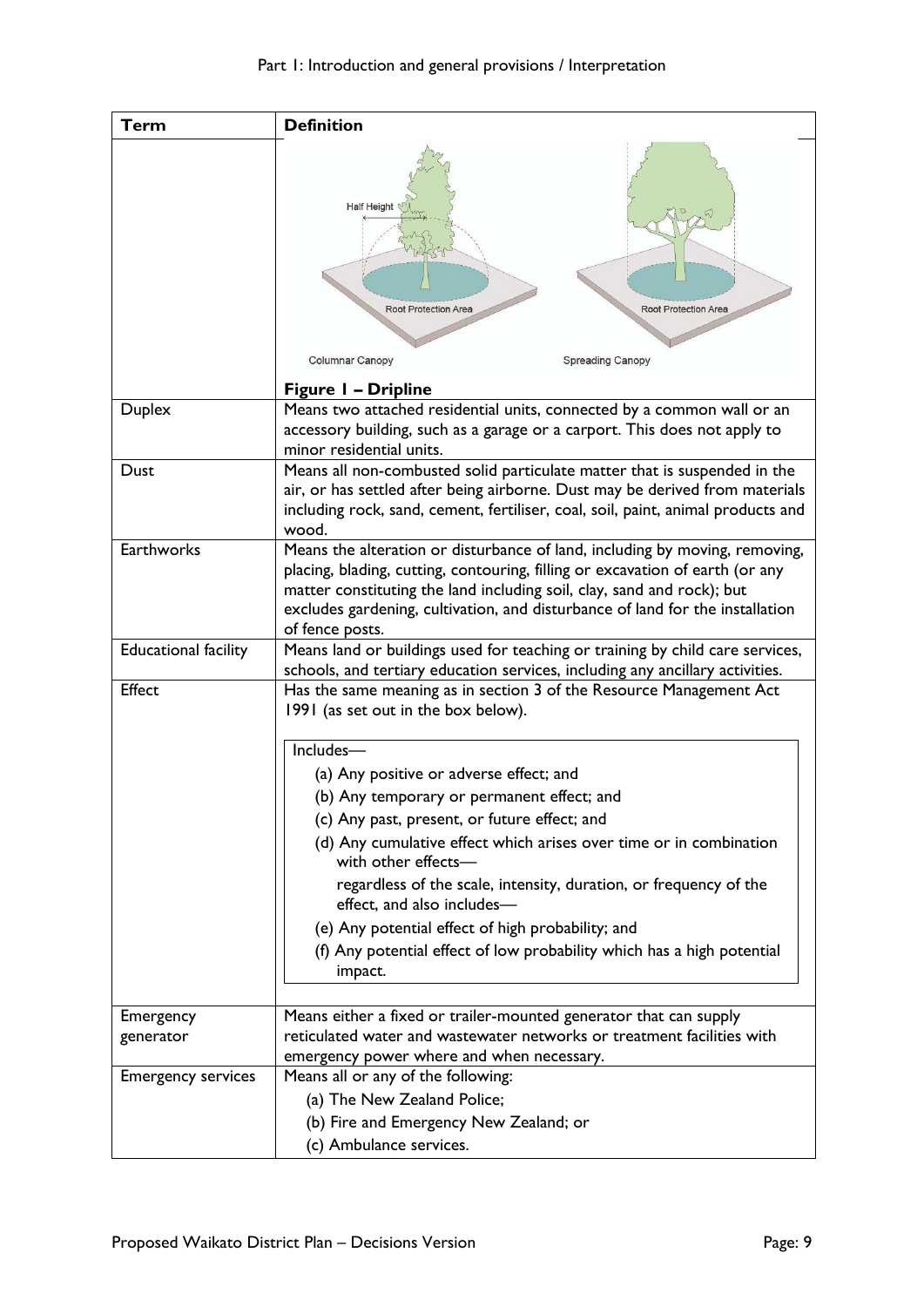| <b>Term</b>                 | <b>Definition</b>                                                                                                                                                                                                                                                                                                                          |
|-----------------------------|--------------------------------------------------------------------------------------------------------------------------------------------------------------------------------------------------------------------------------------------------------------------------------------------------------------------------------------------|
|                             | <b>Half Height</b><br><b>Root Protection Area</b><br>Root Protection Area<br>Columnar Canopy<br><b>Spreading Canopy</b>                                                                                                                                                                                                                    |
|                             | <b>Figure 1 - Dripline</b>                                                                                                                                                                                                                                                                                                                 |
| <b>Duplex</b>               | Means two attached residential units, connected by a common wall or an<br>accessory building, such as a garage or a carport. This does not apply to<br>minor residential units.                                                                                                                                                            |
| Dust                        | Means all non-combusted solid particulate matter that is suspended in the<br>air, or has settled after being airborne. Dust may be derived from materials<br>including rock, sand, cement, fertiliser, coal, soil, paint, animal products and<br>wood.                                                                                     |
| Earthworks                  | Means the alteration or disturbance of land, including by moving, removing,<br>placing, blading, cutting, contouring, filling or excavation of earth (or any<br>matter constituting the land including soil, clay, sand and rock); but<br>excludes gardening, cultivation, and disturbance of land for the installation<br>of fence posts. |
| <b>Educational facility</b> | Means land or buildings used for teaching or training by child care services,<br>schools, and tertiary education services, including any ancillary activities.                                                                                                                                                                             |
| Effect                      | Has the same meaning as in section 3 of the Resource Management Act<br>1991 (as set out in the box below).                                                                                                                                                                                                                                 |
|                             | Includes-                                                                                                                                                                                                                                                                                                                                  |
|                             | (a) Any positive or adverse effect; and                                                                                                                                                                                                                                                                                                    |
|                             | (b) Any temporary or permanent effect; and                                                                                                                                                                                                                                                                                                 |
|                             | (c) Any past, present, or future effect; and                                                                                                                                                                                                                                                                                               |
|                             | (d) Any cumulative effect which arises over time or in combination<br>with other effects-                                                                                                                                                                                                                                                  |
|                             | regardless of the scale, intensity, duration, or frequency of the<br>effect, and also includes-                                                                                                                                                                                                                                            |
|                             | (e) Any potential effect of high probability; and                                                                                                                                                                                                                                                                                          |
|                             | (f) Any potential effect of low probability which has a high potential<br>impact.                                                                                                                                                                                                                                                          |
| Emergency                   | Means either a fixed or trailer-mounted generator that can supply                                                                                                                                                                                                                                                                          |
| generator                   | reticulated water and wastewater networks or treatment facilities with<br>emergency power where and when necessary.                                                                                                                                                                                                                        |
| <b>Emergency services</b>   | Means all or any of the following:                                                                                                                                                                                                                                                                                                         |
|                             | (a) The New Zealand Police;                                                                                                                                                                                                                                                                                                                |
|                             | (b) Fire and Emergency New Zealand; or                                                                                                                                                                                                                                                                                                     |
|                             | (c) Ambulance services.                                                                                                                                                                                                                                                                                                                    |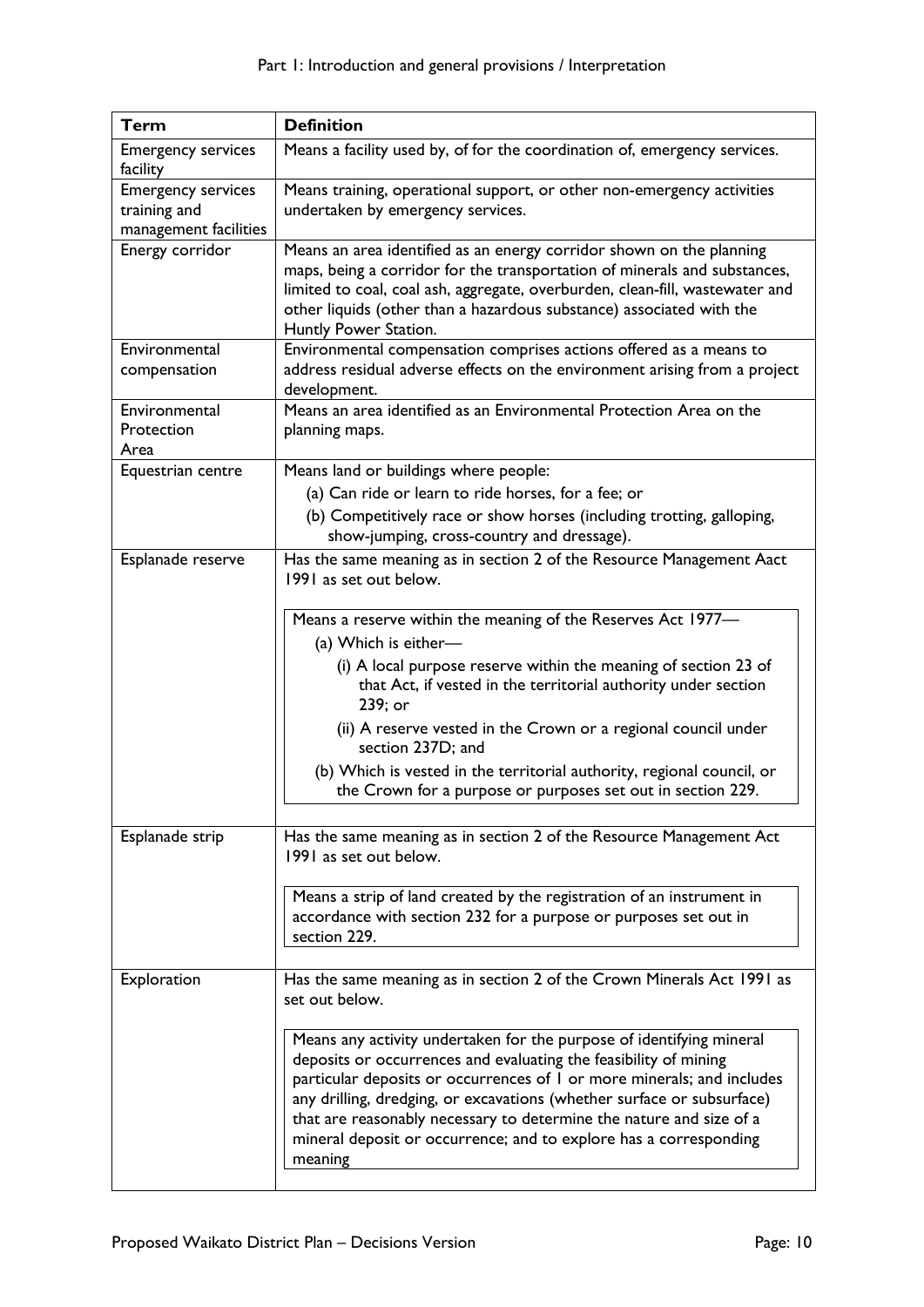| <b>Term</b>                                                        | <b>Definition</b>                                                                                                                                                                                                                                                                                                                                                                                                                                   |
|--------------------------------------------------------------------|-----------------------------------------------------------------------------------------------------------------------------------------------------------------------------------------------------------------------------------------------------------------------------------------------------------------------------------------------------------------------------------------------------------------------------------------------------|
| <b>Emergency services</b><br>facility                              | Means a facility used by, of for the coordination of, emergency services.                                                                                                                                                                                                                                                                                                                                                                           |
| <b>Emergency services</b><br>training and<br>management facilities | Means training, operational support, or other non-emergency activities<br>undertaken by emergency services.                                                                                                                                                                                                                                                                                                                                         |
| Energy corridor                                                    | Means an area identified as an energy corridor shown on the planning<br>maps, being a corridor for the transportation of minerals and substances,<br>limited to coal, coal ash, aggregate, overburden, clean-fill, wastewater and<br>other liquids (other than a hazardous substance) associated with the<br>Huntly Power Station.                                                                                                                  |
| Environmental<br>compensation                                      | Environmental compensation comprises actions offered as a means to<br>address residual adverse effects on the environment arising from a project<br>development.                                                                                                                                                                                                                                                                                    |
| Environmental<br>Protection<br>Area                                | Means an area identified as an Environmental Protection Area on the<br>planning maps.                                                                                                                                                                                                                                                                                                                                                               |
| Equestrian centre                                                  | Means land or buildings where people:<br>(a) Can ride or learn to ride horses, for a fee; or<br>(b) Competitively race or show horses (including trotting, galloping,<br>show-jumping, cross-country and dressage).                                                                                                                                                                                                                                 |
| Esplanade reserve                                                  | Has the same meaning as in section 2 of the Resource Management Aact<br>1991 as set out below.                                                                                                                                                                                                                                                                                                                                                      |
|                                                                    | Means a reserve within the meaning of the Reserves Act 1977-<br>(a) Which is either-<br>(i) A local purpose reserve within the meaning of section 23 of<br>that Act, if vested in the territorial authority under section<br>239; or                                                                                                                                                                                                                |
|                                                                    | (ii) A reserve vested in the Crown or a regional council under<br>section 237D; and                                                                                                                                                                                                                                                                                                                                                                 |
|                                                                    | (b) Which is vested in the territorial authority, regional council, or<br>the Crown for a purpose or purposes set out in section 229.                                                                                                                                                                                                                                                                                                               |
| Esplanade strip                                                    | Has the same meaning as in section 2 of the Resource Management Act<br>1991 as set out below.                                                                                                                                                                                                                                                                                                                                                       |
|                                                                    | Means a strip of land created by the registration of an instrument in<br>accordance with section 232 for a purpose or purposes set out in<br>section 229.                                                                                                                                                                                                                                                                                           |
| Exploration                                                        | Has the same meaning as in section 2 of the Crown Minerals Act 1991 as<br>set out below.                                                                                                                                                                                                                                                                                                                                                            |
|                                                                    | Means any activity undertaken for the purpose of identifying mineral<br>deposits or occurrences and evaluating the feasibility of mining<br>particular deposits or occurrences of I or more minerals; and includes<br>any drilling, dredging, or excavations (whether surface or subsurface)<br>that are reasonably necessary to determine the nature and size of a<br>mineral deposit or occurrence; and to explore has a corresponding<br>meaning |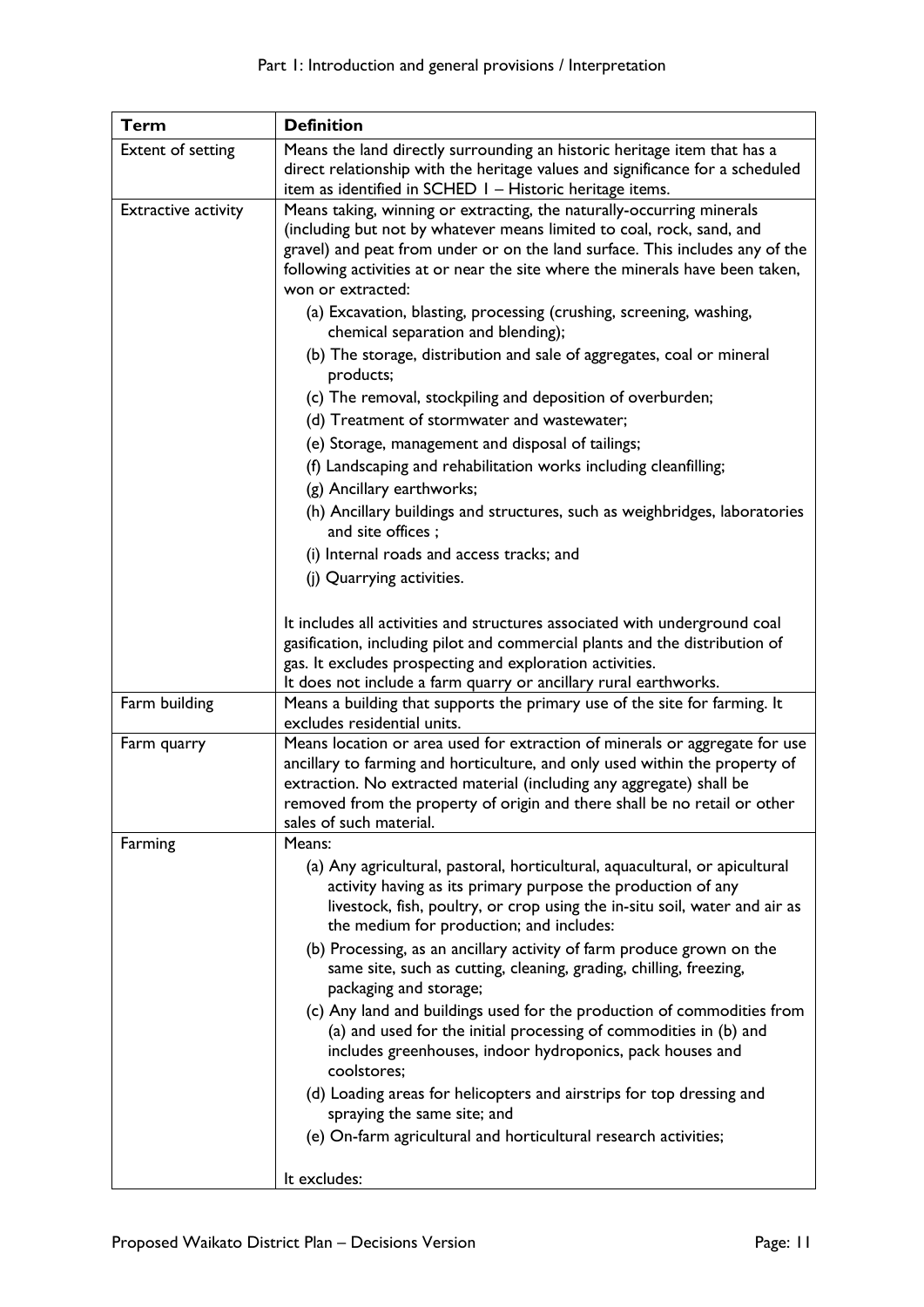| Term                       | <b>Definition</b>                                                                                                                                                                                                                                                                                                                          |
|----------------------------|--------------------------------------------------------------------------------------------------------------------------------------------------------------------------------------------------------------------------------------------------------------------------------------------------------------------------------------------|
| Extent of setting          | Means the land directly surrounding an historic heritage item that has a<br>direct relationship with the heritage values and significance for a scheduled<br>item as identified in SCHED 1 - Historic heritage items.                                                                                                                      |
| <b>Extractive activity</b> | Means taking, winning or extracting, the naturally-occurring minerals<br>(including but not by whatever means limited to coal, rock, sand, and<br>gravel) and peat from under or on the land surface. This includes any of the<br>following activities at or near the site where the minerals have been taken,<br>won or extracted:        |
|                            | (a) Excavation, blasting, processing (crushing, screening, washing,<br>chemical separation and blending);                                                                                                                                                                                                                                  |
|                            | (b) The storage, distribution and sale of aggregates, coal or mineral<br>products;                                                                                                                                                                                                                                                         |
|                            | (c) The removal, stockpiling and deposition of overburden;                                                                                                                                                                                                                                                                                 |
|                            | (d) Treatment of stormwater and wastewater;                                                                                                                                                                                                                                                                                                |
|                            | (e) Storage, management and disposal of tailings;                                                                                                                                                                                                                                                                                          |
|                            | (f) Landscaping and rehabilitation works including cleanfilling;                                                                                                                                                                                                                                                                           |
|                            | (g) Ancillary earthworks;                                                                                                                                                                                                                                                                                                                  |
|                            | (h) Ancillary buildings and structures, such as weighbridges, laboratories<br>and site offices;                                                                                                                                                                                                                                            |
|                            | (i) Internal roads and access tracks; and                                                                                                                                                                                                                                                                                                  |
|                            | (j) Quarrying activities.                                                                                                                                                                                                                                                                                                                  |
|                            | It includes all activities and structures associated with underground coal<br>gasification, including pilot and commercial plants and the distribution of<br>gas. It excludes prospecting and exploration activities.                                                                                                                      |
|                            | It does not include a farm quarry or ancillary rural earthworks.                                                                                                                                                                                                                                                                           |
| Farm building              | Means a building that supports the primary use of the site for farming. It<br>excludes residential units.                                                                                                                                                                                                                                  |
| Farm quarry                | Means location or area used for extraction of minerals or aggregate for use<br>ancillary to farming and horticulture, and only used within the property of<br>extraction. No extracted material (including any aggregate) shall be<br>removed from the property of origin and there shall be no retail or other<br>sales of such material. |
| Farming                    | Means:                                                                                                                                                                                                                                                                                                                                     |
|                            | (a) Any agricultural, pastoral, horticultural, aquacultural, or apicultural<br>activity having as its primary purpose the production of any<br>livestock, fish, poultry, or crop using the in-situ soil, water and air as<br>the medium for production; and includes:                                                                      |
|                            | (b) Processing, as an ancillary activity of farm produce grown on the<br>same site, such as cutting, cleaning, grading, chilling, freezing,<br>packaging and storage;                                                                                                                                                                      |
|                            | (c) Any land and buildings used for the production of commodities from<br>(a) and used for the initial processing of commodities in (b) and<br>includes greenhouses, indoor hydroponics, pack houses and<br>coolstores;                                                                                                                    |
|                            | (d) Loading areas for helicopters and airstrips for top dressing and<br>spraying the same site; and                                                                                                                                                                                                                                        |
|                            | (e) On-farm agricultural and horticultural research activities;                                                                                                                                                                                                                                                                            |
|                            | It excludes:                                                                                                                                                                                                                                                                                                                               |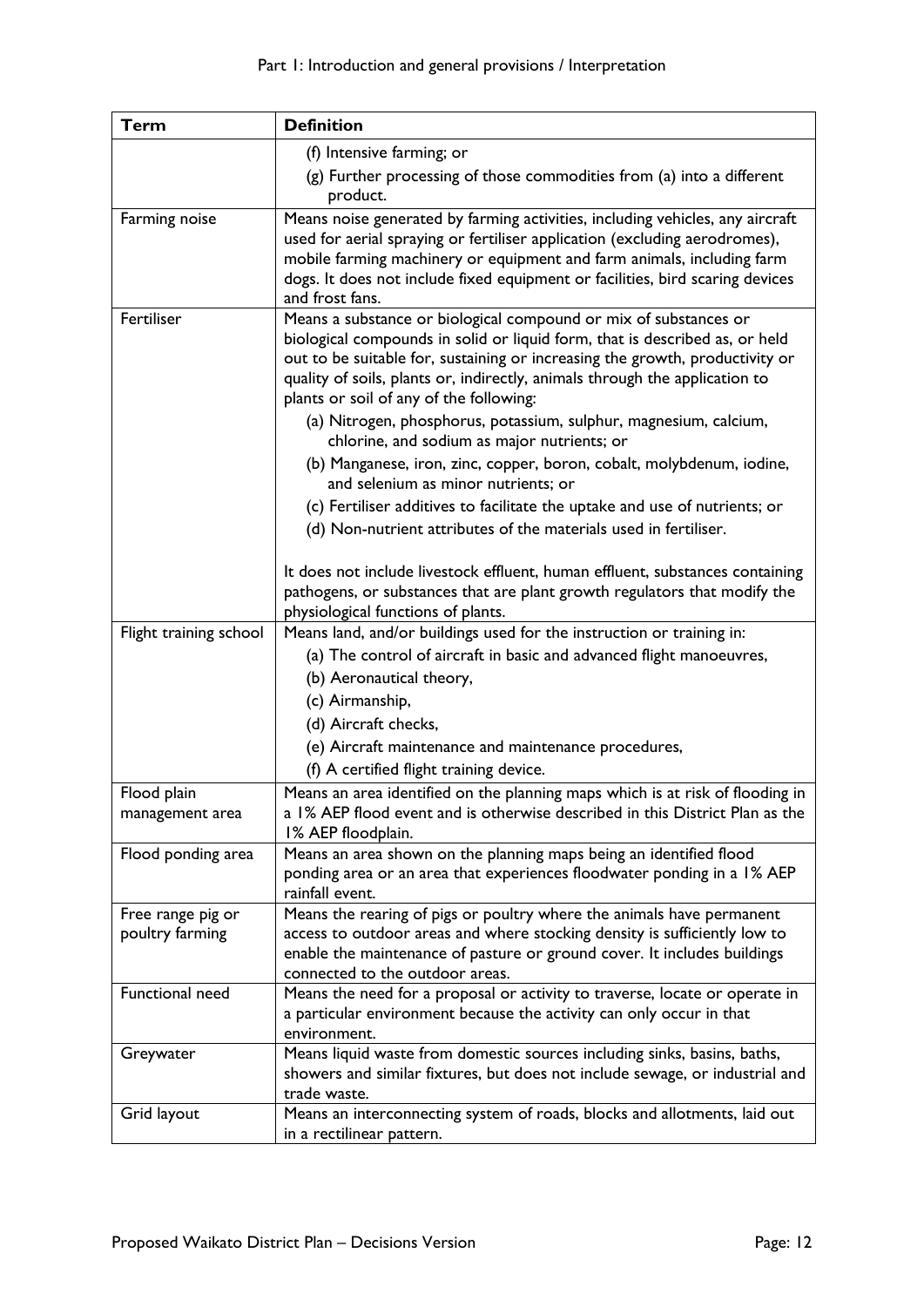| Term                                 | <b>Definition</b>                                                                                                                                                                                                                                                                                                                                         |
|--------------------------------------|-----------------------------------------------------------------------------------------------------------------------------------------------------------------------------------------------------------------------------------------------------------------------------------------------------------------------------------------------------------|
|                                      | (f) Intensive farming; or                                                                                                                                                                                                                                                                                                                                 |
|                                      | (g) Further processing of those commodities from (a) into a different<br>product.                                                                                                                                                                                                                                                                         |
| Farming noise                        | Means noise generated by farming activities, including vehicles, any aircraft<br>used for aerial spraying or fertiliser application (excluding aerodromes),<br>mobile farming machinery or equipment and farm animals, including farm<br>dogs. It does not include fixed equipment or facilities, bird scaring devices<br>and frost fans.                 |
| Fertiliser                           | Means a substance or biological compound or mix of substances or<br>biological compounds in solid or liquid form, that is described as, or held<br>out to be suitable for, sustaining or increasing the growth, productivity or<br>quality of soils, plants or, indirectly, animals through the application to<br>plants or soil of any of the following: |
|                                      | (a) Nitrogen, phosphorus, potassium, sulphur, magnesium, calcium,<br>chlorine, and sodium as major nutrients; or                                                                                                                                                                                                                                          |
|                                      | (b) Manganese, iron, zinc, copper, boron, cobalt, molybdenum, iodine,<br>and selenium as minor nutrients; or                                                                                                                                                                                                                                              |
|                                      | (c) Fertiliser additives to facilitate the uptake and use of nutrients; or                                                                                                                                                                                                                                                                                |
|                                      | (d) Non-nutrient attributes of the materials used in fertiliser.                                                                                                                                                                                                                                                                                          |
|                                      | It does not include livestock effluent, human effluent, substances containing<br>pathogens, or substances that are plant growth regulators that modify the<br>physiological functions of plants.                                                                                                                                                          |
| Flight training school               | Means land, and/or buildings used for the instruction or training in:                                                                                                                                                                                                                                                                                     |
|                                      | (a) The control of aircraft in basic and advanced flight manoeuvres,                                                                                                                                                                                                                                                                                      |
|                                      | (b) Aeronautical theory,                                                                                                                                                                                                                                                                                                                                  |
|                                      | (c) Airmanship,                                                                                                                                                                                                                                                                                                                                           |
|                                      | (d) Aircraft checks,                                                                                                                                                                                                                                                                                                                                      |
|                                      | (e) Aircraft maintenance and maintenance procedures,                                                                                                                                                                                                                                                                                                      |
|                                      | (f) A certified flight training device.                                                                                                                                                                                                                                                                                                                   |
| Flood plain<br>management area       | Means an area identified on the planning maps which is at risk of flooding in<br>a 1% AEP flood event and is otherwise described in this District Plan as the<br>1% AEP floodplain.                                                                                                                                                                       |
| Flood ponding area                   | Means an area shown on the planning maps being an identified flood<br>ponding area or an area that experiences floodwater ponding in a 1% AEP<br>rainfall event.                                                                                                                                                                                          |
| Free range pig or<br>poultry farming | Means the rearing of pigs or poultry where the animals have permanent<br>access to outdoor areas and where stocking density is sufficiently low to<br>enable the maintenance of pasture or ground cover. It includes buildings<br>connected to the outdoor areas.                                                                                         |
| Functional need                      | Means the need for a proposal or activity to traverse, locate or operate in<br>a particular environment because the activity can only occur in that<br>environment.                                                                                                                                                                                       |
| Greywater                            | Means liquid waste from domestic sources including sinks, basins, baths,<br>showers and similar fixtures, but does not include sewage, or industrial and<br>trade waste.                                                                                                                                                                                  |
| Grid layout                          | Means an interconnecting system of roads, blocks and allotments, laid out<br>in a rectilinear pattern.                                                                                                                                                                                                                                                    |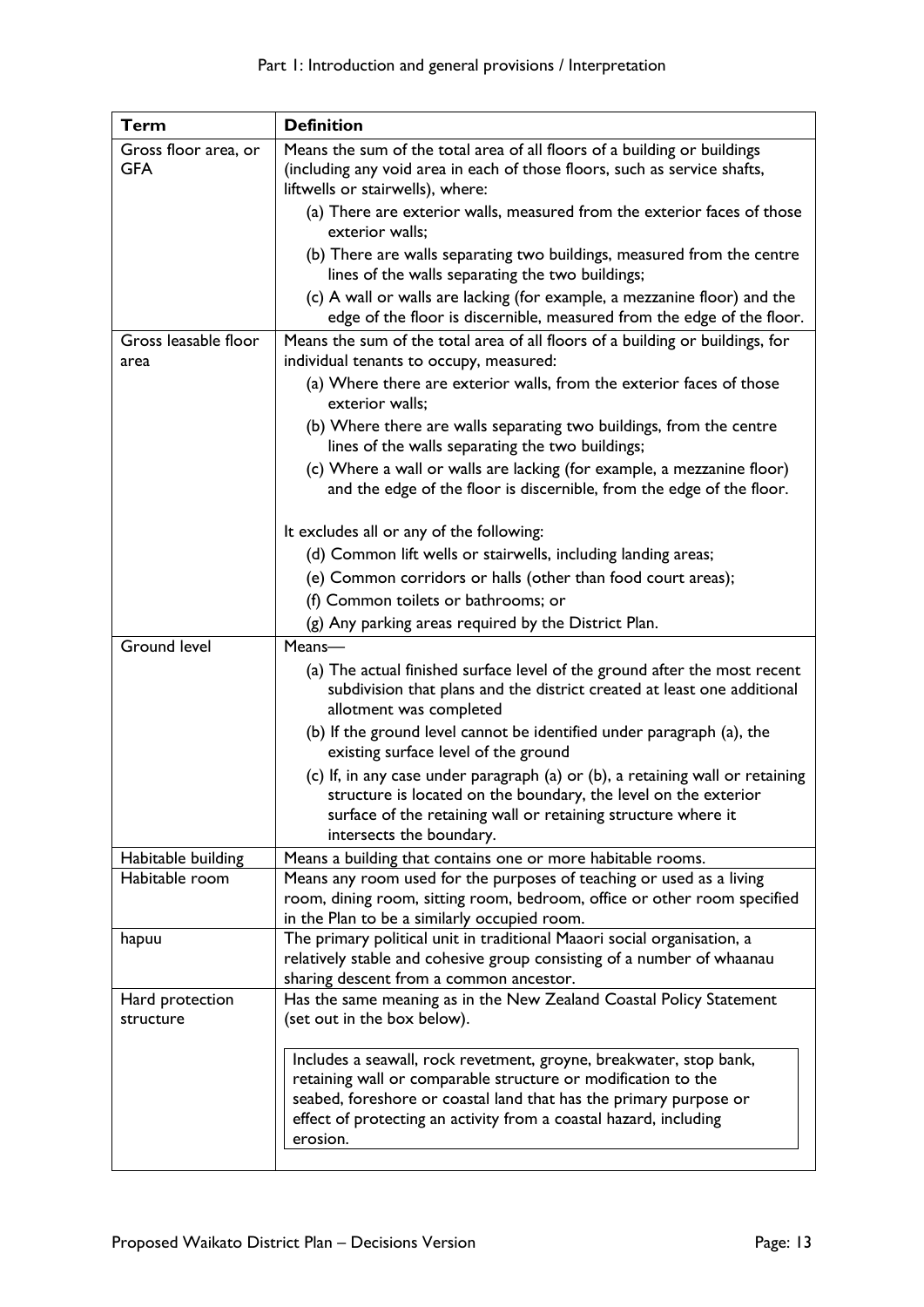| Term                               | <b>Definition</b>                                                                                                                                                                                                                                                                         |
|------------------------------------|-------------------------------------------------------------------------------------------------------------------------------------------------------------------------------------------------------------------------------------------------------------------------------------------|
| Gross floor area, or<br><b>GFA</b> | Means the sum of the total area of all floors of a building or buildings<br>(including any void area in each of those floors, such as service shafts,                                                                                                                                     |
|                                    | liftwells or stairwells), where:<br>(a) There are exterior walls, measured from the exterior faces of those<br>exterior walls;                                                                                                                                                            |
|                                    | (b) There are walls separating two buildings, measured from the centre<br>lines of the walls separating the two buildings;                                                                                                                                                                |
|                                    | (c) A wall or walls are lacking (for example, a mezzanine floor) and the<br>edge of the floor is discernible, measured from the edge of the floor.                                                                                                                                        |
| Gross leasable floor<br>area       | Means the sum of the total area of all floors of a building or buildings, for<br>individual tenants to occupy, measured:                                                                                                                                                                  |
|                                    | (a) Where there are exterior walls, from the exterior faces of those<br>exterior walls;                                                                                                                                                                                                   |
|                                    | (b) Where there are walls separating two buildings, from the centre<br>lines of the walls separating the two buildings;                                                                                                                                                                   |
|                                    | (c) Where a wall or walls are lacking (for example, a mezzanine floor)<br>and the edge of the floor is discernible, from the edge of the floor.                                                                                                                                           |
|                                    | It excludes all or any of the following:                                                                                                                                                                                                                                                  |
|                                    | (d) Common lift wells or stairwells, including landing areas;                                                                                                                                                                                                                             |
|                                    | (e) Common corridors or halls (other than food court areas);                                                                                                                                                                                                                              |
|                                    | (f) Common toilets or bathrooms; or                                                                                                                                                                                                                                                       |
|                                    | (g) Any parking areas required by the District Plan.                                                                                                                                                                                                                                      |
| <b>Ground level</b>                | Means-                                                                                                                                                                                                                                                                                    |
|                                    | (a) The actual finished surface level of the ground after the most recent<br>subdivision that plans and the district created at least one additional<br>allotment was completed                                                                                                           |
|                                    | (b) If the ground level cannot be identified under paragraph (a), the<br>existing surface level of the ground                                                                                                                                                                             |
|                                    | (c) If, in any case under paragraph (a) or (b), a retaining wall or retaining<br>structure is located on the boundary, the level on the exterior<br>surface of the retaining wall or retaining structure where it<br>intersects the boundary.                                             |
| Habitable building                 | Means a building that contains one or more habitable rooms.                                                                                                                                                                                                                               |
| Habitable room                     | Means any room used for the purposes of teaching or used as a living<br>room, dining room, sitting room, bedroom, office or other room specified<br>in the Plan to be a similarly occupied room.                                                                                          |
| hapuu                              | The primary political unit in traditional Maaori social organisation, a<br>relatively stable and cohesive group consisting of a number of whaanau<br>sharing descent from a common ancestor.                                                                                              |
| Hard protection<br>structure       | Has the same meaning as in the New Zealand Coastal Policy Statement<br>(set out in the box below).                                                                                                                                                                                        |
|                                    | Includes a seawall, rock revetment, groyne, breakwater, stop bank,<br>retaining wall or comparable structure or modification to the<br>seabed, foreshore or coastal land that has the primary purpose or<br>effect of protecting an activity from a coastal hazard, including<br>erosion. |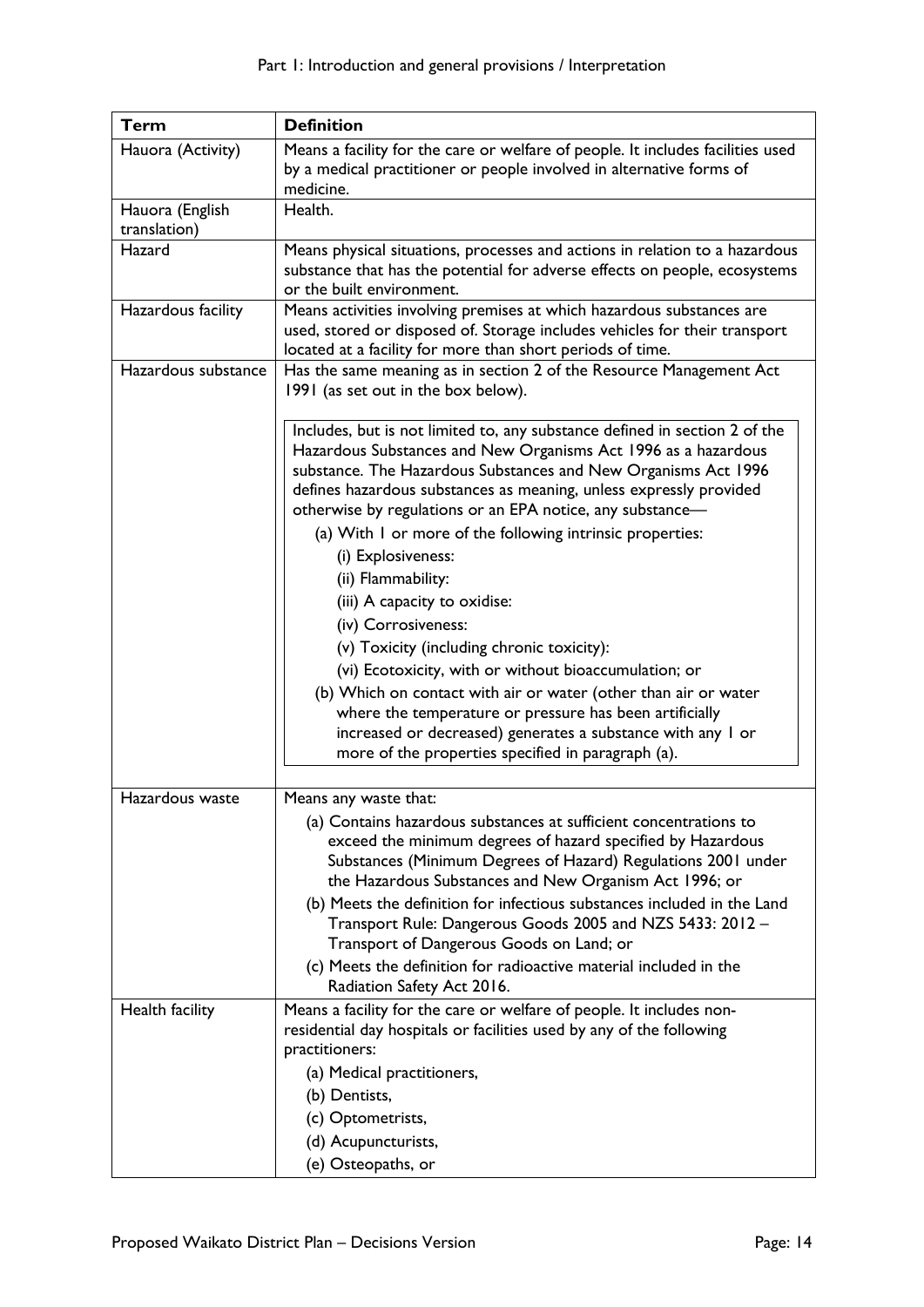| <b>Term</b>                     | <b>Definition</b>                                                                                                                                                                                                                                                                                                                                 |
|---------------------------------|---------------------------------------------------------------------------------------------------------------------------------------------------------------------------------------------------------------------------------------------------------------------------------------------------------------------------------------------------|
| Hauora (Activity)               | Means a facility for the care or welfare of people. It includes facilities used<br>by a medical practitioner or people involved in alternative forms of<br>medicine.                                                                                                                                                                              |
| Hauora (English<br>translation) | Health.                                                                                                                                                                                                                                                                                                                                           |
| Hazard                          | Means physical situations, processes and actions in relation to a hazardous<br>substance that has the potential for adverse effects on people, ecosystems<br>or the built environment.                                                                                                                                                            |
| Hazardous facility              | Means activities involving premises at which hazardous substances are<br>used, stored or disposed of. Storage includes vehicles for their transport<br>located at a facility for more than short periods of time.                                                                                                                                 |
| Hazardous substance             | Has the same meaning as in section 2 of the Resource Management Act<br>1991 (as set out in the box below).                                                                                                                                                                                                                                        |
|                                 | Includes, but is not limited to, any substance defined in section 2 of the<br>Hazardous Substances and New Organisms Act 1996 as a hazardous<br>substance. The Hazardous Substances and New Organisms Act 1996<br>defines hazardous substances as meaning, unless expressly provided<br>otherwise by regulations or an EPA notice, any substance- |
|                                 | (a) With I or more of the following intrinsic properties:<br>(i) Explosiveness:                                                                                                                                                                                                                                                                   |
|                                 | (ii) Flammability:<br>(iii) A capacity to oxidise:                                                                                                                                                                                                                                                                                                |
|                                 | (iv) Corrosiveness:                                                                                                                                                                                                                                                                                                                               |
|                                 | (v) Toxicity (including chronic toxicity):                                                                                                                                                                                                                                                                                                        |
|                                 | (vi) Ecotoxicity, with or without bioaccumulation; or                                                                                                                                                                                                                                                                                             |
|                                 | (b) Which on contact with air or water (other than air or water<br>where the temperature or pressure has been artificially<br>increased or decreased) generates a substance with any I or<br>more of the properties specified in paragraph (a).                                                                                                   |
|                                 |                                                                                                                                                                                                                                                                                                                                                   |
| Hazardous waste                 | Means any waste that:                                                                                                                                                                                                                                                                                                                             |
|                                 | (a) Contains hazardous substances at sufficient concentrations to<br>exceed the minimum degrees of hazard specified by Hazardous<br>Substances (Minimum Degrees of Hazard) Regulations 2001 under<br>the Hazardous Substances and New Organism Act 1996; or                                                                                       |
|                                 | (b) Meets the definition for infectious substances included in the Land<br>Transport Rule: Dangerous Goods 2005 and NZS 5433: 2012 -<br>Transport of Dangerous Goods on Land; or                                                                                                                                                                  |
|                                 | (c) Meets the definition for radioactive material included in the<br>Radiation Safety Act 2016.                                                                                                                                                                                                                                                   |
| Health facility                 | Means a facility for the care or welfare of people. It includes non-<br>residential day hospitals or facilities used by any of the following<br>practitioners:                                                                                                                                                                                    |
|                                 | (a) Medical practitioners,                                                                                                                                                                                                                                                                                                                        |
|                                 | (b) Dentists,                                                                                                                                                                                                                                                                                                                                     |
|                                 | (c) Optometrists,                                                                                                                                                                                                                                                                                                                                 |
|                                 | (d) Acupuncturists,                                                                                                                                                                                                                                                                                                                               |
|                                 | (e) Osteopaths, or                                                                                                                                                                                                                                                                                                                                |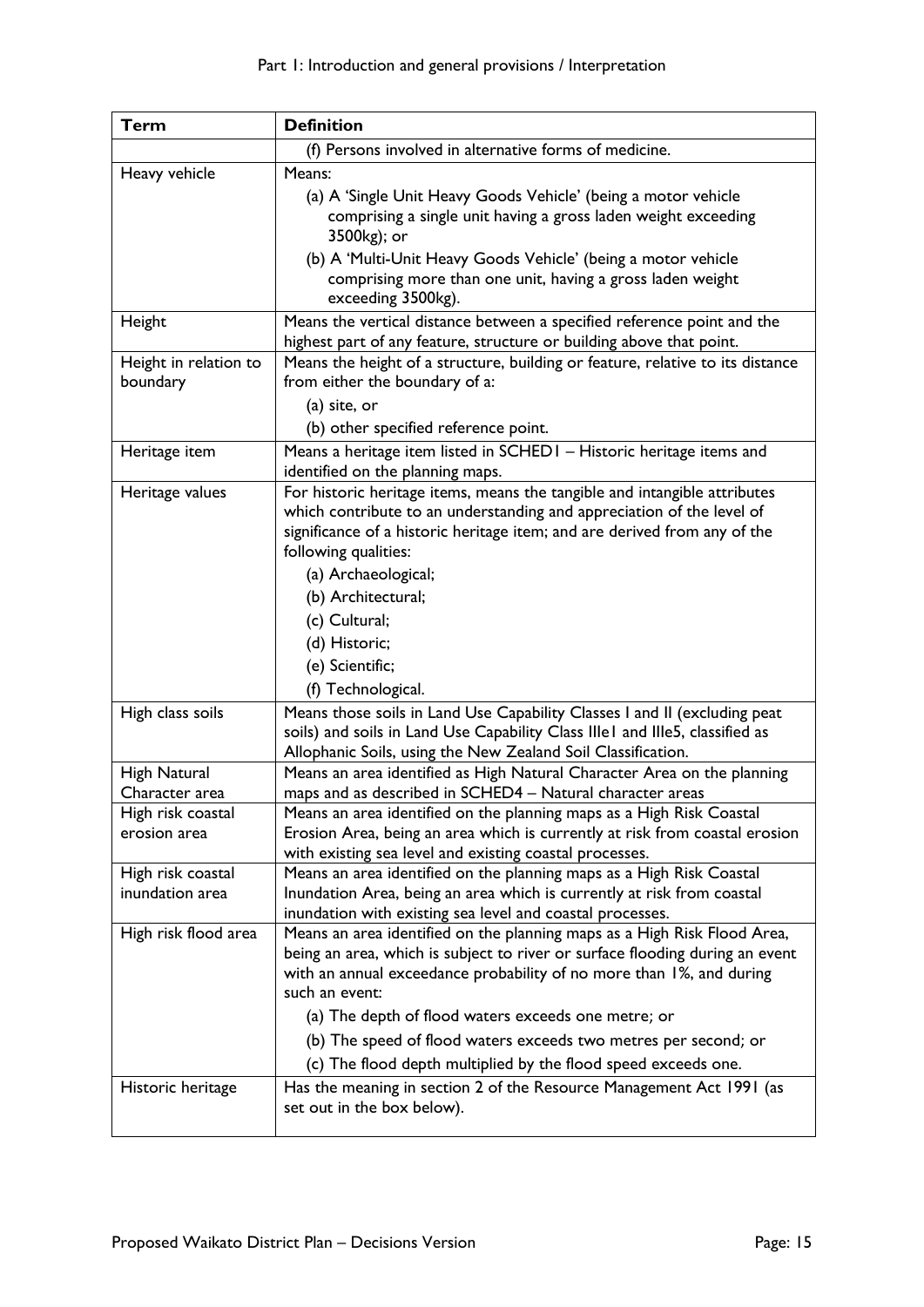| <b>Term</b>           | <b>Definition</b>                                                                                                                                        |
|-----------------------|----------------------------------------------------------------------------------------------------------------------------------------------------------|
|                       | (f) Persons involved in alternative forms of medicine.                                                                                                   |
| Heavy vehicle         | Means:                                                                                                                                                   |
|                       | (a) A 'Single Unit Heavy Goods Vehicle' (being a motor vehicle                                                                                           |
|                       | comprising a single unit having a gross laden weight exceeding<br>3500kg); or                                                                            |
|                       | (b) A 'Multi-Unit Heavy Goods Vehicle' (being a motor vehicle                                                                                            |
|                       | comprising more than one unit, having a gross laden weight<br>exceeding 3500kg).                                                                         |
| Height                | Means the vertical distance between a specified reference point and the                                                                                  |
|                       | highest part of any feature, structure or building above that point.                                                                                     |
| Height in relation to | Means the height of a structure, building or feature, relative to its distance                                                                           |
| boundary              | from either the boundary of a:                                                                                                                           |
|                       | (a) site, or                                                                                                                                             |
|                       | (b) other specified reference point.                                                                                                                     |
| Heritage item         | Means a heritage item listed in SCHED1 - Historic heritage items and<br>identified on the planning maps.                                                 |
| Heritage values       | For historic heritage items, means the tangible and intangible attributes                                                                                |
|                       | which contribute to an understanding and appreciation of the level of                                                                                    |
|                       | significance of a historic heritage item; and are derived from any of the                                                                                |
|                       | following qualities:                                                                                                                                     |
|                       | (a) Archaeological;                                                                                                                                      |
|                       | (b) Architectural;                                                                                                                                       |
|                       | (c) Cultural;                                                                                                                                            |
|                       | (d) Historic;                                                                                                                                            |
|                       | (e) Scientific;                                                                                                                                          |
|                       | (f) Technological.                                                                                                                                       |
| High class soils      | Means those soils in Land Use Capability Classes I and II (excluding peat                                                                                |
|                       | soils) and soils in Land Use Capability Class IIIe1 and IIIe5, classified as                                                                             |
| High Natural          | Allophanic Soils, using the New Zealand Soil Classification.<br>Means an area identified as High Natural Character Area on the planning                  |
| Character area        | maps and as described in SCHED4 - Natural character areas                                                                                                |
| High risk coastal     | Means an area identified on the planning maps as a High Risk Coastal                                                                                     |
| erosion area          | Erosion Area, being an area which is currently at risk from coastal erosion                                                                              |
|                       | with existing sea level and existing coastal processes.                                                                                                  |
| High risk coastal     | Means an area identified on the planning maps as a High Risk Coastal                                                                                     |
| inundation area       | Inundation Area, being an area which is currently at risk from coastal                                                                                   |
|                       | inundation with existing sea level and coastal processes.                                                                                                |
| High risk flood area  | Means an area identified on the planning maps as a High Risk Flood Area,<br>being an area, which is subject to river or surface flooding during an event |
|                       | with an annual exceedance probability of no more than 1%, and during                                                                                     |
|                       | such an event:                                                                                                                                           |
|                       | (a) The depth of flood waters exceeds one metre; or                                                                                                      |
|                       | (b) The speed of flood waters exceeds two metres per second; or                                                                                          |
|                       | (c) The flood depth multiplied by the flood speed exceeds one.                                                                                           |
| Historic heritage     | Has the meaning in section 2 of the Resource Management Act 1991 (as                                                                                     |
|                       | set out in the box below).                                                                                                                               |
|                       |                                                                                                                                                          |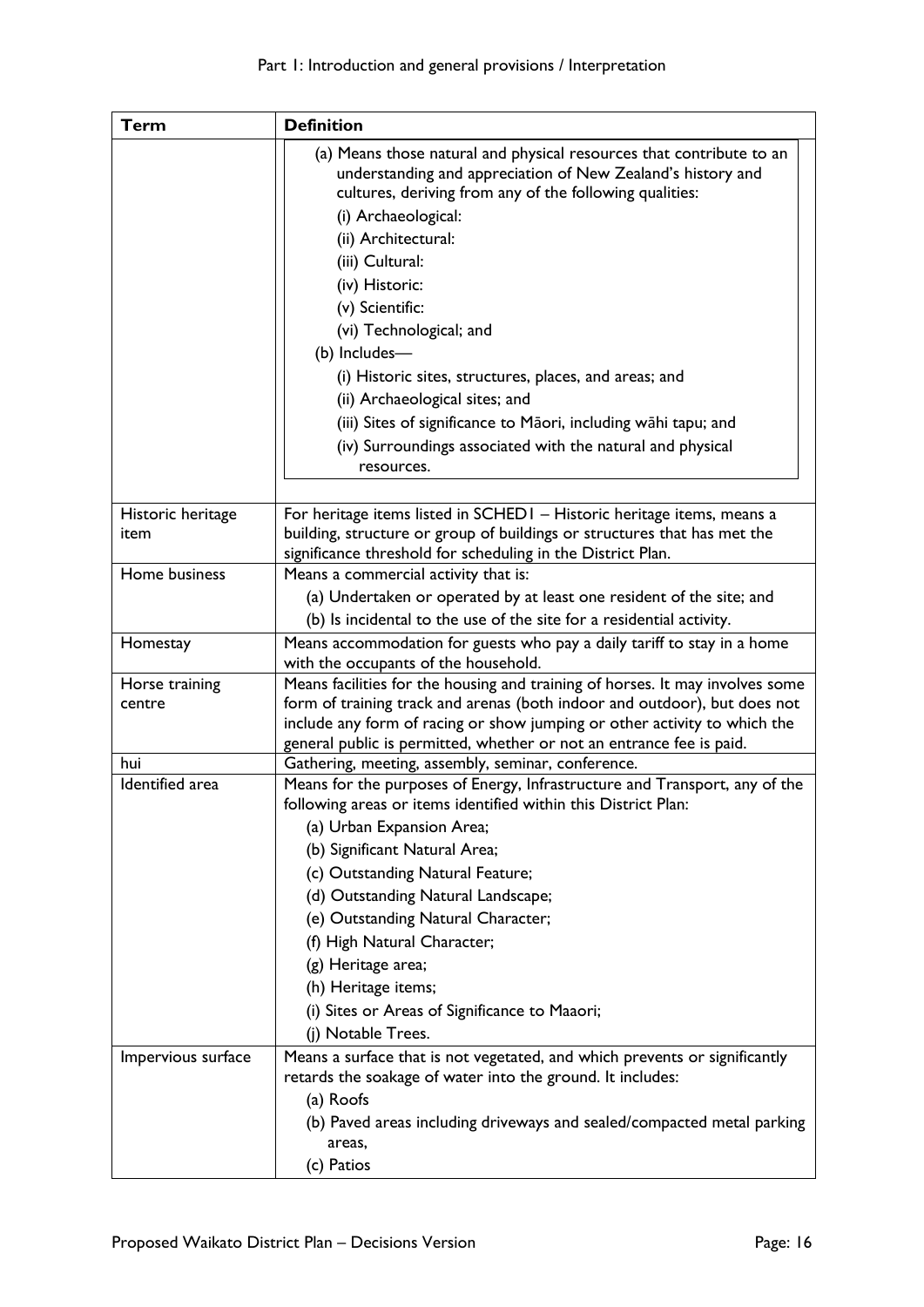| <b>Term</b>               | <b>Definition</b>                                                                                                                                                                                                                                                                 |
|---------------------------|-----------------------------------------------------------------------------------------------------------------------------------------------------------------------------------------------------------------------------------------------------------------------------------|
|                           | (a) Means those natural and physical resources that contribute to an<br>understanding and appreciation of New Zealand's history and<br>cultures, deriving from any of the following qualities:<br>(i) Archaeological:<br>(ii) Architectural:<br>(iii) Cultural:<br>(iv) Historic: |
|                           | (v) Scientific:                                                                                                                                                                                                                                                                   |
|                           | (vi) Technological; and                                                                                                                                                                                                                                                           |
|                           | (b) Includes-                                                                                                                                                                                                                                                                     |
|                           | (i) Historic sites, structures, places, and areas; and                                                                                                                                                                                                                            |
|                           | (ii) Archaeological sites; and                                                                                                                                                                                                                                                    |
|                           | (iii) Sites of significance to Māori, including wāhi tapu; and                                                                                                                                                                                                                    |
|                           | (iv) Surroundings associated with the natural and physical<br>resources.                                                                                                                                                                                                          |
|                           |                                                                                                                                                                                                                                                                                   |
| Historic heritage<br>item | For heritage items listed in SCHEDI - Historic heritage items, means a<br>building, structure or group of buildings or structures that has met the<br>significance threshold for scheduling in the District Plan.                                                                 |
| Home business             | Means a commercial activity that is:                                                                                                                                                                                                                                              |
|                           | (a) Undertaken or operated by at least one resident of the site; and                                                                                                                                                                                                              |
|                           | (b) Is incidental to the use of the site for a residential activity.                                                                                                                                                                                                              |
| Homestay                  | Means accommodation for guests who pay a daily tariff to stay in a home                                                                                                                                                                                                           |
|                           | with the occupants of the household.                                                                                                                                                                                                                                              |
| Horse training<br>centre  | Means facilities for the housing and training of horses. It may involves some<br>form of training track and arenas (both indoor and outdoor), but does not                                                                                                                        |
|                           | include any form of racing or show jumping or other activity to which the<br>general public is permitted, whether or not an entrance fee is paid.                                                                                                                                 |
| hui                       | Gathering, meeting, assembly, seminar, conference.                                                                                                                                                                                                                                |
| Identified area           | Means for the purposes of Energy, Infrastructure and Transport, any of the<br>following areas or items identified within this District Plan:                                                                                                                                      |
|                           | (a) Urban Expansion Area;                                                                                                                                                                                                                                                         |
|                           | (b) Significant Natural Area;                                                                                                                                                                                                                                                     |
|                           | (c) Outstanding Natural Feature;                                                                                                                                                                                                                                                  |
|                           | (d) Outstanding Natural Landscape;                                                                                                                                                                                                                                                |
|                           | (e) Outstanding Natural Character;                                                                                                                                                                                                                                                |
|                           | (f) High Natural Character;                                                                                                                                                                                                                                                       |
|                           | (g) Heritage area;                                                                                                                                                                                                                                                                |
|                           | (h) Heritage items;                                                                                                                                                                                                                                                               |
|                           | (i) Sites or Areas of Significance to Maaori;                                                                                                                                                                                                                                     |
|                           | (j) Notable Trees.                                                                                                                                                                                                                                                                |
| Impervious surface        | Means a surface that is not vegetated, and which prevents or significantly                                                                                                                                                                                                        |
|                           | retards the soakage of water into the ground. It includes:                                                                                                                                                                                                                        |
|                           | (a) Roofs                                                                                                                                                                                                                                                                         |
|                           | (b) Paved areas including driveways and sealed/compacted metal parking                                                                                                                                                                                                            |
|                           | areas,                                                                                                                                                                                                                                                                            |
|                           | (c) Patios                                                                                                                                                                                                                                                                        |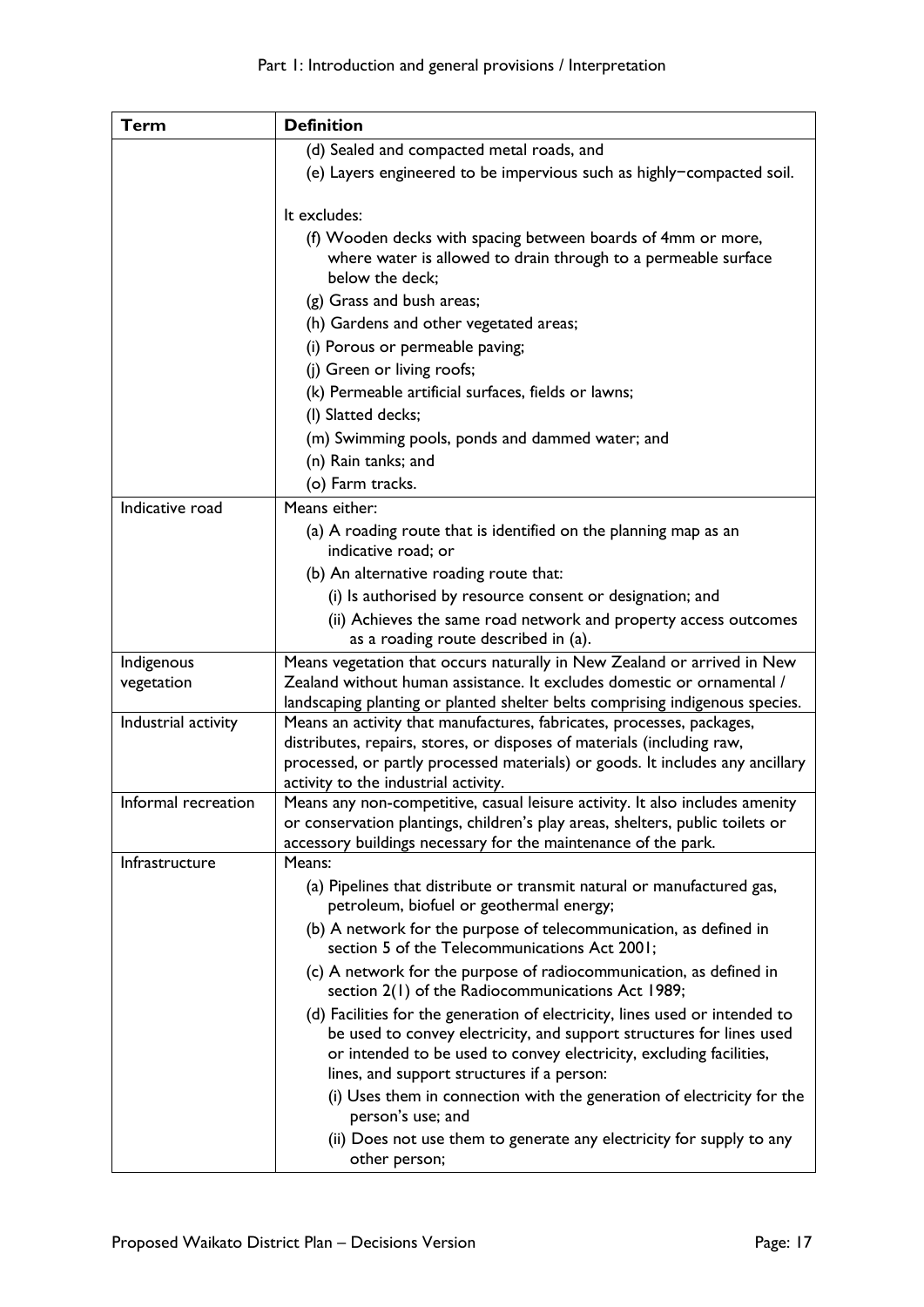| <b>Term</b>         | <b>Definition</b>                                                                                                                                     |
|---------------------|-------------------------------------------------------------------------------------------------------------------------------------------------------|
|                     | (d) Sealed and compacted metal roads, and                                                                                                             |
|                     | (e) Layers engineered to be impervious such as highly-compacted soil.                                                                                 |
|                     |                                                                                                                                                       |
|                     | It excludes:                                                                                                                                          |
|                     | (f) Wooden decks with spacing between boards of 4mm or more,                                                                                          |
|                     | where water is allowed to drain through to a permeable surface<br>below the deck;                                                                     |
|                     |                                                                                                                                                       |
|                     | (g) Grass and bush areas;                                                                                                                             |
|                     | (h) Gardens and other vegetated areas;                                                                                                                |
|                     | (i) Porous or permeable paving;                                                                                                                       |
|                     | (j) Green or living roofs;                                                                                                                            |
|                     | (k) Permeable artificial surfaces, fields or lawns;                                                                                                   |
|                     | (I) Slatted decks;                                                                                                                                    |
|                     | (m) Swimming pools, ponds and dammed water; and                                                                                                       |
|                     | (n) Rain tanks; and                                                                                                                                   |
|                     | (o) Farm tracks.                                                                                                                                      |
| Indicative road     | Means either:                                                                                                                                         |
|                     | (a) A roading route that is identified on the planning map as an<br>indicative road; or                                                               |
|                     | (b) An alternative roading route that:                                                                                                                |
|                     | (i) Is authorised by resource consent or designation; and                                                                                             |
|                     | (ii) Achieves the same road network and property access outcomes                                                                                      |
|                     | as a roading route described in (a).                                                                                                                  |
| Indigenous          | Means vegetation that occurs naturally in New Zealand or arrived in New                                                                               |
| vegetation          | Zealand without human assistance. It excludes domestic or ornamental /                                                                                |
| Industrial activity | landscaping planting or planted shelter belts comprising indigenous species.<br>Means an activity that manufactures, fabricates, processes, packages, |
|                     | distributes, repairs, stores, or disposes of materials (including raw,                                                                                |
|                     | processed, or partly processed materials) or goods. It includes any ancillary                                                                         |
|                     | activity to the industrial activity.                                                                                                                  |
| Informal recreation | Means any non-competitive, casual leisure activity. It also includes amenity                                                                          |
|                     | or conservation plantings, children's play areas, shelters, public toilets or                                                                         |
| Infrastructure      | accessory buildings necessary for the maintenance of the park.<br>Means:                                                                              |
|                     | (a) Pipelines that distribute or transmit natural or manufactured gas,                                                                                |
|                     | petroleum, biofuel or geothermal energy;                                                                                                              |
|                     | (b) A network for the purpose of telecommunication, as defined in                                                                                     |
|                     | section 5 of the Telecommunications Act 2001;                                                                                                         |
|                     | (c) A network for the purpose of radiocommunication, as defined in<br>section 2(1) of the Radiocommunications Act 1989;                               |
|                     | (d) Facilities for the generation of electricity, lines used or intended to                                                                           |
|                     | be used to convey electricity, and support structures for lines used                                                                                  |
|                     | or intended to be used to convey electricity, excluding facilities,                                                                                   |
|                     | lines, and support structures if a person:                                                                                                            |
|                     | (i) Uses them in connection with the generation of electricity for the<br>person's use; and                                                           |
|                     | (ii) Does not use them to generate any electricity for supply to any                                                                                  |
|                     | other person;                                                                                                                                         |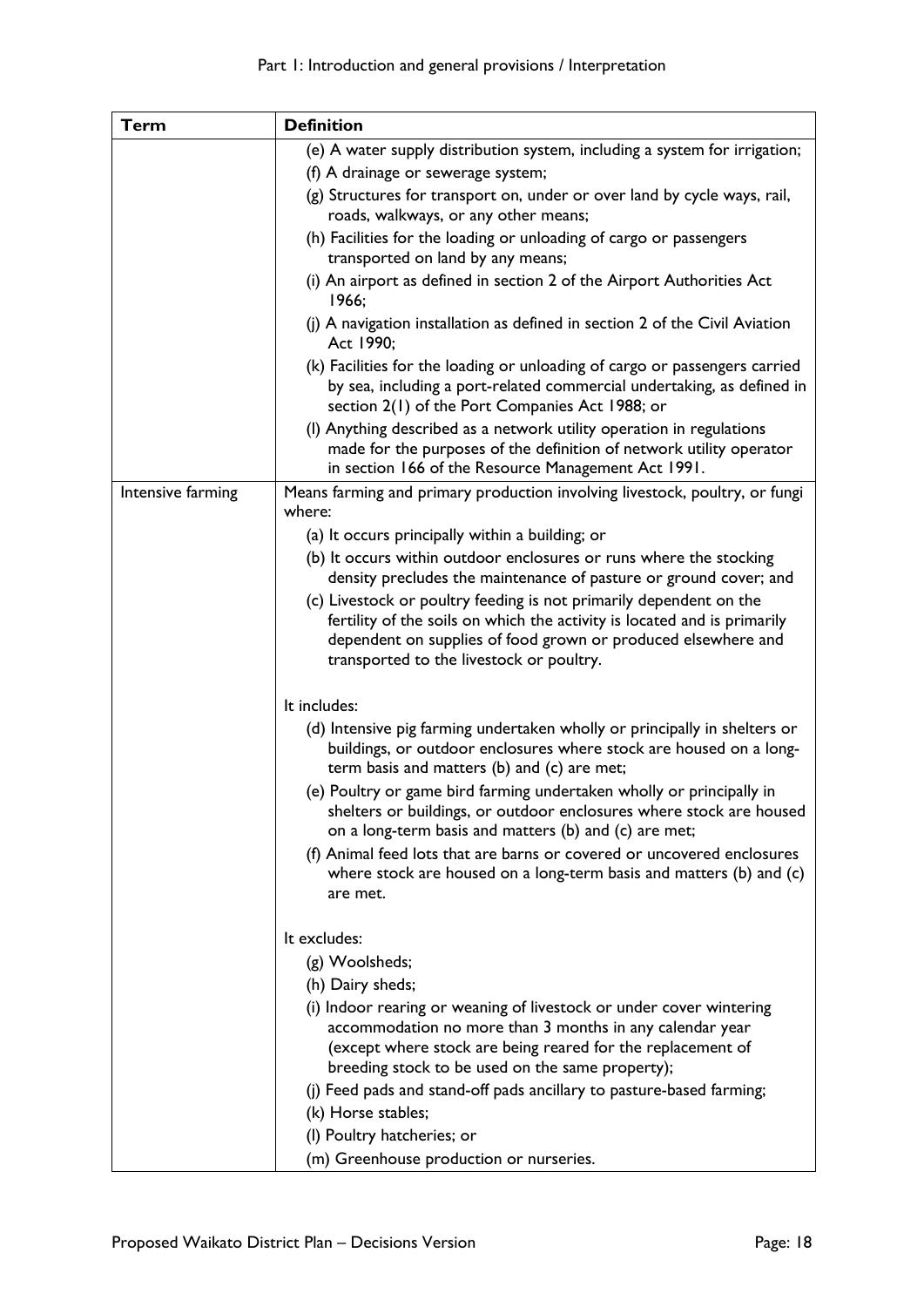| <b>Term</b>       | <b>Definition</b>                                                                                                                                                                                                                                  |
|-------------------|----------------------------------------------------------------------------------------------------------------------------------------------------------------------------------------------------------------------------------------------------|
|                   | (e) A water supply distribution system, including a system for irrigation;                                                                                                                                                                         |
|                   | (f) A drainage or sewerage system;                                                                                                                                                                                                                 |
|                   | (g) Structures for transport on, under or over land by cycle ways, rail,                                                                                                                                                                           |
|                   | roads, walkways, or any other means;                                                                                                                                                                                                               |
|                   | (h) Facilities for the loading or unloading of cargo or passengers<br>transported on land by any means;                                                                                                                                            |
|                   | (i) An airport as defined in section 2 of the Airport Authorities Act<br>1966;                                                                                                                                                                     |
|                   | (j) A navigation installation as defined in section 2 of the Civil Aviation<br>Act 1990;                                                                                                                                                           |
|                   | (k) Facilities for the loading or unloading of cargo or passengers carried<br>by sea, including a port-related commercial undertaking, as defined in<br>section 2(1) of the Port Companies Act 1988; or                                            |
|                   | (I) Anything described as a network utility operation in regulations<br>made for the purposes of the definition of network utility operator<br>in section 166 of the Resource Management Act 1991.                                                 |
| Intensive farming | Means farming and primary production involving livestock, poultry, or fungi<br>where:                                                                                                                                                              |
|                   | (a) It occurs principally within a building; or                                                                                                                                                                                                    |
|                   | (b) It occurs within outdoor enclosures or runs where the stocking                                                                                                                                                                                 |
|                   | density precludes the maintenance of pasture or ground cover; and                                                                                                                                                                                  |
|                   | (c) Livestock or poultry feeding is not primarily dependent on the                                                                                                                                                                                 |
|                   | fertility of the soils on which the activity is located and is primarily                                                                                                                                                                           |
|                   | dependent on supplies of food grown or produced elsewhere and<br>transported to the livestock or poultry.                                                                                                                                          |
|                   | It includes:                                                                                                                                                                                                                                       |
|                   | (d) Intensive pig farming undertaken wholly or principally in shelters or<br>buildings, or outdoor enclosures where stock are housed on a long-<br>term basis and matters (b) and (c) are met;                                                     |
|                   | (e) Poultry or game bird farming undertaken wholly or principally in<br>shelters or buildings, or outdoor enclosures where stock are housed<br>on a long-term basis and matters (b) and (c) are met;                                               |
|                   | (f) Animal feed lots that are barns or covered or uncovered enclosures                                                                                                                                                                             |
|                   | where stock are housed on a long-term basis and matters (b) and (c)<br>are met.                                                                                                                                                                    |
|                   | It excludes:                                                                                                                                                                                                                                       |
|                   | (g) Woolsheds;                                                                                                                                                                                                                                     |
|                   | (h) Dairy sheds;                                                                                                                                                                                                                                   |
|                   | (i) Indoor rearing or weaning of livestock or under cover wintering<br>accommodation no more than 3 months in any calendar year<br>(except where stock are being reared for the replacement of<br>breeding stock to be used on the same property); |
|                   | (j) Feed pads and stand-off pads ancillary to pasture-based farming;                                                                                                                                                                               |
|                   | (k) Horse stables;                                                                                                                                                                                                                                 |
|                   | (I) Poultry hatcheries; or                                                                                                                                                                                                                         |
|                   | (m) Greenhouse production or nurseries.                                                                                                                                                                                                            |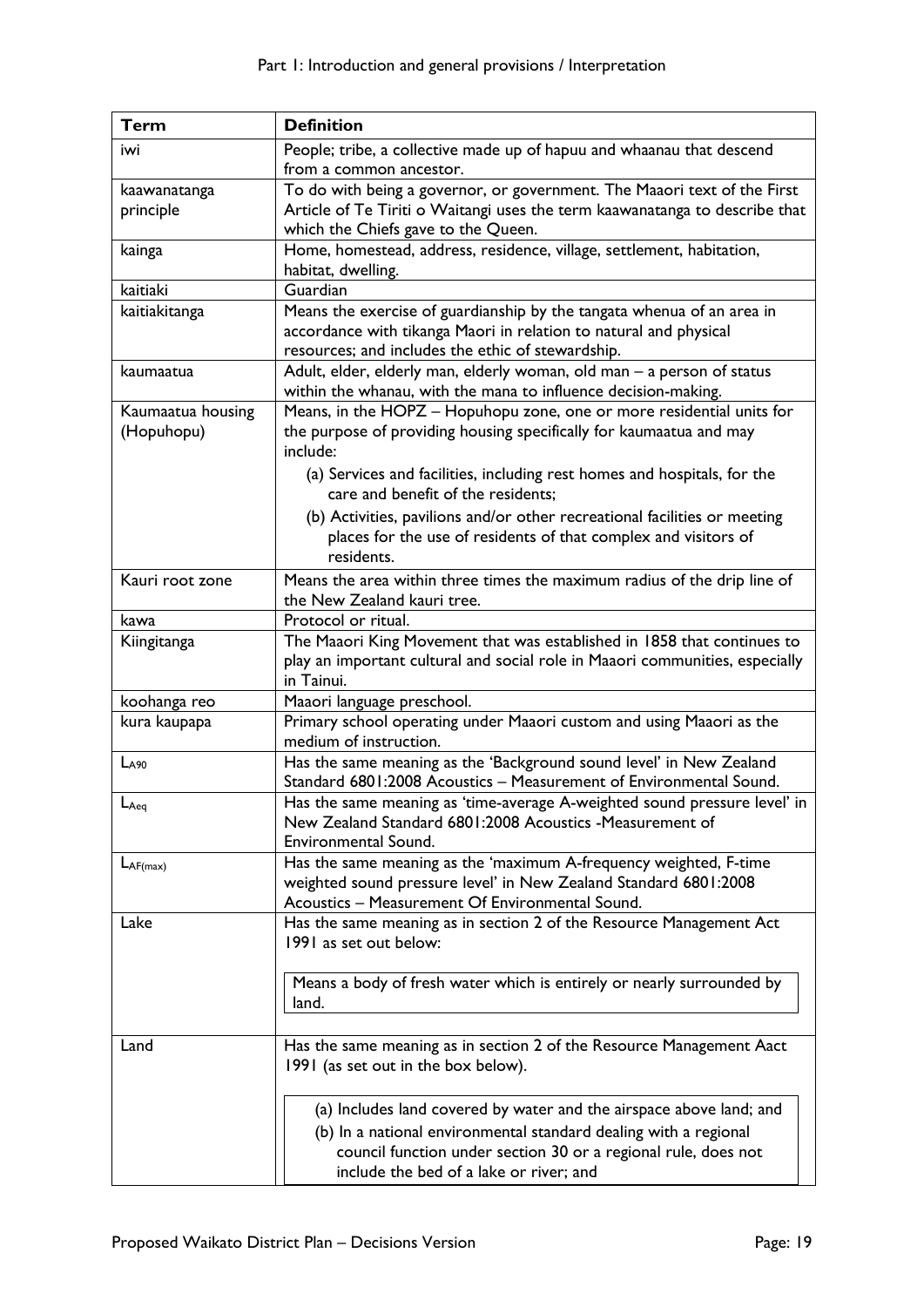| <b>Term</b>       | <b>Definition</b>                                                            |
|-------------------|------------------------------------------------------------------------------|
| iwi               | People; tribe, a collective made up of hapuu and whaanau that descend        |
|                   | from a common ancestor.                                                      |
| kaawanatanga      | To do with being a governor, or government. The Maaori text of the First     |
| principle         | Article of Te Tiriti o Waitangi uses the term kaawanatanga to describe that  |
|                   | which the Chiefs gave to the Queen.                                          |
| kainga            | Home, homestead, address, residence, village, settlement, habitation,        |
|                   | habitat, dwelling.                                                           |
| kaitiaki          | Guardian                                                                     |
| kaitiakitanga     | Means the exercise of guardianship by the tangata whenua of an area in       |
|                   | accordance with tikanga Maori in relation to natural and physical            |
|                   | resources; and includes the ethic of stewardship.                            |
| kaumaatua         | Adult, elder, elderly man, elderly woman, old man - a person of status       |
|                   | within the whanau, with the mana to influence decision-making.               |
| Kaumaatua housing | Means, in the HOPZ - Hopuhopu zone, one or more residential units for        |
| (Hopuhopu)        | the purpose of providing housing specifically for kaumaatua and may          |
|                   | include:                                                                     |
|                   | (a) Services and facilities, including rest homes and hospitals, for the     |
|                   | care and benefit of the residents;                                           |
|                   | (b) Activities, pavilions and/or other recreational facilities or meeting    |
|                   | places for the use of residents of that complex and visitors of              |
|                   | residents.                                                                   |
| Kauri root zone   | Means the area within three times the maximum radius of the drip line of     |
|                   | the New Zealand kauri tree.                                                  |
| kawa              | Protocol or ritual.                                                          |
| Kiingitanga       | The Maaori King Movement that was established in 1858 that continues to      |
|                   | play an important cultural and social role in Maaori communities, especially |
|                   | in Tainui.                                                                   |
| koohanga reo      | Maaori language preschool.                                                   |
| kura kaupapa      | Primary school operating under Maaori custom and using Maaori as the         |
|                   | medium of instruction.                                                       |
| $L_{A90}$         | Has the same meaning as the 'Background sound level' in New Zealand          |
|                   | Standard 6801:2008 Acoustics - Measurement of Environmental Sound.           |
| $L_{Aeq}$         | Has the same meaning as 'time-average A-weighted sound pressure level' in    |
|                   | New Zealand Standard 6801:2008 Acoustics -Measurement of                     |
|                   | Environmental Sound.                                                         |
| $L_{AF(max)}$     | Has the same meaning as the 'maximum A-frequency weighted, F-time            |
|                   | weighted sound pressure level' in New Zealand Standard 6801:2008             |
|                   | Acoustics - Measurement Of Environmental Sound.                              |
| Lake              | Has the same meaning as in section 2 of the Resource Management Act          |
|                   | 1991 as set out below:                                                       |
|                   |                                                                              |
|                   | Means a body of fresh water which is entirely or nearly surrounded by        |
|                   | land.                                                                        |
|                   |                                                                              |
| Land              | Has the same meaning as in section 2 of the Resource Management Aact         |
|                   | 1991 (as set out in the box below).                                          |
|                   |                                                                              |
|                   | (a) Includes land covered by water and the airspace above land; and          |
|                   | (b) In a national environmental standard dealing with a regional             |
|                   | council function under section 30 or a regional rule, does not               |
|                   | include the bed of a lake or river; and                                      |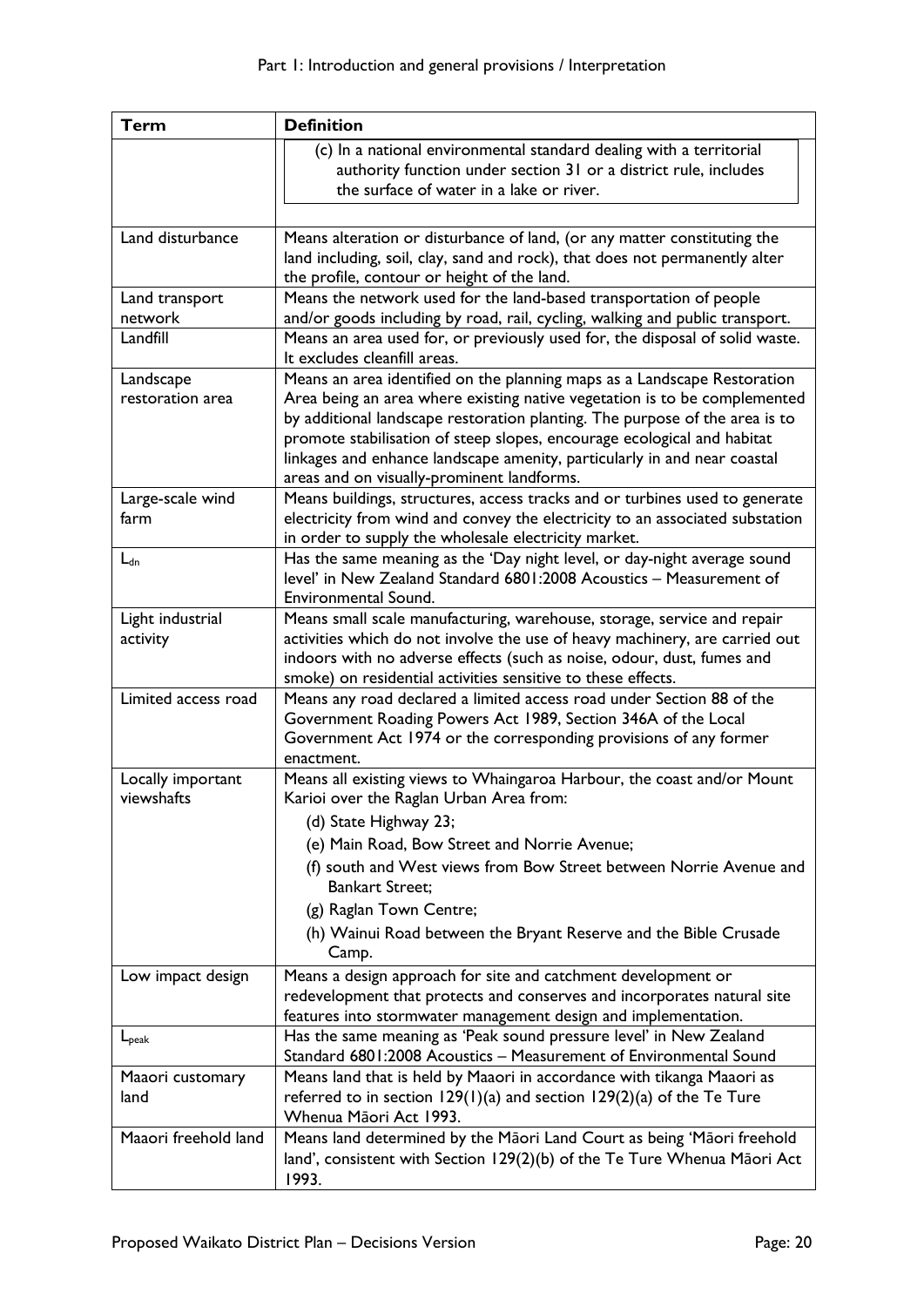| <b>Term</b>          | <b>Definition</b>                                                                                                                      |
|----------------------|----------------------------------------------------------------------------------------------------------------------------------------|
|                      | (c) In a national environmental standard dealing with a territorial                                                                    |
|                      | authority function under section 31 or a district rule, includes                                                                       |
|                      | the surface of water in a lake or river.                                                                                               |
|                      |                                                                                                                                        |
| Land disturbance     | Means alteration or disturbance of land, (or any matter constituting the                                                               |
|                      | land including, soil, clay, sand and rock), that does not permanently alter                                                            |
|                      | the profile, contour or height of the land.                                                                                            |
| Land transport       | Means the network used for the land-based transportation of people                                                                     |
| network              | and/or goods including by road, rail, cycling, walking and public transport.                                                           |
| Landfill             | Means an area used for, or previously used for, the disposal of solid waste.<br>It excludes cleanfill areas.                           |
| Landscape            | Means an area identified on the planning maps as a Landscape Restoration                                                               |
| restoration area     | Area being an area where existing native vegetation is to be complemented                                                              |
|                      | by additional landscape restoration planting. The purpose of the area is to                                                            |
|                      | promote stabilisation of steep slopes, encourage ecological and habitat                                                                |
|                      | linkages and enhance landscape amenity, particularly in and near coastal                                                               |
|                      | areas and on visually-prominent landforms.                                                                                             |
| Large-scale wind     | Means buildings, structures, access tracks and or turbines used to generate                                                            |
| farm                 | electricity from wind and convey the electricity to an associated substation                                                           |
|                      | in order to supply the wholesale electricity market.                                                                                   |
| $L_{dn}$             | Has the same meaning as the 'Day night level, or day-night average sound                                                               |
|                      | level' in New Zealand Standard 6801:2008 Acoustics - Measurement of                                                                    |
|                      | Environmental Sound.                                                                                                                   |
| Light industrial     | Means small scale manufacturing, warehouse, storage, service and repair                                                                |
| activity             | activities which do not involve the use of heavy machinery, are carried out                                                            |
|                      | indoors with no adverse effects (such as noise, odour, dust, fumes and<br>smoke) on residential activities sensitive to these effects. |
| Limited access road  | Means any road declared a limited access road under Section 88 of the                                                                  |
|                      | Government Roading Powers Act 1989, Section 346A of the Local                                                                          |
|                      | Government Act 1974 or the corresponding provisions of any former                                                                      |
|                      | enactment.                                                                                                                             |
| Locally important    | Means all existing views to Whaingaroa Harbour, the coast and/or Mount                                                                 |
| viewshafts           | Karioi over the Raglan Urban Area from:                                                                                                |
|                      | (d) State Highway 23;                                                                                                                  |
|                      | (e) Main Road, Bow Street and Norrie Avenue;                                                                                           |
|                      | (f) south and West views from Bow Street between Norrie Avenue and                                                                     |
|                      | <b>Bankart Street:</b>                                                                                                                 |
|                      | (g) Raglan Town Centre;                                                                                                                |
|                      | (h) Wainui Road between the Bryant Reserve and the Bible Crusade                                                                       |
|                      | Camp.                                                                                                                                  |
| Low impact design    | Means a design approach for site and catchment development or                                                                          |
|                      | redevelopment that protects and conserves and incorporates natural site                                                                |
|                      | features into stormwater management design and implementation.                                                                         |
| $L_{\rm peak}$       | Has the same meaning as 'Peak sound pressure level' in New Zealand                                                                     |
|                      | Standard 6801:2008 Acoustics - Measurement of Environmental Sound                                                                      |
| Maaori customary     | Means land that is held by Maaori in accordance with tikanga Maaori as                                                                 |
| land                 | referred to in section $129(1)(a)$ and section $129(2)(a)$ of the Te Ture                                                              |
| Maaori freehold land | Whenua Māori Act 1993.                                                                                                                 |
|                      | Means land determined by the Māori Land Court as being 'Māori freehold                                                                 |
|                      | land', consistent with Section 129(2)(b) of the Te Ture Whenua Māori Act<br>1993.                                                      |
|                      |                                                                                                                                        |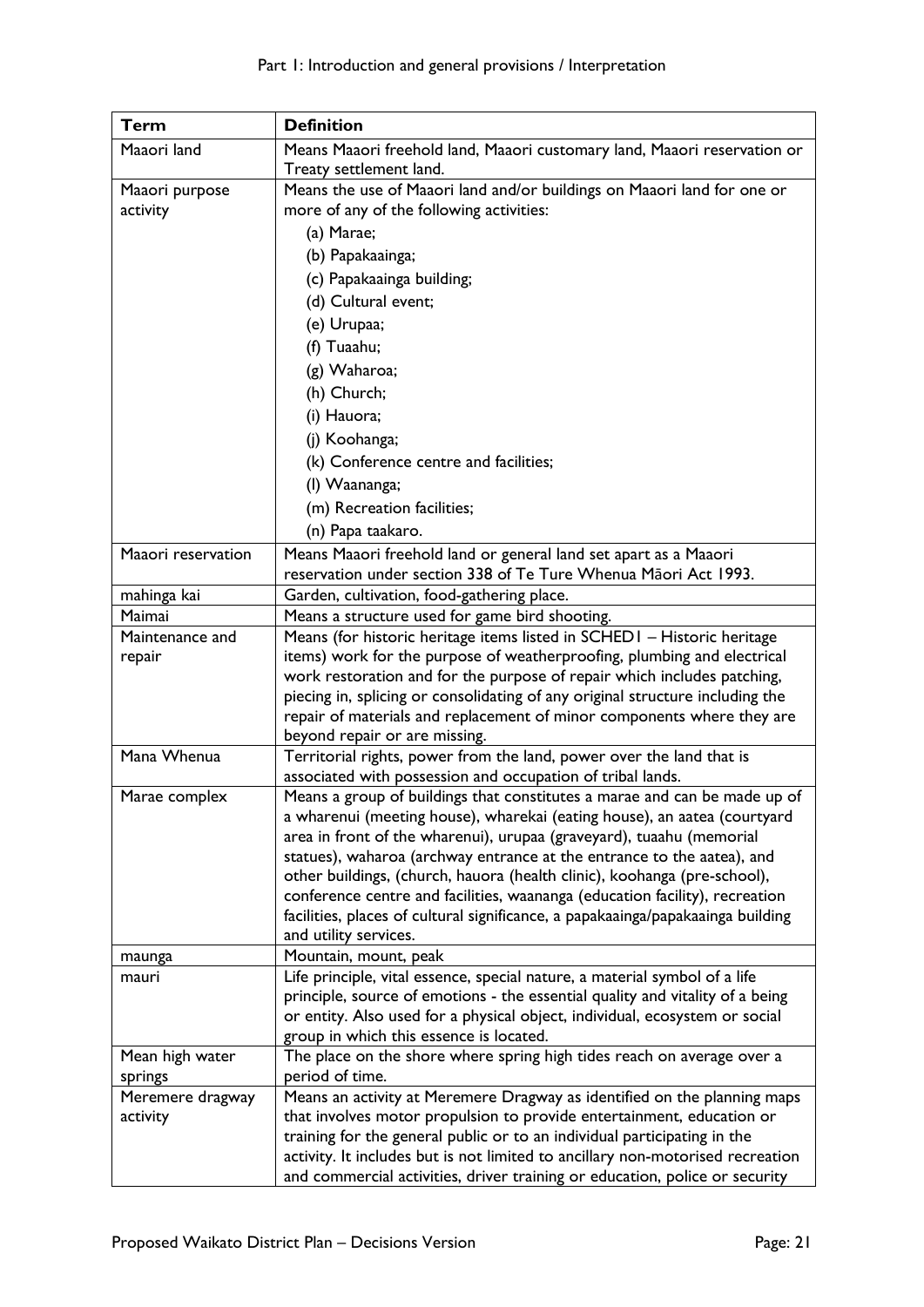| <b>Term</b>                           | <b>Definition</b>                                                                                                                                                                                                                                                                                                                                                                                                                                                                                                                                                                                                                                                                                                                                                                                                                                                                                                                                                                                                                                                                                                                                                                                                                                                                                                                                                                                                                         |
|---------------------------------------|-------------------------------------------------------------------------------------------------------------------------------------------------------------------------------------------------------------------------------------------------------------------------------------------------------------------------------------------------------------------------------------------------------------------------------------------------------------------------------------------------------------------------------------------------------------------------------------------------------------------------------------------------------------------------------------------------------------------------------------------------------------------------------------------------------------------------------------------------------------------------------------------------------------------------------------------------------------------------------------------------------------------------------------------------------------------------------------------------------------------------------------------------------------------------------------------------------------------------------------------------------------------------------------------------------------------------------------------------------------------------------------------------------------------------------------------|
| Maaori land                           | Means Maaori freehold land, Maaori customary land, Maaori reservation or                                                                                                                                                                                                                                                                                                                                                                                                                                                                                                                                                                                                                                                                                                                                                                                                                                                                                                                                                                                                                                                                                                                                                                                                                                                                                                                                                                  |
|                                       | Treaty settlement land.                                                                                                                                                                                                                                                                                                                                                                                                                                                                                                                                                                                                                                                                                                                                                                                                                                                                                                                                                                                                                                                                                                                                                                                                                                                                                                                                                                                                                   |
| Maaori purpose                        | Means the use of Maaori land and/or buildings on Maaori land for one or                                                                                                                                                                                                                                                                                                                                                                                                                                                                                                                                                                                                                                                                                                                                                                                                                                                                                                                                                                                                                                                                                                                                                                                                                                                                                                                                                                   |
| activity                              | more of any of the following activities:                                                                                                                                                                                                                                                                                                                                                                                                                                                                                                                                                                                                                                                                                                                                                                                                                                                                                                                                                                                                                                                                                                                                                                                                                                                                                                                                                                                                  |
|                                       | (a) Marae;                                                                                                                                                                                                                                                                                                                                                                                                                                                                                                                                                                                                                                                                                                                                                                                                                                                                                                                                                                                                                                                                                                                                                                                                                                                                                                                                                                                                                                |
|                                       | (b) Papakaainga;                                                                                                                                                                                                                                                                                                                                                                                                                                                                                                                                                                                                                                                                                                                                                                                                                                                                                                                                                                                                                                                                                                                                                                                                                                                                                                                                                                                                                          |
|                                       | (c) Papakaainga building;                                                                                                                                                                                                                                                                                                                                                                                                                                                                                                                                                                                                                                                                                                                                                                                                                                                                                                                                                                                                                                                                                                                                                                                                                                                                                                                                                                                                                 |
|                                       | (d) Cultural event;                                                                                                                                                                                                                                                                                                                                                                                                                                                                                                                                                                                                                                                                                                                                                                                                                                                                                                                                                                                                                                                                                                                                                                                                                                                                                                                                                                                                                       |
|                                       | (e) Urupaa;                                                                                                                                                                                                                                                                                                                                                                                                                                                                                                                                                                                                                                                                                                                                                                                                                                                                                                                                                                                                                                                                                                                                                                                                                                                                                                                                                                                                                               |
|                                       | (f) Tuaahu;                                                                                                                                                                                                                                                                                                                                                                                                                                                                                                                                                                                                                                                                                                                                                                                                                                                                                                                                                                                                                                                                                                                                                                                                                                                                                                                                                                                                                               |
|                                       | (g) Waharoa;                                                                                                                                                                                                                                                                                                                                                                                                                                                                                                                                                                                                                                                                                                                                                                                                                                                                                                                                                                                                                                                                                                                                                                                                                                                                                                                                                                                                                              |
|                                       | (h) Church;                                                                                                                                                                                                                                                                                                                                                                                                                                                                                                                                                                                                                                                                                                                                                                                                                                                                                                                                                                                                                                                                                                                                                                                                                                                                                                                                                                                                                               |
|                                       | (i) Hauora;                                                                                                                                                                                                                                                                                                                                                                                                                                                                                                                                                                                                                                                                                                                                                                                                                                                                                                                                                                                                                                                                                                                                                                                                                                                                                                                                                                                                                               |
|                                       |                                                                                                                                                                                                                                                                                                                                                                                                                                                                                                                                                                                                                                                                                                                                                                                                                                                                                                                                                                                                                                                                                                                                                                                                                                                                                                                                                                                                                                           |
|                                       | (j) Koohanga;                                                                                                                                                                                                                                                                                                                                                                                                                                                                                                                                                                                                                                                                                                                                                                                                                                                                                                                                                                                                                                                                                                                                                                                                                                                                                                                                                                                                                             |
|                                       | (k) Conference centre and facilities;                                                                                                                                                                                                                                                                                                                                                                                                                                                                                                                                                                                                                                                                                                                                                                                                                                                                                                                                                                                                                                                                                                                                                                                                                                                                                                                                                                                                     |
|                                       | (I) Waananga;                                                                                                                                                                                                                                                                                                                                                                                                                                                                                                                                                                                                                                                                                                                                                                                                                                                                                                                                                                                                                                                                                                                                                                                                                                                                                                                                                                                                                             |
|                                       | (m) Recreation facilities;                                                                                                                                                                                                                                                                                                                                                                                                                                                                                                                                                                                                                                                                                                                                                                                                                                                                                                                                                                                                                                                                                                                                                                                                                                                                                                                                                                                                                |
|                                       | (n) Papa taakaro.                                                                                                                                                                                                                                                                                                                                                                                                                                                                                                                                                                                                                                                                                                                                                                                                                                                                                                                                                                                                                                                                                                                                                                                                                                                                                                                                                                                                                         |
| Maaori reservation                    | Means Maaori freehold land or general land set apart as a Maaori                                                                                                                                                                                                                                                                                                                                                                                                                                                                                                                                                                                                                                                                                                                                                                                                                                                                                                                                                                                                                                                                                                                                                                                                                                                                                                                                                                          |
|                                       | reservation under section 338 of Te Ture Whenua Māori Act 1993.                                                                                                                                                                                                                                                                                                                                                                                                                                                                                                                                                                                                                                                                                                                                                                                                                                                                                                                                                                                                                                                                                                                                                                                                                                                                                                                                                                           |
| mahinga kai                           | Garden, cultivation, food-gathering place.                                                                                                                                                                                                                                                                                                                                                                                                                                                                                                                                                                                                                                                                                                                                                                                                                                                                                                                                                                                                                                                                                                                                                                                                                                                                                                                                                                                                |
| Maimai                                | Means a structure used for game bird shooting.                                                                                                                                                                                                                                                                                                                                                                                                                                                                                                                                                                                                                                                                                                                                                                                                                                                                                                                                                                                                                                                                                                                                                                                                                                                                                                                                                                                            |
| Maintenance and                       | Means (for historic heritage items listed in SCHEDI - Historic heritage                                                                                                                                                                                                                                                                                                                                                                                                                                                                                                                                                                                                                                                                                                                                                                                                                                                                                                                                                                                                                                                                                                                                                                                                                                                                                                                                                                   |
|                                       |                                                                                                                                                                                                                                                                                                                                                                                                                                                                                                                                                                                                                                                                                                                                                                                                                                                                                                                                                                                                                                                                                                                                                                                                                                                                                                                                                                                                                                           |
|                                       |                                                                                                                                                                                                                                                                                                                                                                                                                                                                                                                                                                                                                                                                                                                                                                                                                                                                                                                                                                                                                                                                                                                                                                                                                                                                                                                                                                                                                                           |
|                                       |                                                                                                                                                                                                                                                                                                                                                                                                                                                                                                                                                                                                                                                                                                                                                                                                                                                                                                                                                                                                                                                                                                                                                                                                                                                                                                                                                                                                                                           |
|                                       |                                                                                                                                                                                                                                                                                                                                                                                                                                                                                                                                                                                                                                                                                                                                                                                                                                                                                                                                                                                                                                                                                                                                                                                                                                                                                                                                                                                                                                           |
| Mana Whenua                           |                                                                                                                                                                                                                                                                                                                                                                                                                                                                                                                                                                                                                                                                                                                                                                                                                                                                                                                                                                                                                                                                                                                                                                                                                                                                                                                                                                                                                                           |
|                                       | associated with possession and occupation of tribal lands.                                                                                                                                                                                                                                                                                                                                                                                                                                                                                                                                                                                                                                                                                                                                                                                                                                                                                                                                                                                                                                                                                                                                                                                                                                                                                                                                                                                |
| Marae complex                         | Means a group of buildings that constitutes a marae and can be made up of                                                                                                                                                                                                                                                                                                                                                                                                                                                                                                                                                                                                                                                                                                                                                                                                                                                                                                                                                                                                                                                                                                                                                                                                                                                                                                                                                                 |
|                                       | a wharenui (meeting house), wharekai (eating house), an aatea (courtyard                                                                                                                                                                                                                                                                                                                                                                                                                                                                                                                                                                                                                                                                                                                                                                                                                                                                                                                                                                                                                                                                                                                                                                                                                                                                                                                                                                  |
|                                       |                                                                                                                                                                                                                                                                                                                                                                                                                                                                                                                                                                                                                                                                                                                                                                                                                                                                                                                                                                                                                                                                                                                                                                                                                                                                                                                                                                                                                                           |
|                                       |                                                                                                                                                                                                                                                                                                                                                                                                                                                                                                                                                                                                                                                                                                                                                                                                                                                                                                                                                                                                                                                                                                                                                                                                                                                                                                                                                                                                                                           |
|                                       |                                                                                                                                                                                                                                                                                                                                                                                                                                                                                                                                                                                                                                                                                                                                                                                                                                                                                                                                                                                                                                                                                                                                                                                                                                                                                                                                                                                                                                           |
|                                       |                                                                                                                                                                                                                                                                                                                                                                                                                                                                                                                                                                                                                                                                                                                                                                                                                                                                                                                                                                                                                                                                                                                                                                                                                                                                                                                                                                                                                                           |
|                                       |                                                                                                                                                                                                                                                                                                                                                                                                                                                                                                                                                                                                                                                                                                                                                                                                                                                                                                                                                                                                                                                                                                                                                                                                                                                                                                                                                                                                                                           |
|                                       |                                                                                                                                                                                                                                                                                                                                                                                                                                                                                                                                                                                                                                                                                                                                                                                                                                                                                                                                                                                                                                                                                                                                                                                                                                                                                                                                                                                                                                           |
|                                       |                                                                                                                                                                                                                                                                                                                                                                                                                                                                                                                                                                                                                                                                                                                                                                                                                                                                                                                                                                                                                                                                                                                                                                                                                                                                                                                                                                                                                                           |
|                                       |                                                                                                                                                                                                                                                                                                                                                                                                                                                                                                                                                                                                                                                                                                                                                                                                                                                                                                                                                                                                                                                                                                                                                                                                                                                                                                                                                                                                                                           |
|                                       | or entity. Also used for a physical object, individual, ecosystem or social                                                                                                                                                                                                                                                                                                                                                                                                                                                                                                                                                                                                                                                                                                                                                                                                                                                                                                                                                                                                                                                                                                                                                                                                                                                                                                                                                               |
|                                       | group in which this essence is located.                                                                                                                                                                                                                                                                                                                                                                                                                                                                                                                                                                                                                                                                                                                                                                                                                                                                                                                                                                                                                                                                                                                                                                                                                                                                                                                                                                                                   |
| Mean high water                       | The place on the shore where spring high tides reach on average over a                                                                                                                                                                                                                                                                                                                                                                                                                                                                                                                                                                                                                                                                                                                                                                                                                                                                                                                                                                                                                                                                                                                                                                                                                                                                                                                                                                    |
| springs                               | period of time.                                                                                                                                                                                                                                                                                                                                                                                                                                                                                                                                                                                                                                                                                                                                                                                                                                                                                                                                                                                                                                                                                                                                                                                                                                                                                                                                                                                                                           |
| Meremere dragway                      |                                                                                                                                                                                                                                                                                                                                                                                                                                                                                                                                                                                                                                                                                                                                                                                                                                                                                                                                                                                                                                                                                                                                                                                                                                                                                                                                                                                                                                           |
|                                       |                                                                                                                                                                                                                                                                                                                                                                                                                                                                                                                                                                                                                                                                                                                                                                                                                                                                                                                                                                                                                                                                                                                                                                                                                                                                                                                                                                                                                                           |
|                                       |                                                                                                                                                                                                                                                                                                                                                                                                                                                                                                                                                                                                                                                                                                                                                                                                                                                                                                                                                                                                                                                                                                                                                                                                                                                                                                                                                                                                                                           |
|                                       |                                                                                                                                                                                                                                                                                                                                                                                                                                                                                                                                                                                                                                                                                                                                                                                                                                                                                                                                                                                                                                                                                                                                                                                                                                                                                                                                                                                                                                           |
| repair<br>maunga<br>mauri<br>activity | items) work for the purpose of weatherproofing, plumbing and electrical<br>work restoration and for the purpose of repair which includes patching,<br>piecing in, splicing or consolidating of any original structure including the<br>repair of materials and replacement of minor components where they are<br>beyond repair or are missing.<br>Territorial rights, power from the land, power over the land that is<br>area in front of the wharenui), urupaa (graveyard), tuaahu (memorial<br>statues), waharoa (archway entrance at the entrance to the aatea), and<br>other buildings, (church, hauora (health clinic), koohanga (pre-school),<br>conference centre and facilities, waananga (education facility), recreation<br>facilities, places of cultural significance, a papakaainga/papakaainga building<br>and utility services.<br>Mountain, mount, peak<br>Life principle, vital essence, special nature, a material symbol of a life<br>principle, source of emotions - the essential quality and vitality of a being<br>Means an activity at Meremere Dragway as identified on the planning maps<br>that involves motor propulsion to provide entertainment, education or<br>training for the general public or to an individual participating in the<br>activity. It includes but is not limited to ancillary non-motorised recreation<br>and commercial activities, driver training or education, police or security |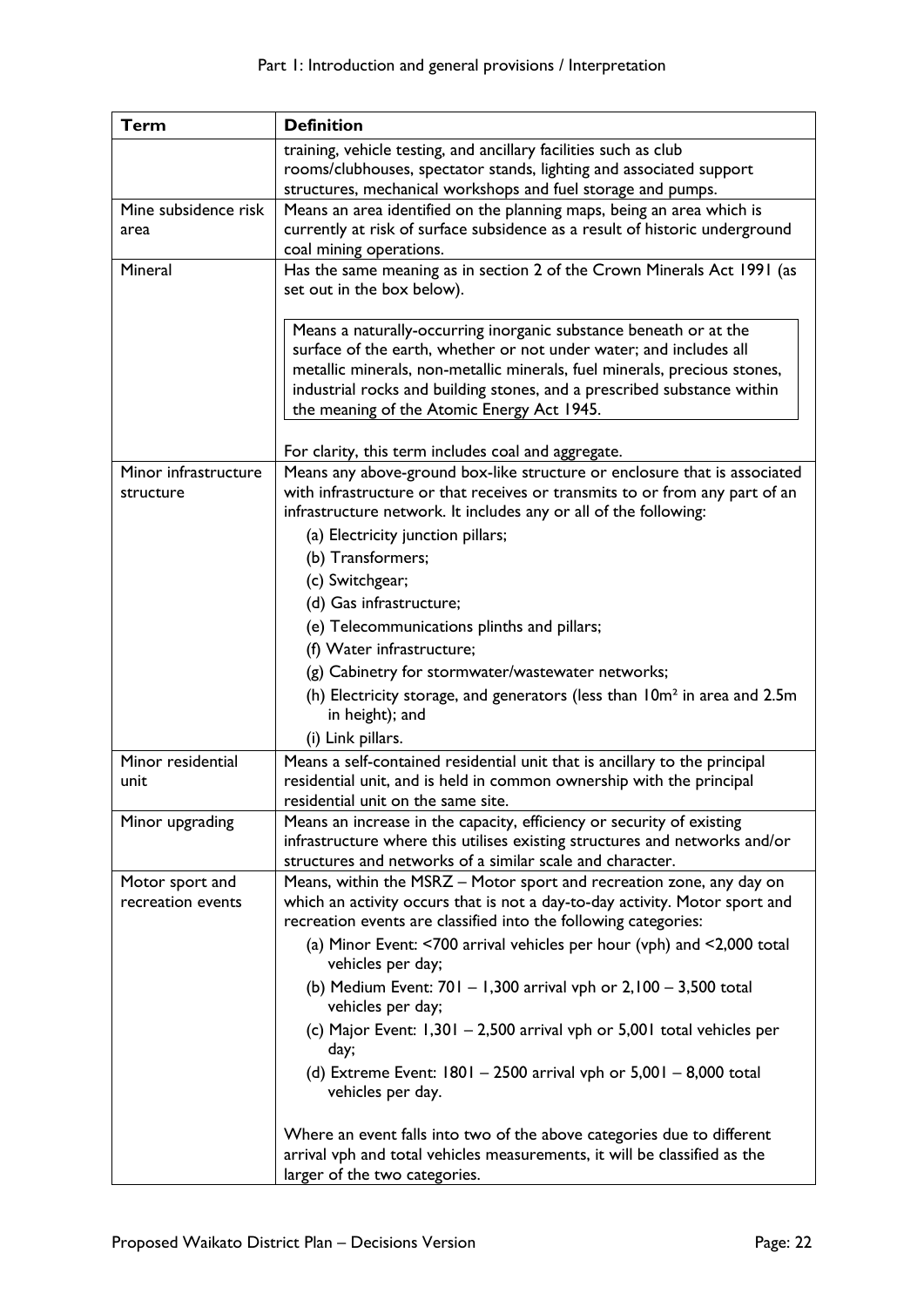| <b>Term</b>          | <b>Definition</b>                                                                                                                                   |
|----------------------|-----------------------------------------------------------------------------------------------------------------------------------------------------|
|                      | training, vehicle testing, and ancillary facilities such as club                                                                                    |
|                      | rooms/clubhouses, spectator stands, lighting and associated support                                                                                 |
|                      | structures, mechanical workshops and fuel storage and pumps.                                                                                        |
| Mine subsidence risk | Means an area identified on the planning maps, being an area which is                                                                               |
| area                 | currently at risk of surface subsidence as a result of historic underground<br>coal mining operations.                                              |
| Mineral              | Has the same meaning as in section 2 of the Crown Minerals Act 1991 (as                                                                             |
|                      | set out in the box below).                                                                                                                          |
|                      |                                                                                                                                                     |
|                      | Means a naturally-occurring inorganic substance beneath or at the                                                                                   |
|                      | surface of the earth, whether or not under water; and includes all                                                                                  |
|                      | metallic minerals, non-metallic minerals, fuel minerals, precious stones,                                                                           |
|                      | industrial rocks and building stones, and a prescribed substance within                                                                             |
|                      | the meaning of the Atomic Energy Act 1945.                                                                                                          |
|                      | For clarity, this term includes coal and aggregate.                                                                                                 |
| Minor infrastructure | Means any above-ground box-like structure or enclosure that is associated                                                                           |
| structure            | with infrastructure or that receives or transmits to or from any part of an                                                                         |
|                      | infrastructure network. It includes any or all of the following:                                                                                    |
|                      | (a) Electricity junction pillars;                                                                                                                   |
|                      | (b) Transformers;                                                                                                                                   |
|                      | (c) Switchgear;                                                                                                                                     |
|                      | (d) Gas infrastructure;                                                                                                                             |
|                      | (e) Telecommunications plinths and pillars;                                                                                                         |
|                      | (f) Water infrastructure;                                                                                                                           |
|                      | (g) Cabinetry for stormwater/wastewater networks;                                                                                                   |
|                      | (h) Electricity storage, and generators (less than 10m <sup>2</sup> in area and 2.5m                                                                |
|                      | in height); and                                                                                                                                     |
|                      | (i) Link pillars.                                                                                                                                   |
| Minor residential    | Means a self-contained residential unit that is ancillary to the principal                                                                          |
| unit                 | residential unit, and is held in common ownership with the principal                                                                                |
|                      | residential unit on the same site.                                                                                                                  |
| Minor upgrading      | Means an increase in the capacity, efficiency or security of existing<br>infrastructure where this utilises existing structures and networks and/or |
|                      | structures and networks of a similar scale and character.                                                                                           |
| Motor sport and      | Means, within the MSRZ - Motor sport and recreation zone, any day on                                                                                |
| recreation events    | which an activity occurs that is not a day-to-day activity. Motor sport and                                                                         |
|                      | recreation events are classified into the following categories:                                                                                     |
|                      | (a) Minor Event: <700 arrival vehicles per hour (vph) and <2,000 total<br>vehicles per day;                                                         |
|                      | (b) Medium Event: $701 - 1,300$ arrival vph or $2,100 - 3,500$ total<br>vehicles per day;                                                           |
|                      | (c) Major Event: 1,301 - 2,500 arrival vph or 5,001 total vehicles per<br>day;                                                                      |
|                      | (d) Extreme Event: 1801 - 2500 arrival vph or 5,001 - 8,000 total<br>vehicles per day.                                                              |
|                      | Where an event falls into two of the above categories due to different                                                                              |
|                      | arrival vph and total vehicles measurements, it will be classified as the<br>larger of the two categories.                                          |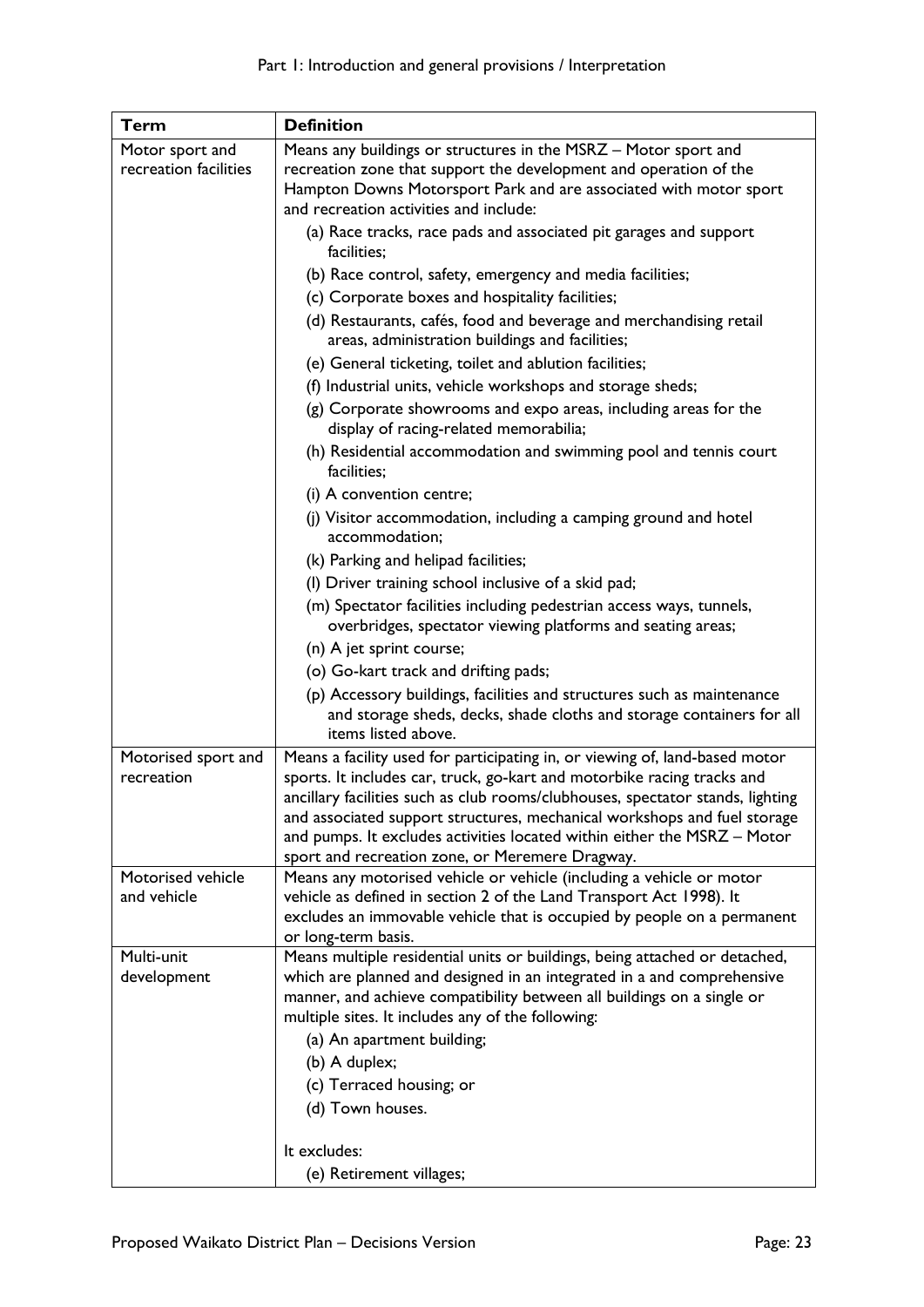| <b>Term</b>           | <b>Definition</b>                                                                                                                                                                                                                                                                         |
|-----------------------|-------------------------------------------------------------------------------------------------------------------------------------------------------------------------------------------------------------------------------------------------------------------------------------------|
| Motor sport and       | Means any buildings or structures in the MSRZ - Motor sport and                                                                                                                                                                                                                           |
| recreation facilities | recreation zone that support the development and operation of the                                                                                                                                                                                                                         |
|                       | Hampton Downs Motorsport Park and are associated with motor sport<br>and recreation activities and include:                                                                                                                                                                               |
|                       | (a) Race tracks, race pads and associated pit garages and support                                                                                                                                                                                                                         |
|                       | facilities;                                                                                                                                                                                                                                                                               |
|                       | (b) Race control, safety, emergency and media facilities;                                                                                                                                                                                                                                 |
|                       | (c) Corporate boxes and hospitality facilities;                                                                                                                                                                                                                                           |
|                       | (d) Restaurants, cafés, food and beverage and merchandising retail                                                                                                                                                                                                                        |
|                       | areas, administration buildings and facilities;                                                                                                                                                                                                                                           |
|                       | (e) General ticketing, toilet and ablution facilities;                                                                                                                                                                                                                                    |
|                       | (f) Industrial units, vehicle workshops and storage sheds;                                                                                                                                                                                                                                |
|                       | (g) Corporate showrooms and expo areas, including areas for the<br>display of racing-related memorabilia;                                                                                                                                                                                 |
|                       | (h) Residential accommodation and swimming pool and tennis court<br>facilities;                                                                                                                                                                                                           |
|                       | (i) A convention centre;                                                                                                                                                                                                                                                                  |
|                       | (j) Visitor accommodation, including a camping ground and hotel<br>accommodation;                                                                                                                                                                                                         |
|                       | (k) Parking and helipad facilities;                                                                                                                                                                                                                                                       |
|                       | (I) Driver training school inclusive of a skid pad;                                                                                                                                                                                                                                       |
|                       | (m) Spectator facilities including pedestrian access ways, tunnels,<br>overbridges, spectator viewing platforms and seating areas;                                                                                                                                                        |
|                       | (n) A jet sprint course;                                                                                                                                                                                                                                                                  |
|                       | (o) Go-kart track and drifting pads;                                                                                                                                                                                                                                                      |
|                       | (p) Accessory buildings, facilities and structures such as maintenance<br>and storage sheds, decks, shade cloths and storage containers for all<br>items listed above.                                                                                                                    |
| Motorised sport and   | Means a facility used for participating in, or viewing of, land-based motor                                                                                                                                                                                                               |
| recreation            | sports. It includes car, truck, go-kart and motorbike racing tracks and                                                                                                                                                                                                                   |
|                       | ancillary facilities such as club rooms/clubhouses, spectator stands, lighting<br>and associated support structures, mechanical workshops and fuel storage<br>and pumps. It excludes activities located within either the MSRZ - Motor<br>sport and recreation zone, or Meremere Dragway. |
| Motorised vehicle     | Means any motorised vehicle or vehicle (including a vehicle or motor                                                                                                                                                                                                                      |
| and vehicle           | vehicle as defined in section 2 of the Land Transport Act 1998). It                                                                                                                                                                                                                       |
|                       | excludes an immovable vehicle that is occupied by people on a permanent                                                                                                                                                                                                                   |
| Multi-unit            | or long-term basis.<br>Means multiple residential units or buildings, being attached or detached,                                                                                                                                                                                         |
| development           | which are planned and designed in an integrated in a and comprehensive                                                                                                                                                                                                                    |
|                       | manner, and achieve compatibility between all buildings on a single or                                                                                                                                                                                                                    |
|                       | multiple sites. It includes any of the following:                                                                                                                                                                                                                                         |
|                       | (a) An apartment building;                                                                                                                                                                                                                                                                |
|                       | (b) A duplex;                                                                                                                                                                                                                                                                             |
|                       | (c) Terraced housing; or                                                                                                                                                                                                                                                                  |
|                       | (d) Town houses.                                                                                                                                                                                                                                                                          |
|                       |                                                                                                                                                                                                                                                                                           |
|                       | It excludes:                                                                                                                                                                                                                                                                              |
|                       | (e) Retirement villages;                                                                                                                                                                                                                                                                  |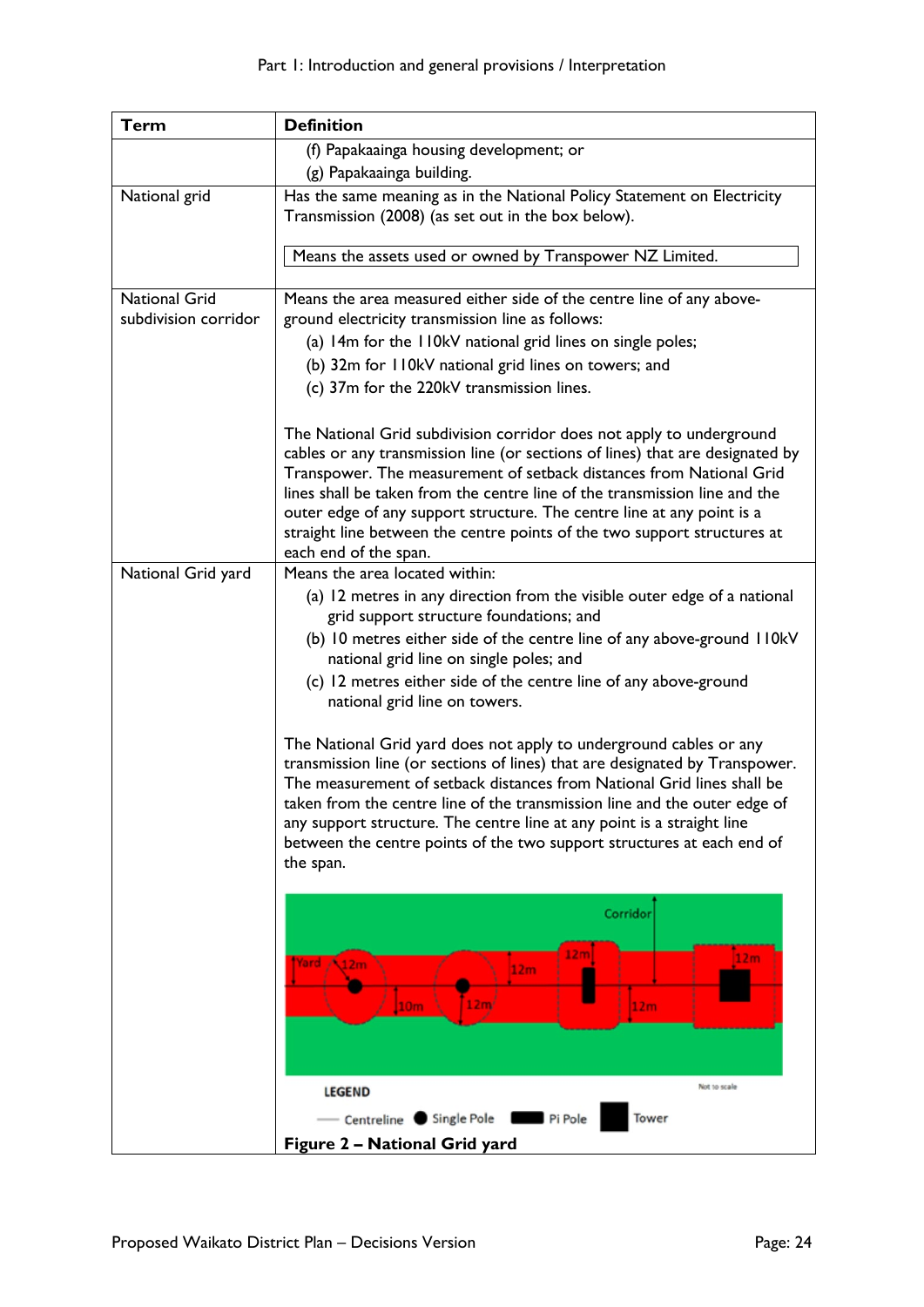| <b>Term</b>                                  | <b>Definition</b>                                                                                                                                                                                                                                                                                                                                                                                                                                                                                                                                                                                                                                                                                                                                                                                                                                            |
|----------------------------------------------|--------------------------------------------------------------------------------------------------------------------------------------------------------------------------------------------------------------------------------------------------------------------------------------------------------------------------------------------------------------------------------------------------------------------------------------------------------------------------------------------------------------------------------------------------------------------------------------------------------------------------------------------------------------------------------------------------------------------------------------------------------------------------------------------------------------------------------------------------------------|
|                                              | (f) Papakaainga housing development; or                                                                                                                                                                                                                                                                                                                                                                                                                                                                                                                                                                                                                                                                                                                                                                                                                      |
|                                              | (g) Papakaainga building.                                                                                                                                                                                                                                                                                                                                                                                                                                                                                                                                                                                                                                                                                                                                                                                                                                    |
| National grid                                | Has the same meaning as in the National Policy Statement on Electricity<br>Transmission (2008) (as set out in the box below).                                                                                                                                                                                                                                                                                                                                                                                                                                                                                                                                                                                                                                                                                                                                |
|                                              | Means the assets used or owned by Transpower NZ Limited.                                                                                                                                                                                                                                                                                                                                                                                                                                                                                                                                                                                                                                                                                                                                                                                                     |
| <b>National Grid</b><br>subdivision corridor | Means the area measured either side of the centre line of any above-<br>ground electricity transmission line as follows:<br>(a) 14m for the 110kV national grid lines on single poles;<br>(b) 32m for 110kV national grid lines on towers; and<br>(c) 37m for the 220kV transmission lines.                                                                                                                                                                                                                                                                                                                                                                                                                                                                                                                                                                  |
|                                              | The National Grid subdivision corridor does not apply to underground<br>cables or any transmission line (or sections of lines) that are designated by<br>Transpower. The measurement of setback distances from National Grid<br>lines shall be taken from the centre line of the transmission line and the<br>outer edge of any support structure. The centre line at any point is a<br>straight line between the centre points of the two support structures at<br>each end of the span.                                                                                                                                                                                                                                                                                                                                                                    |
| National Grid yard                           | Means the area located within:<br>(a) 12 metres in any direction from the visible outer edge of a national<br>grid support structure foundations; and<br>(b) 10 metres either side of the centre line of any above-ground 110kV<br>national grid line on single poles; and<br>(c) 12 metres either side of the centre line of any above-ground<br>national grid line on towers.<br>The National Grid yard does not apply to underground cables or any<br>transmission line (or sections of lines) that are designated by Transpower.<br>The measurement of setback distances from National Grid lines shall be<br>taken from the centre line of the transmission line and the outer edge of<br>any support structure. The centre line at any point is a straight line<br>between the centre points of the two support structures at each end of<br>the span. |
|                                              | Corridor<br>12m<br>12 <sub>m</sub><br>Yard A <sub>12m</sub><br>12m<br>12 <sub>m</sub><br>10 <sub>m</sub><br>12m<br>Not to scale<br><b>LEGEND</b>                                                                                                                                                                                                                                                                                                                                                                                                                                                                                                                                                                                                                                                                                                             |
|                                              | Centreline Single Pole File Pi Pole<br>Tower                                                                                                                                                                                                                                                                                                                                                                                                                                                                                                                                                                                                                                                                                                                                                                                                                 |
|                                              | Figure 2 - National Grid yard                                                                                                                                                                                                                                                                                                                                                                                                                                                                                                                                                                                                                                                                                                                                                                                                                                |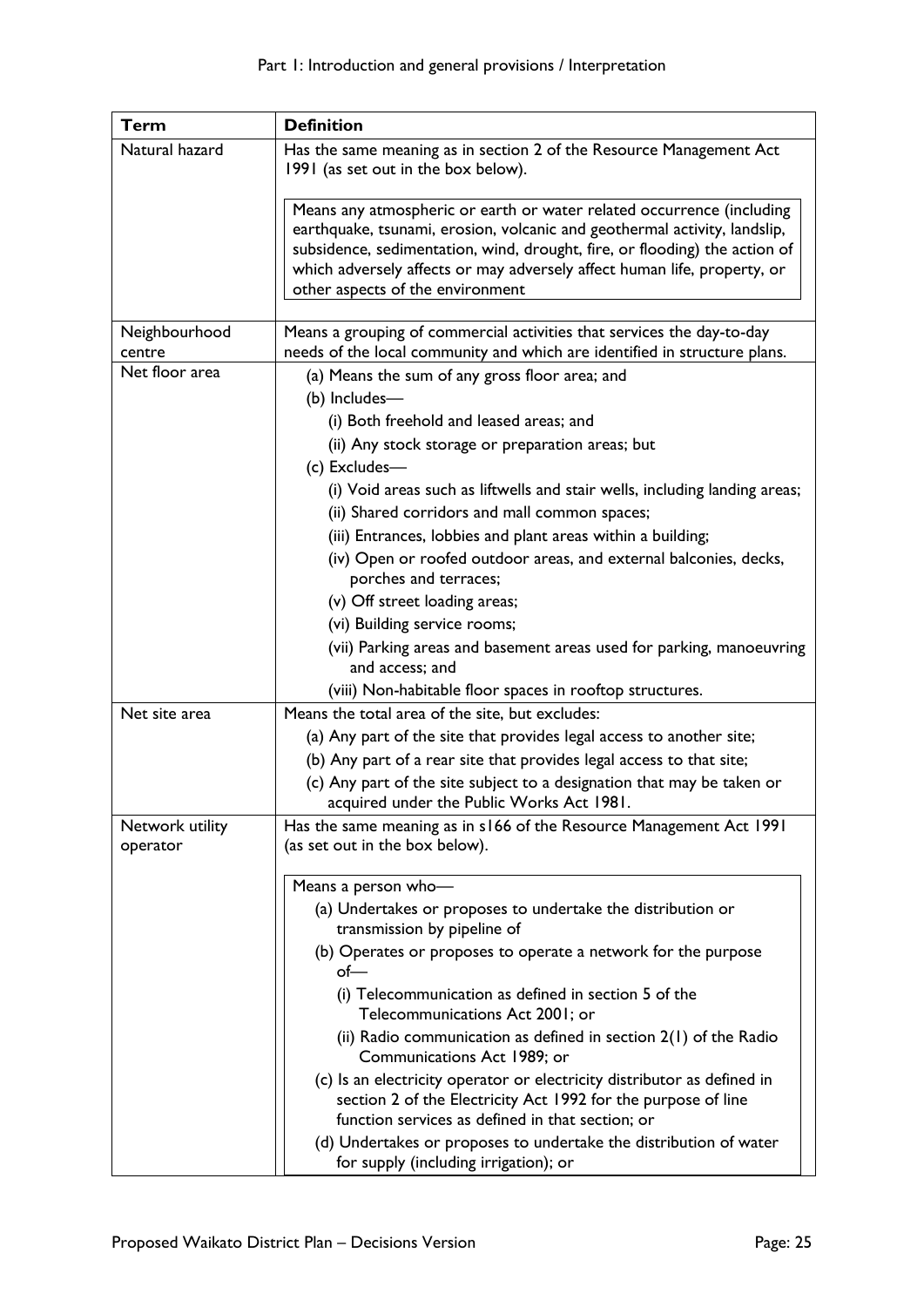| Term                        | <b>Definition</b>                                                                                                                                                                                                                                                                                                                                |
|-----------------------------|--------------------------------------------------------------------------------------------------------------------------------------------------------------------------------------------------------------------------------------------------------------------------------------------------------------------------------------------------|
| Natural hazard              | Has the same meaning as in section 2 of the Resource Management Act<br>1991 (as set out in the box below).                                                                                                                                                                                                                                       |
|                             | Means any atmospheric or earth or water related occurrence (including<br>earthquake, tsunami, erosion, volcanic and geothermal activity, landslip,<br>subsidence, sedimentation, wind, drought, fire, or flooding) the action of<br>which adversely affects or may adversely affect human life, property, or<br>other aspects of the environment |
| Neighbourhood<br>centre     | Means a grouping of commercial activities that services the day-to-day<br>needs of the local community and which are identified in structure plans.                                                                                                                                                                                              |
| Net floor area              | (a) Means the sum of any gross floor area; and<br>(b) Includes-<br>(i) Both freehold and leased areas; and                                                                                                                                                                                                                                       |
|                             | (ii) Any stock storage or preparation areas; but<br>(c) Excludes-                                                                                                                                                                                                                                                                                |
|                             | (i) Void areas such as liftwells and stair wells, including landing areas;<br>(ii) Shared corridors and mall common spaces;<br>(iii) Entrances, lobbies and plant areas within a building;<br>(iv) Open or roofed outdoor areas, and external balconies, decks,                                                                                  |
|                             | porches and terraces;<br>(v) Off street loading areas;                                                                                                                                                                                                                                                                                           |
|                             | (vi) Building service rooms;<br>(vii) Parking areas and basement areas used for parking, manoeuvring<br>and access; and                                                                                                                                                                                                                          |
|                             | (viii) Non-habitable floor spaces in rooftop structures.                                                                                                                                                                                                                                                                                         |
| Net site area               | Means the total area of the site, but excludes:                                                                                                                                                                                                                                                                                                  |
|                             | (a) Any part of the site that provides legal access to another site;                                                                                                                                                                                                                                                                             |
|                             | (b) Any part of a rear site that provides legal access to that site;                                                                                                                                                                                                                                                                             |
|                             | (c) Any part of the site subject to a designation that may be taken or<br>acquired under the Public Works Act 1981.                                                                                                                                                                                                                              |
| Network utility<br>operator | Has the same meaning as in s166 of the Resource Management Act 1991<br>(as set out in the box below).                                                                                                                                                                                                                                            |
|                             | Means a person who-                                                                                                                                                                                                                                                                                                                              |
|                             | (a) Undertakes or proposes to undertake the distribution or<br>transmission by pipeline of                                                                                                                                                                                                                                                       |
|                             | (b) Operates or proposes to operate a network for the purpose<br>of—                                                                                                                                                                                                                                                                             |
|                             | (i) Telecommunication as defined in section 5 of the<br>Telecommunications Act 2001; or                                                                                                                                                                                                                                                          |
|                             | (ii) Radio communication as defined in section $2(1)$ of the Radio<br>Communications Act 1989; or                                                                                                                                                                                                                                                |
|                             | (c) Is an electricity operator or electricity distributor as defined in<br>section 2 of the Electricity Act 1992 for the purpose of line<br>function services as defined in that section; or                                                                                                                                                     |
|                             | (d) Undertakes or proposes to undertake the distribution of water<br>for supply (including irrigation); or                                                                                                                                                                                                                                       |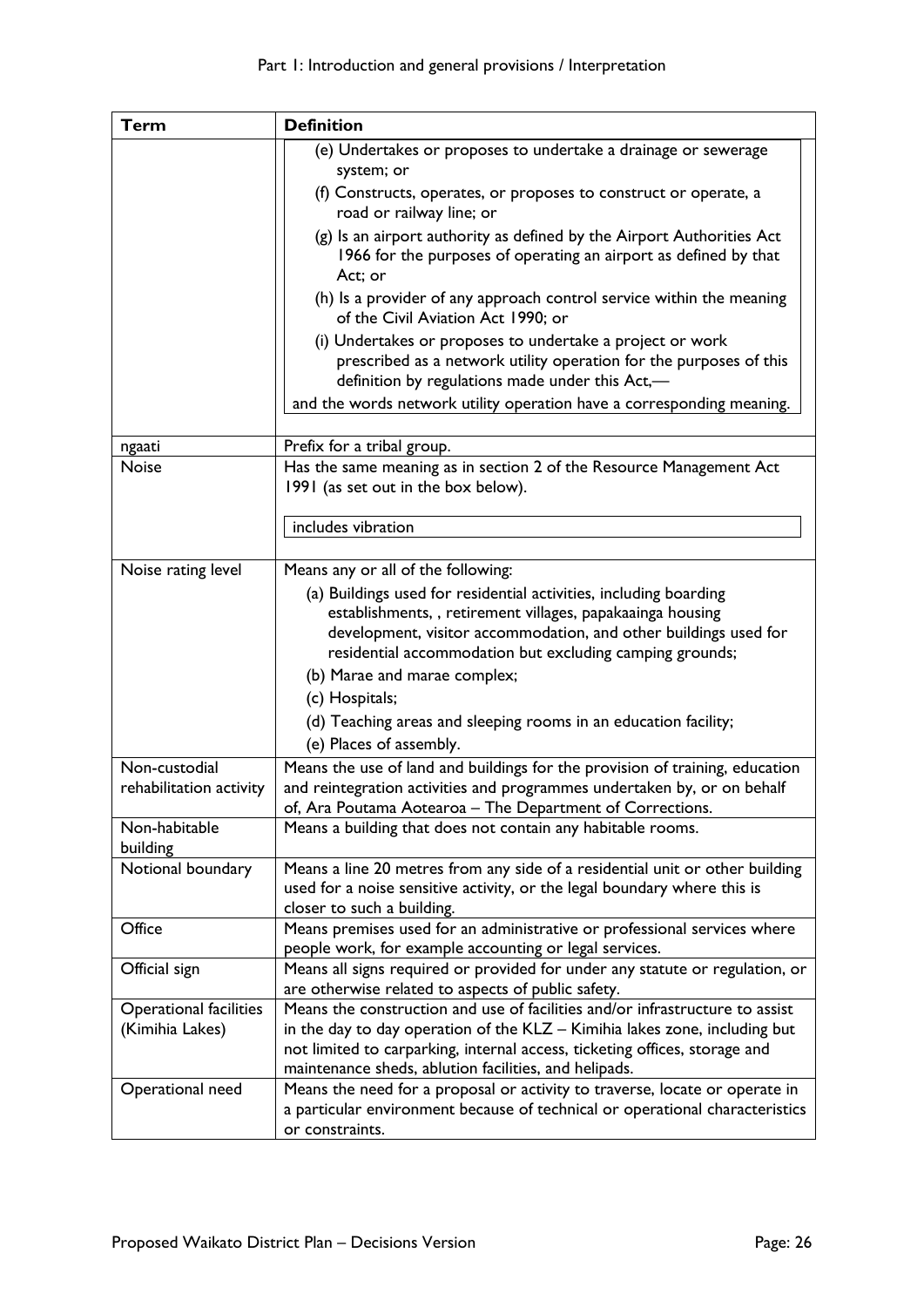| (e) Undertakes or proposes to undertake a drainage or sewerage<br>system; or<br>(f) Constructs, operates, or proposes to construct or operate, a<br>road or railway line; or<br>(g) Is an airport authority as defined by the Airport Authorities Act<br>1966 for the purposes of operating an airport as defined by that<br>Act; or<br>(h) Is a provider of any approach control service within the meaning |
|--------------------------------------------------------------------------------------------------------------------------------------------------------------------------------------------------------------------------------------------------------------------------------------------------------------------------------------------------------------------------------------------------------------|
|                                                                                                                                                                                                                                                                                                                                                                                                              |
|                                                                                                                                                                                                                                                                                                                                                                                                              |
|                                                                                                                                                                                                                                                                                                                                                                                                              |
|                                                                                                                                                                                                                                                                                                                                                                                                              |
|                                                                                                                                                                                                                                                                                                                                                                                                              |
| of the Civil Aviation Act 1990; or                                                                                                                                                                                                                                                                                                                                                                           |
| (i) Undertakes or proposes to undertake a project or work<br>prescribed as a network utility operation for the purposes of this<br>definition by regulations made under this Act,-                                                                                                                                                                                                                           |
| and the words network utility operation have a corresponding meaning.                                                                                                                                                                                                                                                                                                                                        |
| Prefix for a tribal group.<br>ngaati                                                                                                                                                                                                                                                                                                                                                                         |
| Has the same meaning as in section 2 of the Resource Management Act<br><b>Noise</b>                                                                                                                                                                                                                                                                                                                          |
| 1991 (as set out in the box below).                                                                                                                                                                                                                                                                                                                                                                          |
| includes vibration                                                                                                                                                                                                                                                                                                                                                                                           |
|                                                                                                                                                                                                                                                                                                                                                                                                              |
| Means any or all of the following:<br>Noise rating level                                                                                                                                                                                                                                                                                                                                                     |
| (a) Buildings used for residential activities, including boarding                                                                                                                                                                                                                                                                                                                                            |
| establishments,, retirement villages, papakaainga housing                                                                                                                                                                                                                                                                                                                                                    |
| development, visitor accommodation, and other buildings used for<br>residential accommodation but excluding camping grounds;                                                                                                                                                                                                                                                                                 |
| (b) Marae and marae complex;                                                                                                                                                                                                                                                                                                                                                                                 |
| (c) Hospitals;                                                                                                                                                                                                                                                                                                                                                                                               |
| (d) Teaching areas and sleeping rooms in an education facility;                                                                                                                                                                                                                                                                                                                                              |
| (e) Places of assembly.                                                                                                                                                                                                                                                                                                                                                                                      |
| Non-custodial<br>Means the use of land and buildings for the provision of training, education                                                                                                                                                                                                                                                                                                                |
| and reintegration activities and programmes undertaken by, or on behalf<br>rehabilitation activity                                                                                                                                                                                                                                                                                                           |
| of, Ara Poutama Aotearoa - The Department of Corrections.                                                                                                                                                                                                                                                                                                                                                    |
| Non-habitable<br>Means a building that does not contain any habitable rooms.                                                                                                                                                                                                                                                                                                                                 |
| building                                                                                                                                                                                                                                                                                                                                                                                                     |
| Means a line 20 metres from any side of a residential unit or other building<br>Notional boundary                                                                                                                                                                                                                                                                                                            |
| used for a noise sensitive activity, or the legal boundary where this is                                                                                                                                                                                                                                                                                                                                     |
| closer to such a building.                                                                                                                                                                                                                                                                                                                                                                                   |
| Office<br>Means premises used for an administrative or professional services where                                                                                                                                                                                                                                                                                                                           |
| people work, for example accounting or legal services.                                                                                                                                                                                                                                                                                                                                                       |
| Means all signs required or provided for under any statute or regulation, or<br>Official sign                                                                                                                                                                                                                                                                                                                |
| are otherwise related to aspects of public safety.                                                                                                                                                                                                                                                                                                                                                           |
| Means the construction and use of facilities and/or infrastructure to assist<br><b>Operational facilities</b>                                                                                                                                                                                                                                                                                                |
| (Kimihia Lakes)<br>in the day to day operation of the KLZ - Kimihia lakes zone, including but                                                                                                                                                                                                                                                                                                                |
| not limited to carparking, internal access, ticketing offices, storage and                                                                                                                                                                                                                                                                                                                                   |
| maintenance sheds, ablution facilities, and helipads.                                                                                                                                                                                                                                                                                                                                                        |
| Operational need<br>Means the need for a proposal or activity to traverse, locate or operate in<br>a particular environment because of technical or operational characteristics                                                                                                                                                                                                                              |
| or constraints.                                                                                                                                                                                                                                                                                                                                                                                              |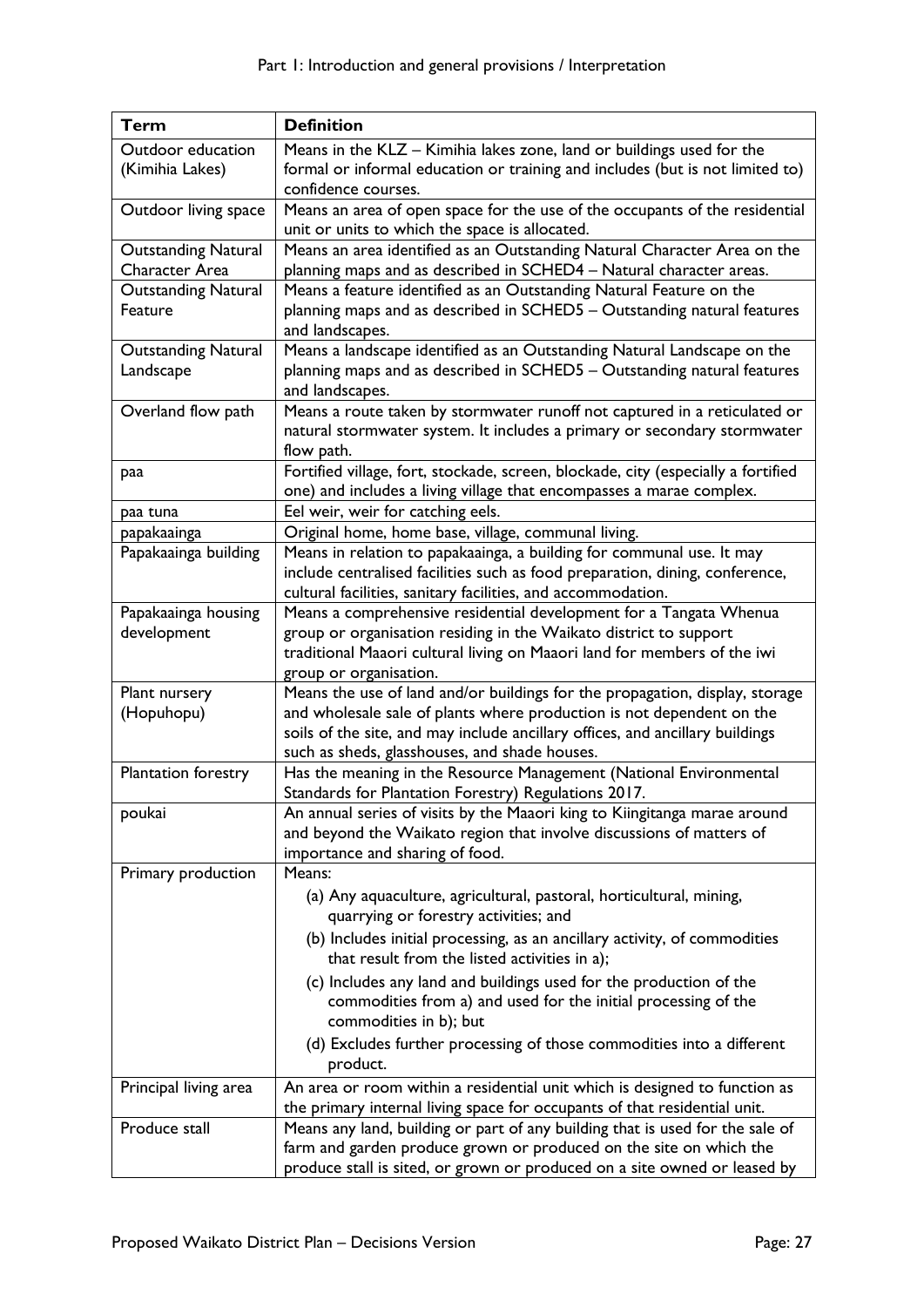| Term                                         | <b>Definition</b>                                                                                                                                                                                                                                                                       |
|----------------------------------------------|-----------------------------------------------------------------------------------------------------------------------------------------------------------------------------------------------------------------------------------------------------------------------------------------|
| Outdoor education                            | Means in the KLZ - Kimihia lakes zone, land or buildings used for the                                                                                                                                                                                                                   |
| (Kimihia Lakes)                              | formal or informal education or training and includes (but is not limited to)<br>confidence courses.                                                                                                                                                                                    |
| Outdoor living space                         | Means an area of open space for the use of the occupants of the residential<br>unit or units to which the space is allocated.                                                                                                                                                           |
| <b>Outstanding Natural</b><br>Character Area | Means an area identified as an Outstanding Natural Character Area on the<br>planning maps and as described in SCHED4 - Natural character areas.                                                                                                                                         |
| <b>Outstanding Natural</b><br>Feature        | Means a feature identified as an Outstanding Natural Feature on the<br>planning maps and as described in SCHED5 - Outstanding natural features<br>and landscapes.                                                                                                                       |
| <b>Outstanding Natural</b><br>Landscape      | Means a landscape identified as an Outstanding Natural Landscape on the<br>planning maps and as described in SCHED5 - Outstanding natural features<br>and landscapes.                                                                                                                   |
| Overland flow path                           | Means a route taken by stormwater runoff not captured in a reticulated or<br>natural stormwater system. It includes a primary or secondary stormwater<br>flow path.                                                                                                                     |
| paa                                          | Fortified village, fort, stockade, screen, blockade, city (especially a fortified<br>one) and includes a living village that encompasses a marae complex.                                                                                                                               |
| paa tuna                                     | Eel weir, weir for catching eels.                                                                                                                                                                                                                                                       |
| papakaainga                                  | Original home, home base, village, communal living.                                                                                                                                                                                                                                     |
| Papakaainga building                         | Means in relation to papakaainga, a building for communal use. It may<br>include centralised facilities such as food preparation, dining, conference,<br>cultural facilities, sanitary facilities, and accommodation.                                                                   |
| Papakaainga housing<br>development           | Means a comprehensive residential development for a Tangata Whenua<br>group or organisation residing in the Waikato district to support<br>traditional Maaori cultural living on Maaori land for members of the iwi<br>group or organisation.                                           |
| Plant nursery<br>(Hopuhopu)                  | Means the use of land and/or buildings for the propagation, display, storage<br>and wholesale sale of plants where production is not dependent on the<br>soils of the site, and may include ancillary offices, and ancillary buildings<br>such as sheds, glasshouses, and shade houses. |
| Plantation forestry                          | Has the meaning in the Resource Management (National Environmental<br>Standards for Plantation Forestry) Regulations 2017.                                                                                                                                                              |
| poukai                                       | An annual series of visits by the Maaori king to Kiingitanga marae around<br>and beyond the Waikato region that involve discussions of matters of<br>importance and sharing of food.                                                                                                    |
| Primary production                           | Means:                                                                                                                                                                                                                                                                                  |
|                                              | (a) Any aquaculture, agricultural, pastoral, horticultural, mining,<br>quarrying or forestry activities; and                                                                                                                                                                            |
|                                              | (b) Includes initial processing, as an ancillary activity, of commodities<br>that result from the listed activities in a);                                                                                                                                                              |
|                                              | (c) Includes any land and buildings used for the production of the<br>commodities from a) and used for the initial processing of the<br>commodities in b); but                                                                                                                          |
|                                              | (d) Excludes further processing of those commodities into a different<br>product.                                                                                                                                                                                                       |
| Principal living area                        | An area or room within a residential unit which is designed to function as<br>the primary internal living space for occupants of that residential unit.                                                                                                                                 |
| Produce stall                                | Means any land, building or part of any building that is used for the sale of<br>farm and garden produce grown or produced on the site on which the<br>produce stall is sited, or grown or produced on a site owned or leased by                                                        |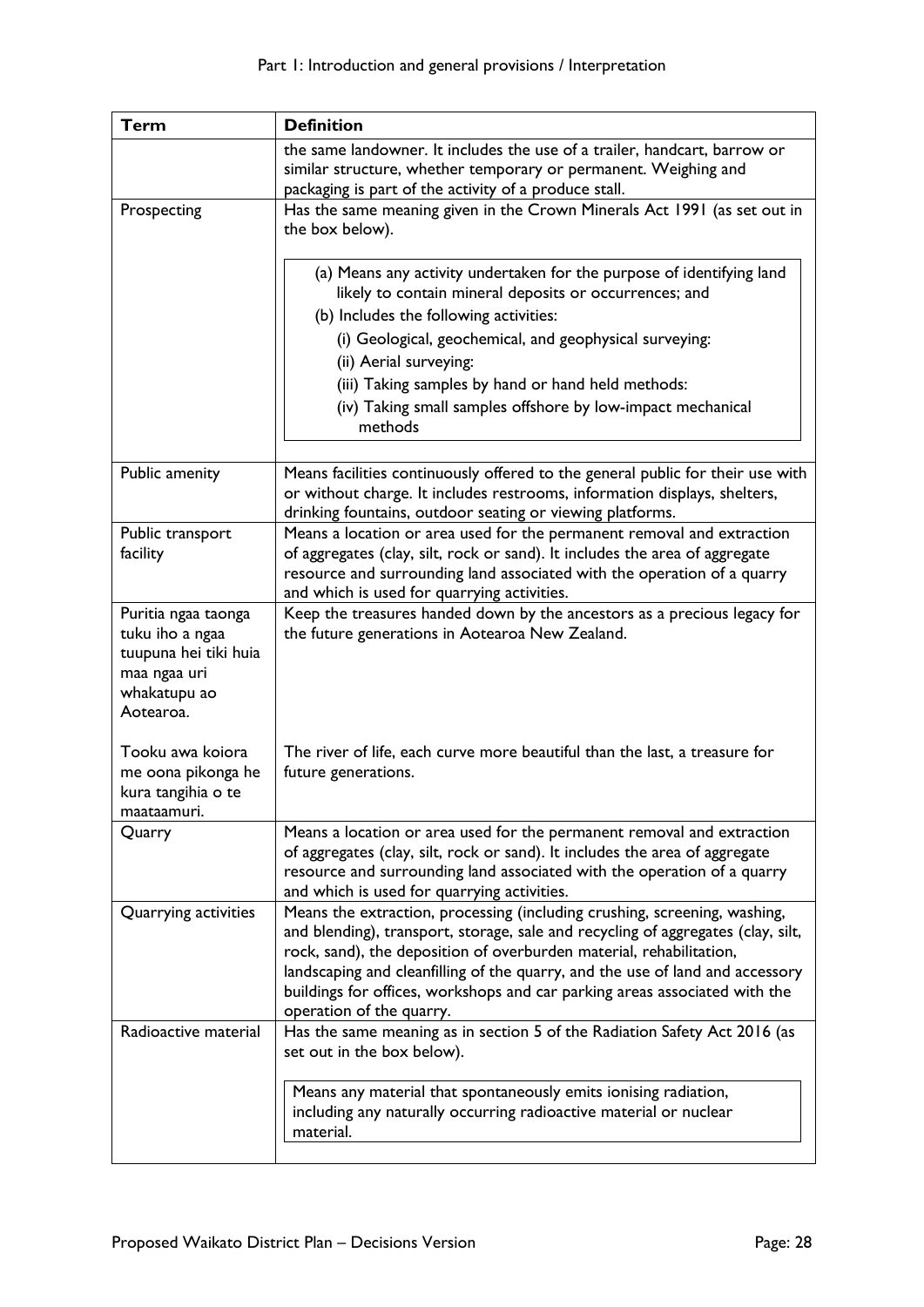| <b>Term</b>                            | <b>Definition</b>                                                                                                                                                                                                        |
|----------------------------------------|--------------------------------------------------------------------------------------------------------------------------------------------------------------------------------------------------------------------------|
|                                        | the same landowner. It includes the use of a trailer, handcart, barrow or                                                                                                                                                |
|                                        | similar structure, whether temporary or permanent. Weighing and                                                                                                                                                          |
|                                        | packaging is part of the activity of a produce stall.                                                                                                                                                                    |
| Prospecting                            | Has the same meaning given in the Crown Minerals Act 1991 (as set out in<br>the box below).                                                                                                                              |
|                                        | (a) Means any activity undertaken for the purpose of identifying land<br>likely to contain mineral deposits or occurrences; and                                                                                          |
|                                        | (b) Includes the following activities:                                                                                                                                                                                   |
|                                        | (i) Geological, geochemical, and geophysical surveying:                                                                                                                                                                  |
|                                        | (ii) Aerial surveying:                                                                                                                                                                                                   |
|                                        | (iii) Taking samples by hand or hand held methods:                                                                                                                                                                       |
|                                        | (iv) Taking small samples offshore by low-impact mechanical<br>methods                                                                                                                                                   |
|                                        |                                                                                                                                                                                                                          |
| Public amenity                         | Means facilities continuously offered to the general public for their use with<br>or without charge. It includes restrooms, information displays, shelters,<br>drinking fountains, outdoor seating or viewing platforms. |
| Public transport                       | Means a location or area used for the permanent removal and extraction                                                                                                                                                   |
| facility                               | of aggregates (clay, silt, rock or sand). It includes the area of aggregate                                                                                                                                              |
|                                        | resource and surrounding land associated with the operation of a quarry                                                                                                                                                  |
|                                        | and which is used for quarrying activities.                                                                                                                                                                              |
| Puritia ngaa taonga<br>tuku iho a ngaa | Keep the treasures handed down by the ancestors as a precious legacy for<br>the future generations in Aotearoa New Zealand.                                                                                              |
| tuupuna hei tiki huia                  |                                                                                                                                                                                                                          |
| maa ngaa uri                           |                                                                                                                                                                                                                          |
| whakatupu ao                           |                                                                                                                                                                                                                          |
| Aotearoa.                              |                                                                                                                                                                                                                          |
|                                        |                                                                                                                                                                                                                          |
| Tooku awa koiora<br>me oona pikonga he | The river of life, each curve more beautiful than the last, a treasure for<br>future generations.                                                                                                                        |
| kura tangihia o te                     |                                                                                                                                                                                                                          |
| maataamuri.                            |                                                                                                                                                                                                                          |
| Quarry                                 | Means a location or area used for the permanent removal and extraction                                                                                                                                                   |
|                                        | of aggregates (clay, silt, rock or sand). It includes the area of aggregate                                                                                                                                              |
|                                        | resource and surrounding land associated with the operation of a quarry                                                                                                                                                  |
| Quarrying activities                   | and which is used for quarrying activities.<br>Means the extraction, processing (including crushing, screening, washing,                                                                                                 |
|                                        | and blending), transport, storage, sale and recycling of aggregates (clay, silt,                                                                                                                                         |
|                                        | rock, sand), the deposition of overburden material, rehabilitation,                                                                                                                                                      |
|                                        | landscaping and cleanfilling of the quarry, and the use of land and accessory                                                                                                                                            |
|                                        | buildings for offices, workshops and car parking areas associated with the                                                                                                                                               |
|                                        | operation of the quarry.                                                                                                                                                                                                 |
| Radioactive material                   | Has the same meaning as in section 5 of the Radiation Safety Act 2016 (as                                                                                                                                                |
|                                        | set out in the box below).                                                                                                                                                                                               |
|                                        | Means any material that spontaneously emits ionising radiation,                                                                                                                                                          |
|                                        | including any naturally occurring radioactive material or nuclear                                                                                                                                                        |
|                                        | material.                                                                                                                                                                                                                |
|                                        |                                                                                                                                                                                                                          |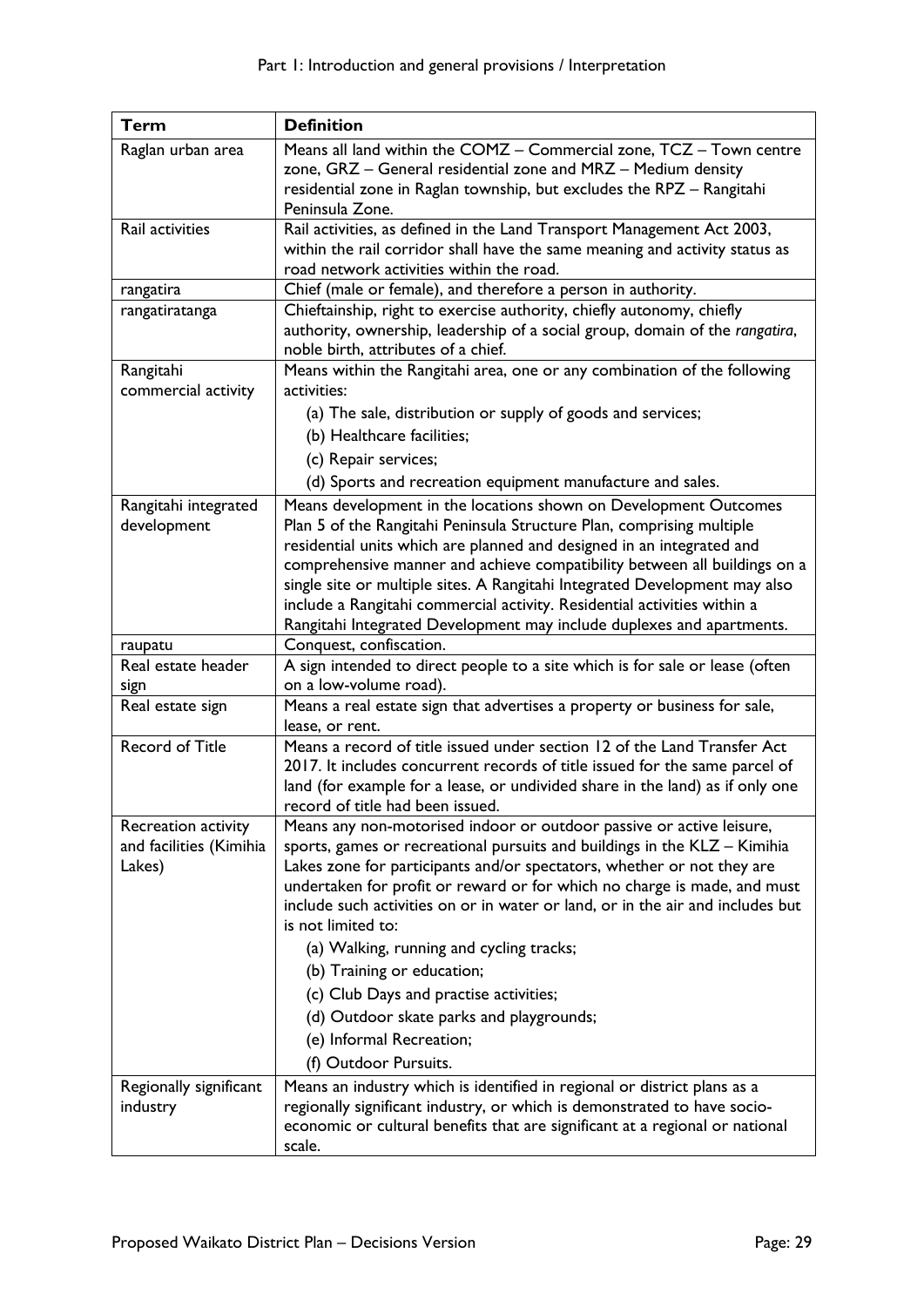| <b>Term</b>                   | <b>Definition</b>                                                                                                                                  |
|-------------------------------|----------------------------------------------------------------------------------------------------------------------------------------------------|
| Raglan urban area             | Means all land within the COMZ - Commercial zone, TCZ - Town centre                                                                                |
|                               | zone, GRZ - General residential zone and MRZ - Medium density                                                                                      |
|                               | residential zone in Raglan township, but excludes the RPZ - Rangitahi                                                                              |
|                               | Peninsula Zone.                                                                                                                                    |
| Rail activities               | Rail activities, as defined in the Land Transport Management Act 2003,                                                                             |
|                               | within the rail corridor shall have the same meaning and activity status as<br>road network activities within the road.                            |
| rangatira                     | Chief (male or female), and therefore a person in authority.                                                                                       |
| rangatiratanga                | Chieftainship, right to exercise authority, chiefly autonomy, chiefly                                                                              |
|                               | authority, ownership, leadership of a social group, domain of the rangatira,                                                                       |
|                               | noble birth, attributes of a chief.                                                                                                                |
| Rangitahi                     | Means within the Rangitahi area, one or any combination of the following                                                                           |
| commercial activity           | activities:                                                                                                                                        |
|                               | (a) The sale, distribution or supply of goods and services;                                                                                        |
|                               | (b) Healthcare facilities;                                                                                                                         |
|                               | (c) Repair services;                                                                                                                               |
|                               | (d) Sports and recreation equipment manufacture and sales.                                                                                         |
| Rangitahi integrated          | Means development in the locations shown on Development Outcomes                                                                                   |
| development                   | Plan 5 of the Rangitahi Peninsula Structure Plan, comprising multiple                                                                              |
|                               | residential units which are planned and designed in an integrated and                                                                              |
|                               | comprehensive manner and achieve compatibility between all buildings on a                                                                          |
|                               | single site or multiple sites. A Rangitahi Integrated Development may also                                                                         |
|                               | include a Rangitahi commercial activity. Residential activities within a                                                                           |
|                               | Rangitahi Integrated Development may include duplexes and apartments.                                                                              |
| raupatu<br>Real estate header | Conquest, confiscation.                                                                                                                            |
| sign                          | A sign intended to direct people to a site which is for sale or lease (often<br>on a low-volume road).                                             |
| Real estate sign              | Means a real estate sign that advertises a property or business for sale,                                                                          |
|                               | lease, or rent.                                                                                                                                    |
| <b>Record of Title</b>        | Means a record of title issued under section 12 of the Land Transfer Act                                                                           |
|                               | 2017. It includes concurrent records of title issued for the same parcel of                                                                        |
|                               | land (for example for a lease, or undivided share in the land) as if only one                                                                      |
|                               | record of title had been issued.                                                                                                                   |
| Recreation activity           | Means any non-motorised indoor or outdoor passive or active leisure,                                                                               |
| and facilities (Kimihia       | sports, games or recreational pursuits and buildings in the KLZ - Kimihia                                                                          |
| Lakes)                        | Lakes zone for participants and/or spectators, whether or not they are<br>undertaken for profit or reward or for which no charge is made, and must |
|                               | include such activities on or in water or land, or in the air and includes but                                                                     |
|                               | is not limited to:                                                                                                                                 |
|                               | (a) Walking, running and cycling tracks;                                                                                                           |
|                               | (b) Training or education;                                                                                                                         |
|                               | (c) Club Days and practise activities;                                                                                                             |
|                               | (d) Outdoor skate parks and playgrounds;                                                                                                           |
|                               | (e) Informal Recreation;                                                                                                                           |
|                               | (f) Outdoor Pursuits.                                                                                                                              |
| Regionally significant        | Means an industry which is identified in regional or district plans as a                                                                           |
| industry                      | regionally significant industry, or which is demonstrated to have socio-                                                                           |
|                               | economic or cultural benefits that are significant at a regional or national                                                                       |
|                               | scale.                                                                                                                                             |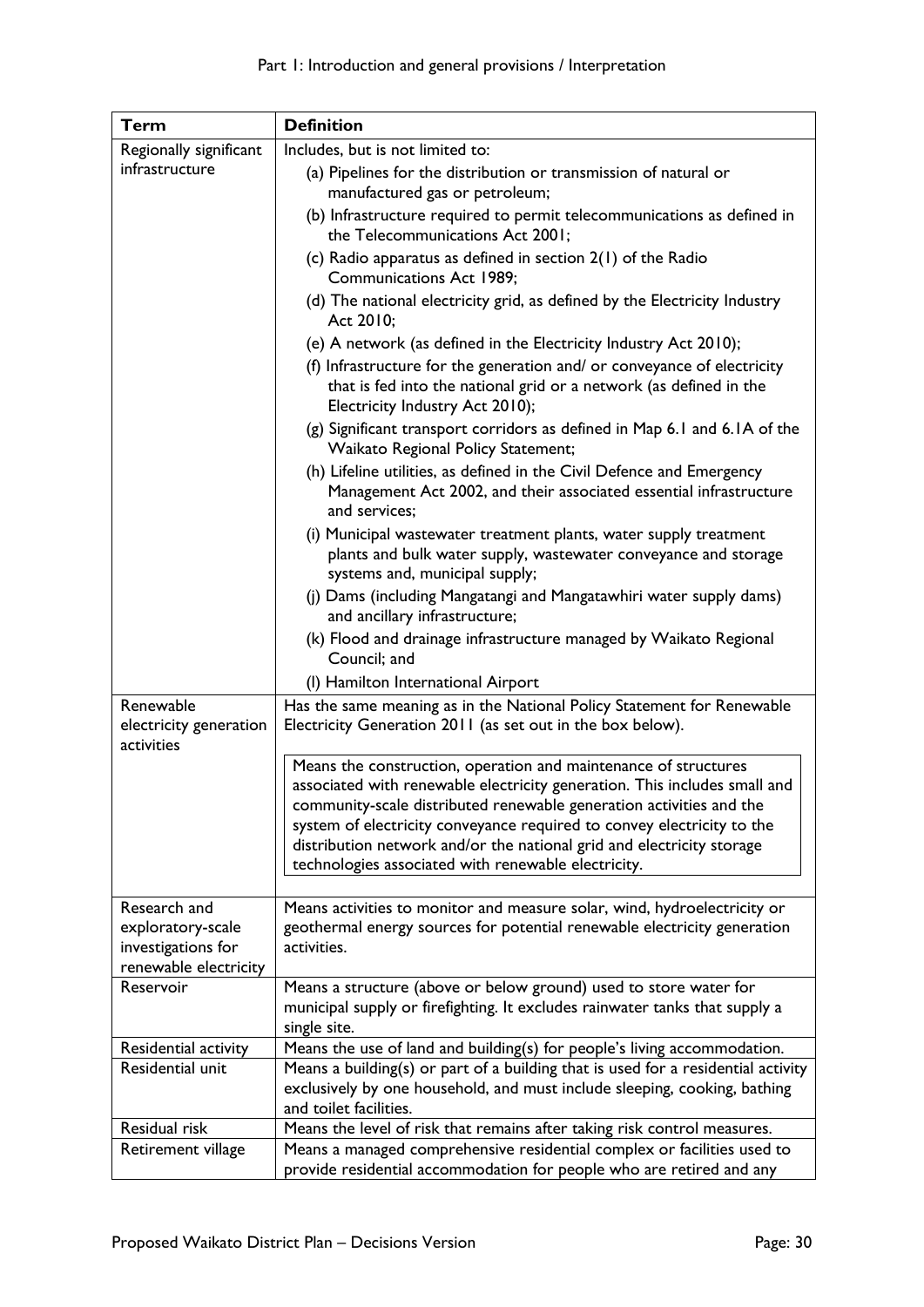| Term                                              | <b>Definition</b>                                                                                                                                                                                                                                                                                                                                                                                                             |
|---------------------------------------------------|-------------------------------------------------------------------------------------------------------------------------------------------------------------------------------------------------------------------------------------------------------------------------------------------------------------------------------------------------------------------------------------------------------------------------------|
| Regionally significant                            | Includes, but is not limited to:                                                                                                                                                                                                                                                                                                                                                                                              |
| infrastructure                                    | (a) Pipelines for the distribution or transmission of natural or                                                                                                                                                                                                                                                                                                                                                              |
|                                                   | manufactured gas or petroleum;                                                                                                                                                                                                                                                                                                                                                                                                |
|                                                   | (b) Infrastructure required to permit telecommunications as defined in<br>the Telecommunications Act 2001;                                                                                                                                                                                                                                                                                                                    |
|                                                   | (c) Radio apparatus as defined in section $2(1)$ of the Radio<br><b>Communications Act 1989;</b>                                                                                                                                                                                                                                                                                                                              |
|                                                   | (d) The national electricity grid, as defined by the Electricity Industry<br>Act 2010;                                                                                                                                                                                                                                                                                                                                        |
|                                                   | (e) A network (as defined in the Electricity Industry Act 2010);                                                                                                                                                                                                                                                                                                                                                              |
|                                                   | (f) Infrastructure for the generation and/ or conveyance of electricity<br>that is fed into the national grid or a network (as defined in the<br>Electricity Industry Act 2010);                                                                                                                                                                                                                                              |
|                                                   | (g) Significant transport corridors as defined in Map 6.1 and 6.1 A of the<br>Waikato Regional Policy Statement;                                                                                                                                                                                                                                                                                                              |
|                                                   | (h) Lifeline utilities, as defined in the Civil Defence and Emergency<br>Management Act 2002, and their associated essential infrastructure<br>and services;                                                                                                                                                                                                                                                                  |
|                                                   | (i) Municipal wastewater treatment plants, water supply treatment<br>plants and bulk water supply, wastewater conveyance and storage<br>systems and, municipal supply;                                                                                                                                                                                                                                                        |
|                                                   | (j) Dams (including Mangatangi and Mangatawhiri water supply dams)<br>and ancillary infrastructure;                                                                                                                                                                                                                                                                                                                           |
|                                                   | (k) Flood and drainage infrastructure managed by Waikato Regional<br>Council; and                                                                                                                                                                                                                                                                                                                                             |
|                                                   | (I) Hamilton International Airport                                                                                                                                                                                                                                                                                                                                                                                            |
| Renewable<br>electricity generation<br>activities | Has the same meaning as in the National Policy Statement for Renewable<br>Electricity Generation 2011 (as set out in the box below).                                                                                                                                                                                                                                                                                          |
|                                                   | Means the construction, operation and maintenance of structures<br>associated with renewable electricity generation. This includes small and<br>community-scale distributed renewable generation activities and the<br>system of electricity conveyance required to convey electricity to the<br>distribution network and/or the national grid and electricity storage<br>technologies associated with renewable electricity. |
| Research and                                      | Means activities to monitor and measure solar, wind, hydroelectricity or                                                                                                                                                                                                                                                                                                                                                      |
| exploratory-scale                                 | geothermal energy sources for potential renewable electricity generation                                                                                                                                                                                                                                                                                                                                                      |
| investigations for                                | activities.                                                                                                                                                                                                                                                                                                                                                                                                                   |
| renewable electricity                             |                                                                                                                                                                                                                                                                                                                                                                                                                               |
| Reservoir                                         | Means a structure (above or below ground) used to store water for<br>municipal supply or firefighting. It excludes rainwater tanks that supply a<br>single site.                                                                                                                                                                                                                                                              |
| Residential activity                              | Means the use of land and building(s) for people's living accommodation.                                                                                                                                                                                                                                                                                                                                                      |
| Residential unit                                  | Means a building(s) or part of a building that is used for a residential activity<br>exclusively by one household, and must include sleeping, cooking, bathing<br>and toilet facilities.                                                                                                                                                                                                                                      |
| Residual risk                                     | Means the level of risk that remains after taking risk control measures.                                                                                                                                                                                                                                                                                                                                                      |
| Retirement village                                | Means a managed comprehensive residential complex or facilities used to<br>provide residential accommodation for people who are retired and any                                                                                                                                                                                                                                                                               |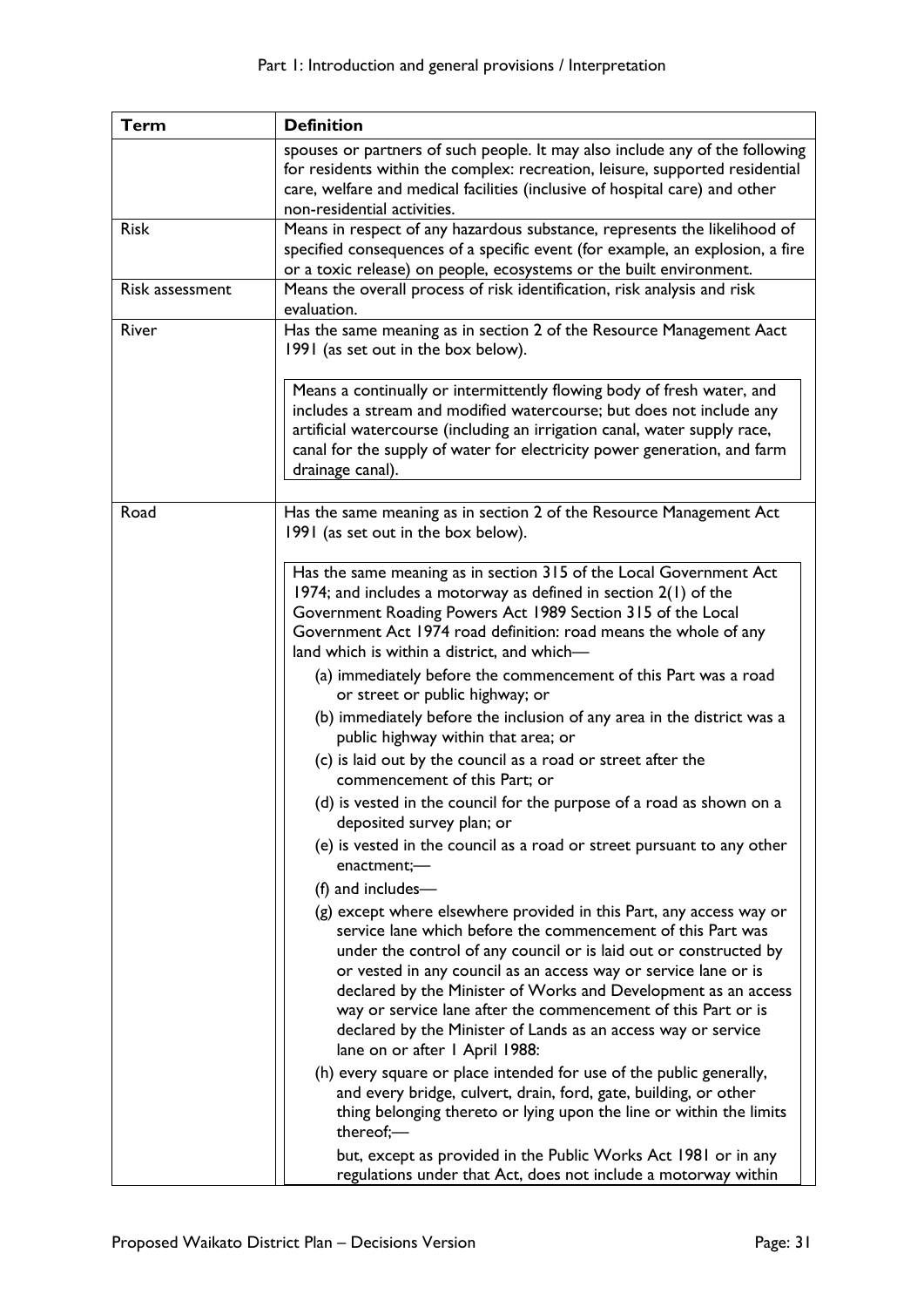| <b>Term</b>     | <b>Definition</b>                                                                                                                                                                                                                                                                                                                                                                                                                                                                                                |
|-----------------|------------------------------------------------------------------------------------------------------------------------------------------------------------------------------------------------------------------------------------------------------------------------------------------------------------------------------------------------------------------------------------------------------------------------------------------------------------------------------------------------------------------|
|                 | spouses or partners of such people. It may also include any of the following<br>for residents within the complex: recreation, leisure, supported residential<br>care, welfare and medical facilities (inclusive of hospital care) and other<br>non-residential activities.                                                                                                                                                                                                                                       |
| <b>Risk</b>     | Means in respect of any hazardous substance, represents the likelihood of<br>specified consequences of a specific event (for example, an explosion, a fire<br>or a toxic release) on people, ecosystems or the built environment.                                                                                                                                                                                                                                                                                |
| Risk assessment | Means the overall process of risk identification, risk analysis and risk<br>evaluation.                                                                                                                                                                                                                                                                                                                                                                                                                          |
| River           | Has the same meaning as in section 2 of the Resource Management Aact<br>1991 (as set out in the box below).                                                                                                                                                                                                                                                                                                                                                                                                      |
|                 | Means a continually or intermittently flowing body of fresh water, and<br>includes a stream and modified watercourse; but does not include any<br>artificial watercourse (including an irrigation canal, water supply race,<br>canal for the supply of water for electricity power generation, and farm<br>drainage canal).                                                                                                                                                                                      |
| Road            | Has the same meaning as in section 2 of the Resource Management Act<br>1991 (as set out in the box below).                                                                                                                                                                                                                                                                                                                                                                                                       |
|                 | Has the same meaning as in section 315 of the Local Government Act<br>1974; and includes a motorway as defined in section $2(1)$ of the<br>Government Roading Powers Act 1989 Section 315 of the Local<br>Government Act 1974 road definition: road means the whole of any<br>land which is within a district, and which-<br>(a) immediately before the commencement of this Part was a road<br>or street or public highway; or<br>(b) immediately before the inclusion of any area in the district was a        |
|                 | public highway within that area; or<br>(c) is laid out by the council as a road or street after the<br>commencement of this Part; or                                                                                                                                                                                                                                                                                                                                                                             |
|                 | (d) is vested in the council for the purpose of a road as shown on a<br>deposited survey plan; or                                                                                                                                                                                                                                                                                                                                                                                                                |
|                 | (e) is vested in the council as a road or street pursuant to any other<br>enactment;-<br>(f) and includes-                                                                                                                                                                                                                                                                                                                                                                                                       |
|                 | (g) except where elsewhere provided in this Part, any access way or<br>service lane which before the commencement of this Part was<br>under the control of any council or is laid out or constructed by<br>or vested in any council as an access way or service lane or is<br>declared by the Minister of Works and Development as an access<br>way or service lane after the commencement of this Part or is<br>declared by the Minister of Lands as an access way or service<br>lane on or after I April 1988: |
|                 | (h) every square or place intended for use of the public generally,<br>and every bridge, culvert, drain, ford, gate, building, or other<br>thing belonging thereto or lying upon the line or within the limits<br>thereof;-                                                                                                                                                                                                                                                                                      |
|                 | but, except as provided in the Public Works Act 1981 or in any<br>regulations under that Act, does not include a motorway within                                                                                                                                                                                                                                                                                                                                                                                 |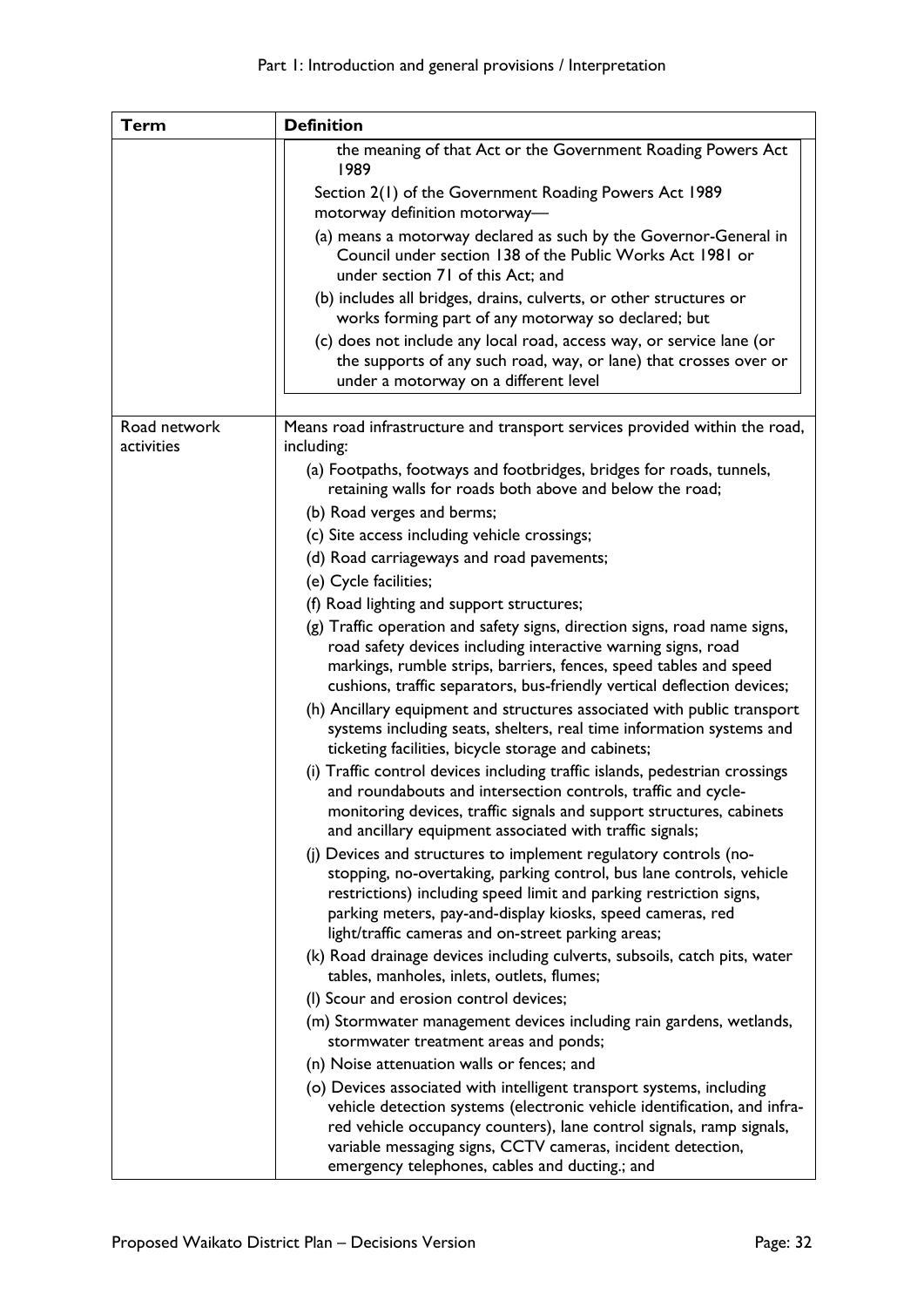| <b>Term</b>                | <b>Definition</b>                                                                                                                                                                                                                                                                                                                         |
|----------------------------|-------------------------------------------------------------------------------------------------------------------------------------------------------------------------------------------------------------------------------------------------------------------------------------------------------------------------------------------|
|                            | the meaning of that Act or the Government Roading Powers Act<br>1989                                                                                                                                                                                                                                                                      |
|                            | Section 2(1) of the Government Roading Powers Act 1989<br>motorway definition motorway-                                                                                                                                                                                                                                                   |
|                            | (a) means a motorway declared as such by the Governor-General in<br>Council under section 138 of the Public Works Act 1981 or<br>under section 71 of this Act; and                                                                                                                                                                        |
|                            | (b) includes all bridges, drains, culverts, or other structures or<br>works forming part of any motorway so declared; but                                                                                                                                                                                                                 |
|                            | (c) does not include any local road, access way, or service lane (or<br>the supports of any such road, way, or lane) that crosses over or<br>under a motorway on a different level                                                                                                                                                        |
|                            |                                                                                                                                                                                                                                                                                                                                           |
| Road network<br>activities | Means road infrastructure and transport services provided within the road,<br>including:                                                                                                                                                                                                                                                  |
|                            | (a) Footpaths, footways and footbridges, bridges for roads, tunnels,<br>retaining walls for roads both above and below the road;                                                                                                                                                                                                          |
|                            | (b) Road verges and berms;                                                                                                                                                                                                                                                                                                                |
|                            | (c) Site access including vehicle crossings;                                                                                                                                                                                                                                                                                              |
|                            | (d) Road carriageways and road pavements;                                                                                                                                                                                                                                                                                                 |
|                            | (e) Cycle facilities;                                                                                                                                                                                                                                                                                                                     |
|                            | (f) Road lighting and support structures;                                                                                                                                                                                                                                                                                                 |
|                            | (g) Traffic operation and safety signs, direction signs, road name signs,<br>road safety devices including interactive warning signs, road<br>markings, rumble strips, barriers, fences, speed tables and speed<br>cushions, traffic separators, bus-friendly vertical deflection devices;                                                |
|                            | (h) Ancillary equipment and structures associated with public transport<br>systems including seats, shelters, real time information systems and<br>ticketing facilities, bicycle storage and cabinets;                                                                                                                                    |
|                            | (i) Traffic control devices including traffic islands, pedestrian crossings<br>and roundabouts and intersection controls, traffic and cycle-<br>monitoring devices, traffic signals and support structures, cabinets<br>and ancillary equipment associated with traffic signals;                                                          |
|                            | (j) Devices and structures to implement regulatory controls (no-<br>stopping, no-overtaking, parking control, bus lane controls, vehicle<br>restrictions) including speed limit and parking restriction signs,<br>parking meters, pay-and-display kiosks, speed cameras, red<br>light/traffic cameras and on-street parking areas;        |
|                            | (k) Road drainage devices including culverts, subsoils, catch pits, water<br>tables, manholes, inlets, outlets, flumes;                                                                                                                                                                                                                   |
|                            | (I) Scour and erosion control devices;                                                                                                                                                                                                                                                                                                    |
|                            | (m) Stormwater management devices including rain gardens, wetlands,<br>stormwater treatment areas and ponds;                                                                                                                                                                                                                              |
|                            | (n) Noise attenuation walls or fences; and                                                                                                                                                                                                                                                                                                |
|                            | (o) Devices associated with intelligent transport systems, including<br>vehicle detection systems (electronic vehicle identification, and infra-<br>red vehicle occupancy counters), lane control signals, ramp signals,<br>variable messaging signs, CCTV cameras, incident detection,<br>emergency telephones, cables and ducting.; and |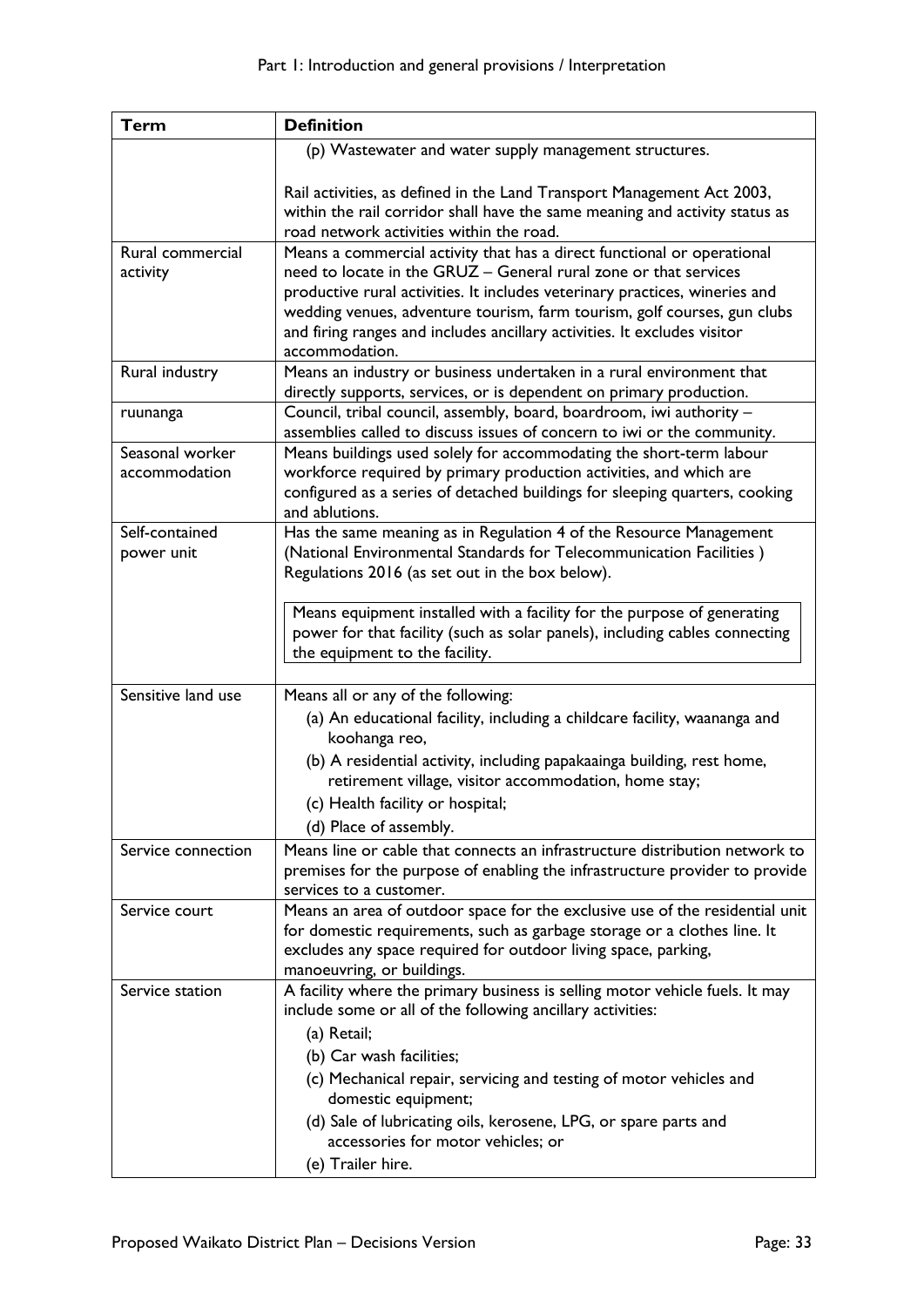| <b>Term</b>        | <b>Definition</b>                                                                                                                                       |
|--------------------|---------------------------------------------------------------------------------------------------------------------------------------------------------|
|                    | (p) Wastewater and water supply management structures.                                                                                                  |
|                    |                                                                                                                                                         |
|                    | Rail activities, as defined in the Land Transport Management Act 2003,                                                                                  |
|                    | within the rail corridor shall have the same meaning and activity status as                                                                             |
|                    | road network activities within the road.                                                                                                                |
| Rural commercial   | Means a commercial activity that has a direct functional or operational                                                                                 |
| activity           | need to locate in the GRUZ - General rural zone or that services                                                                                        |
|                    | productive rural activities. It includes veterinary practices, wineries and<br>wedding venues, adventure tourism, farm tourism, golf courses, gun clubs |
|                    | and firing ranges and includes ancillary activities. It excludes visitor                                                                                |
|                    | accommodation.                                                                                                                                          |
| Rural industry     | Means an industry or business undertaken in a rural environment that                                                                                    |
|                    | directly supports, services, or is dependent on primary production.                                                                                     |
| ruunanga           | Council, tribal council, assembly, board, boardroom, iwi authority -                                                                                    |
|                    | assemblies called to discuss issues of concern to iwi or the community.                                                                                 |
| Seasonal worker    | Means buildings used solely for accommodating the short-term labour                                                                                     |
| accommodation      | workforce required by primary production activities, and which are                                                                                      |
|                    | configured as a series of detached buildings for sleeping quarters, cooking                                                                             |
|                    | and ablutions.                                                                                                                                          |
| Self-contained     | Has the same meaning as in Regulation 4 of the Resource Management<br>(National Environmental Standards for Telecommunication Facilities)               |
| power unit         | Regulations 2016 (as set out in the box below).                                                                                                         |
|                    |                                                                                                                                                         |
|                    | Means equipment installed with a facility for the purpose of generating                                                                                 |
|                    | power for that facility (such as solar panels), including cables connecting                                                                             |
|                    | the equipment to the facility.                                                                                                                          |
|                    |                                                                                                                                                         |
| Sensitive land use | Means all or any of the following:                                                                                                                      |
|                    | (a) An educational facility, including a childcare facility, waananga and                                                                               |
|                    | koohanga reo,                                                                                                                                           |
|                    | (b) A residential activity, including papakaainga building, rest home,                                                                                  |
|                    | retirement village, visitor accommodation, home stay;                                                                                                   |
|                    | (c) Health facility or hospital;                                                                                                                        |
|                    | (d) Place of assembly.                                                                                                                                  |
| Service connection | Means line or cable that connects an infrastructure distribution network to                                                                             |
|                    | premises for the purpose of enabling the infrastructure provider to provide                                                                             |
| Service court      | services to a customer.<br>Means an area of outdoor space for the exclusive use of the residential unit                                                 |
|                    | for domestic requirements, such as garbage storage or a clothes line. It                                                                                |
|                    | excludes any space required for outdoor living space, parking,                                                                                          |
|                    | manoeuvring, or buildings.                                                                                                                              |
| Service station    | A facility where the primary business is selling motor vehicle fuels. It may                                                                            |
|                    | include some or all of the following ancillary activities:                                                                                              |
|                    | (a) Retail;                                                                                                                                             |
|                    | (b) Car wash facilities;                                                                                                                                |
|                    | (c) Mechanical repair, servicing and testing of motor vehicles and                                                                                      |
|                    | domestic equipment;                                                                                                                                     |
|                    | (d) Sale of lubricating oils, kerosene, LPG, or spare parts and                                                                                         |
|                    | accessories for motor vehicles; or                                                                                                                      |
|                    | (e) Trailer hire.                                                                                                                                       |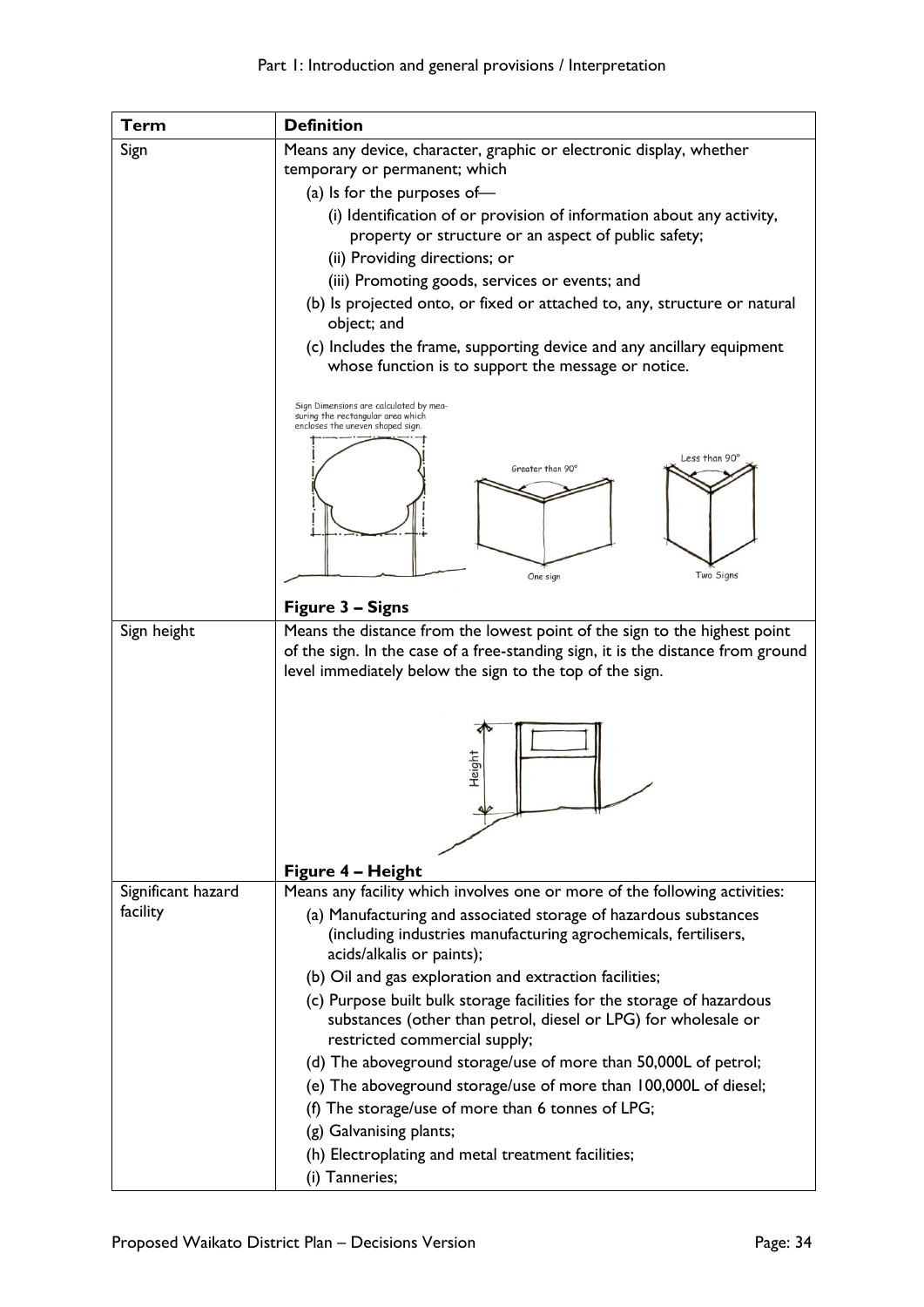| <b>Term</b>        | <b>Definition</b>                                                                                               |
|--------------------|-----------------------------------------------------------------------------------------------------------------|
| Sign               | Means any device, character, graphic or electronic display, whether                                             |
|                    | temporary or permanent; which                                                                                   |
|                    | (a) Is for the purposes of-                                                                                     |
|                    | (i) Identification of or provision of information about any activity,                                           |
|                    | property or structure or an aspect of public safety;                                                            |
|                    | (ii) Providing directions; or                                                                                   |
|                    | (iii) Promoting goods, services or events; and                                                                  |
|                    | (b) Is projected onto, or fixed or attached to, any, structure or natural<br>object; and                        |
|                    | (c) Includes the frame, supporting device and any ancillary equipment                                           |
|                    | whose function is to support the message or notice.                                                             |
|                    | Sign Dimensions are calculated by mea-<br>suring the rectangular area which<br>encloses the uneven shaped sign. |
|                    | Less than 90°<br>Greater than 90°                                                                               |
|                    |                                                                                                                 |
|                    |                                                                                                                 |
|                    | Two Signs<br>One sign                                                                                           |
|                    | Figure 3 - Signs                                                                                                |
| Sign height        | Means the distance from the lowest point of the sign to the highest point                                       |
|                    | of the sign. In the case of a free-standing sign, it is the distance from ground                                |
|                    | level immediately below the sign to the top of the sign.                                                        |
|                    |                                                                                                                 |
|                    |                                                                                                                 |
|                    |                                                                                                                 |
|                    | Height                                                                                                          |
|                    |                                                                                                                 |
|                    |                                                                                                                 |
|                    |                                                                                                                 |
|                    | Figure 4 - Height                                                                                               |
| Significant hazard | Means any facility which involves one or more of the following activities:                                      |
| facility           | (a) Manufacturing and associated storage of hazardous substances                                                |
|                    | (including industries manufacturing agrochemicals, fertilisers,<br>acids/alkalis or paints);                    |
|                    | (b) Oil and gas exploration and extraction facilities;                                                          |
|                    | (c) Purpose built bulk storage facilities for the storage of hazardous                                          |
|                    | substances (other than petrol, diesel or LPG) for wholesale or<br>restricted commercial supply;                 |
|                    | (d) The aboveground storage/use of more than 50,000L of petrol;                                                 |
|                    | (e) The aboveground storage/use of more than 100,000L of diesel;                                                |
|                    | (f) The storage/use of more than 6 tonnes of LPG;                                                               |
|                    | (g) Galvanising plants;                                                                                         |
|                    | (h) Electroplating and metal treatment facilities;                                                              |
|                    | (i) Tanneries;                                                                                                  |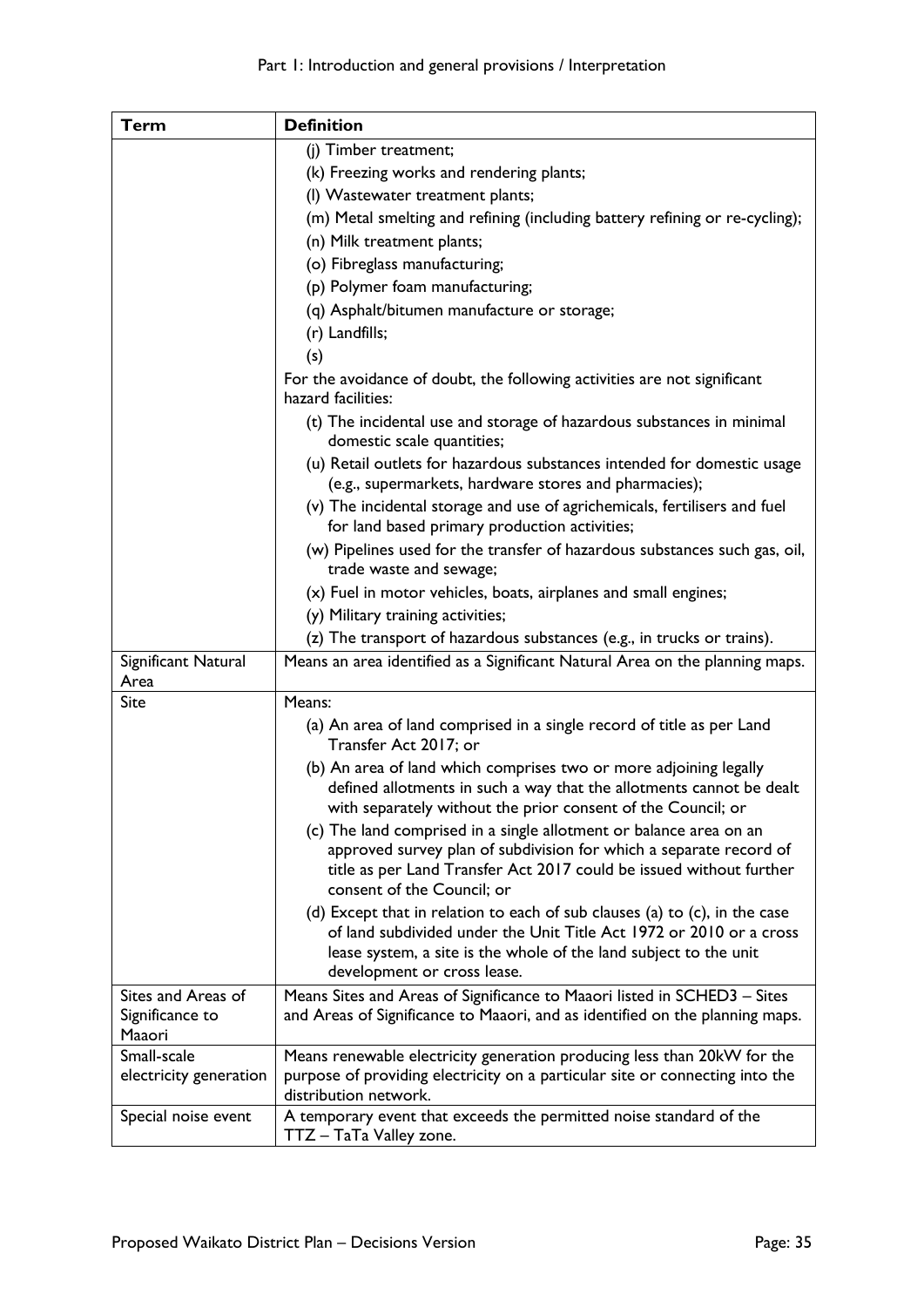| <b>Term</b>            | <b>Definition</b>                                                                                                                                                                                                                                        |
|------------------------|----------------------------------------------------------------------------------------------------------------------------------------------------------------------------------------------------------------------------------------------------------|
|                        | (j) Timber treatment;                                                                                                                                                                                                                                    |
|                        | (k) Freezing works and rendering plants;                                                                                                                                                                                                                 |
|                        | (I) Wastewater treatment plants;                                                                                                                                                                                                                         |
|                        | (m) Metal smelting and refining (including battery refining or re-cycling);                                                                                                                                                                              |
|                        | (n) Milk treatment plants;                                                                                                                                                                                                                               |
|                        | (o) Fibreglass manufacturing;                                                                                                                                                                                                                            |
|                        | (p) Polymer foam manufacturing;                                                                                                                                                                                                                          |
|                        | (q) Asphalt/bitumen manufacture or storage;                                                                                                                                                                                                              |
|                        | (r) Landfills;                                                                                                                                                                                                                                           |
|                        | (s)                                                                                                                                                                                                                                                      |
|                        | For the avoidance of doubt, the following activities are not significant<br>hazard facilities:                                                                                                                                                           |
|                        | (t) The incidental use and storage of hazardous substances in minimal<br>domestic scale quantities;                                                                                                                                                      |
|                        | (u) Retail outlets for hazardous substances intended for domestic usage<br>(e.g., supermarkets, hardware stores and pharmacies);                                                                                                                         |
|                        | (v) The incidental storage and use of agrichemicals, fertilisers and fuel<br>for land based primary production activities;                                                                                                                               |
|                        | (w) Pipelines used for the transfer of hazardous substances such gas, oil,<br>trade waste and sewage;                                                                                                                                                    |
|                        | (x) Fuel in motor vehicles, boats, airplanes and small engines;                                                                                                                                                                                          |
|                        | (y) Military training activities;                                                                                                                                                                                                                        |
|                        | (z) The transport of hazardous substances (e.g., in trucks or trains).                                                                                                                                                                                   |
| Significant Natural    | Means an area identified as a Significant Natural Area on the planning maps.                                                                                                                                                                             |
| Area                   |                                                                                                                                                                                                                                                          |
| Site                   | Means:                                                                                                                                                                                                                                                   |
|                        | (a) An area of land comprised in a single record of title as per Land<br>Transfer Act 2017; or                                                                                                                                                           |
|                        | (b) An area of land which comprises two or more adjoining legally<br>defined allotments in such a way that the allotments cannot be dealt<br>with separately without the prior consent of the Council; or                                                |
|                        | (c) The land comprised in a single allotment or balance area on an<br>approved survey plan of subdivision for which a separate record of<br>title as per Land Transfer Act 2017 could be issued without further<br>consent of the Council; or            |
|                        | (d) Except that in relation to each of sub clauses (a) to $(c)$ , in the case<br>of land subdivided under the Unit Title Act 1972 or 2010 or a cross<br>lease system, a site is the whole of the land subject to the unit<br>development or cross lease. |
| Sites and Areas of     | Means Sites and Areas of Significance to Maaori listed in SCHED3 - Sites                                                                                                                                                                                 |
| Significance to        | and Areas of Significance to Maaori, and as identified on the planning maps.                                                                                                                                                                             |
| Maaori                 |                                                                                                                                                                                                                                                          |
| Small-scale            | Means renewable electricity generation producing less than 20kW for the                                                                                                                                                                                  |
| electricity generation | purpose of providing electricity on a particular site or connecting into the<br>distribution network.                                                                                                                                                    |
| Special noise event    | A temporary event that exceeds the permitted noise standard of the<br>TTZ - TaTa Valley zone.                                                                                                                                                            |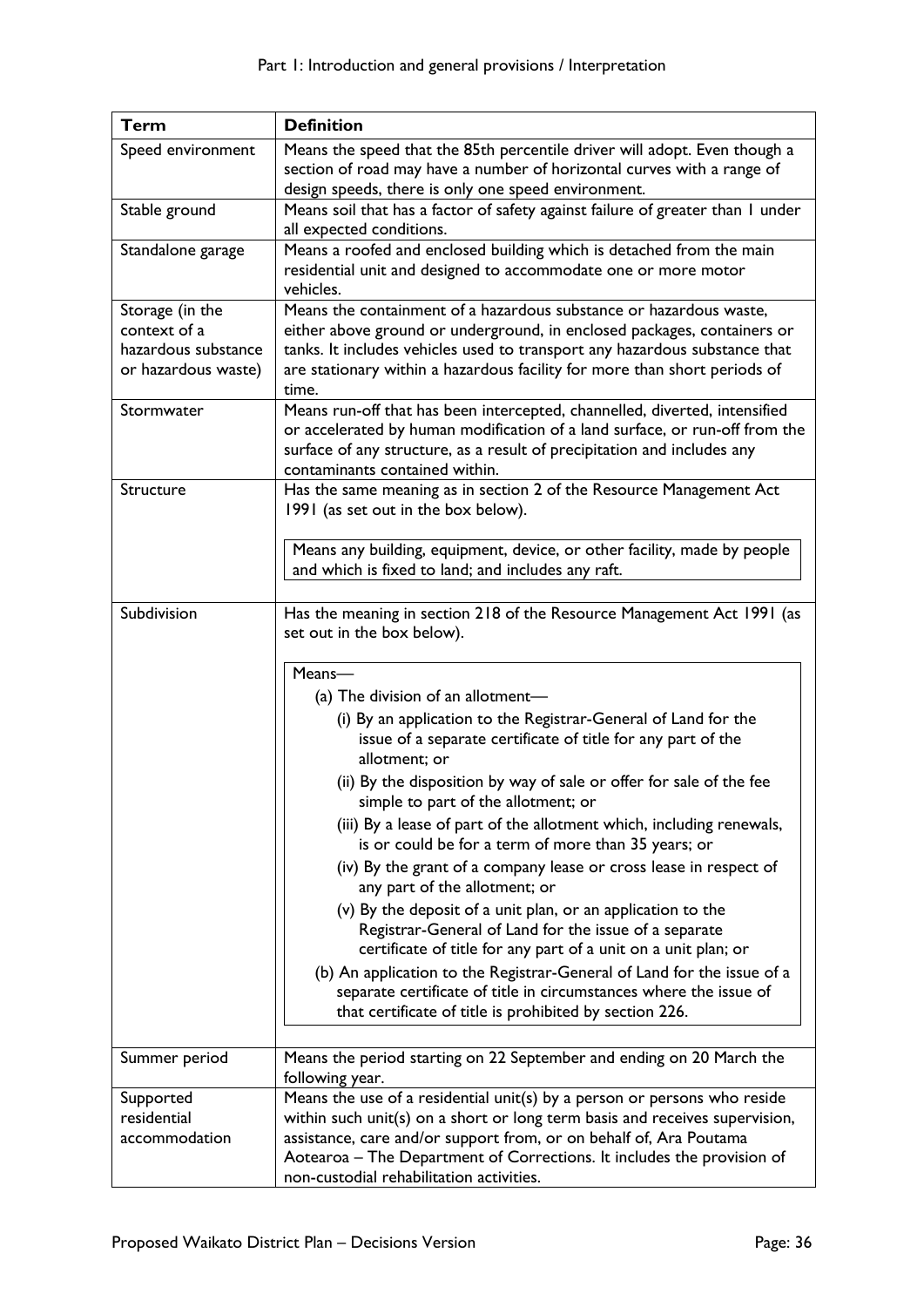| <b>Term</b>                                                                   | <b>Definition</b>                                                                                                                                                                                                                                                                                                                                                                                                                                                                                                                                                                                                                                                                                                                                                    |
|-------------------------------------------------------------------------------|----------------------------------------------------------------------------------------------------------------------------------------------------------------------------------------------------------------------------------------------------------------------------------------------------------------------------------------------------------------------------------------------------------------------------------------------------------------------------------------------------------------------------------------------------------------------------------------------------------------------------------------------------------------------------------------------------------------------------------------------------------------------|
| Speed environment                                                             | Means the speed that the 85th percentile driver will adopt. Even though a                                                                                                                                                                                                                                                                                                                                                                                                                                                                                                                                                                                                                                                                                            |
|                                                                               | section of road may have a number of horizontal curves with a range of<br>design speeds, there is only one speed environment.                                                                                                                                                                                                                                                                                                                                                                                                                                                                                                                                                                                                                                        |
| Stable ground                                                                 | Means soil that has a factor of safety against failure of greater than I under<br>all expected conditions.                                                                                                                                                                                                                                                                                                                                                                                                                                                                                                                                                                                                                                                           |
| Standalone garage                                                             | Means a roofed and enclosed building which is detached from the main<br>residential unit and designed to accommodate one or more motor<br>vehicles.                                                                                                                                                                                                                                                                                                                                                                                                                                                                                                                                                                                                                  |
| Storage (in the<br>context of a<br>hazardous substance<br>or hazardous waste) | Means the containment of a hazardous substance or hazardous waste,<br>either above ground or underground, in enclosed packages, containers or<br>tanks. It includes vehicles used to transport any hazardous substance that<br>are stationary within a hazardous facility for more than short periods of<br>time.                                                                                                                                                                                                                                                                                                                                                                                                                                                    |
| Stormwater                                                                    | Means run-off that has been intercepted, channelled, diverted, intensified<br>or accelerated by human modification of a land surface, or run-off from the<br>surface of any structure, as a result of precipitation and includes any<br>contaminants contained within.                                                                                                                                                                                                                                                                                                                                                                                                                                                                                               |
| Structure                                                                     | Has the same meaning as in section 2 of the Resource Management Act<br>1991 (as set out in the box below).                                                                                                                                                                                                                                                                                                                                                                                                                                                                                                                                                                                                                                                           |
|                                                                               | Means any building, equipment, device, or other facility, made by people<br>and which is fixed to land; and includes any raft.                                                                                                                                                                                                                                                                                                                                                                                                                                                                                                                                                                                                                                       |
| Subdivision                                                                   | Has the meaning in section 218 of the Resource Management Act 1991 (as<br>set out in the box below).<br>Means-<br>(a) The division of an allotment-<br>(i) By an application to the Registrar-General of Land for the<br>issue of a separate certificate of title for any part of the                                                                                                                                                                                                                                                                                                                                                                                                                                                                                |
|                                                                               | allotment; or<br>(ii) By the disposition by way of sale or offer for sale of the fee<br>simple to part of the allotment; or<br>(iii) By a lease of part of the allotment which, including renewals,<br>is or could be for a term of more than 35 years; or<br>(iv) By the grant of a company lease or cross lease in respect of<br>any part of the allotment; or<br>(v) By the deposit of a unit plan, or an application to the<br>Registrar-General of Land for the issue of a separate<br>certificate of title for any part of a unit on a unit plan; or<br>(b) An application to the Registrar-General of Land for the issue of a<br>separate certificate of title in circumstances where the issue of<br>that certificate of title is prohibited by section 226. |
| Summer period                                                                 | Means the period starting on 22 September and ending on 20 March the<br>following year.                                                                                                                                                                                                                                                                                                                                                                                                                                                                                                                                                                                                                                                                              |
| Supported<br>residential<br>accommodation                                     | Means the use of a residential unit(s) by a person or persons who reside<br>within such unit(s) on a short or long term basis and receives supervision,<br>assistance, care and/or support from, or on behalf of, Ara Poutama<br>Aotearoa - The Department of Corrections. It includes the provision of<br>non-custodial rehabilitation activities.                                                                                                                                                                                                                                                                                                                                                                                                                  |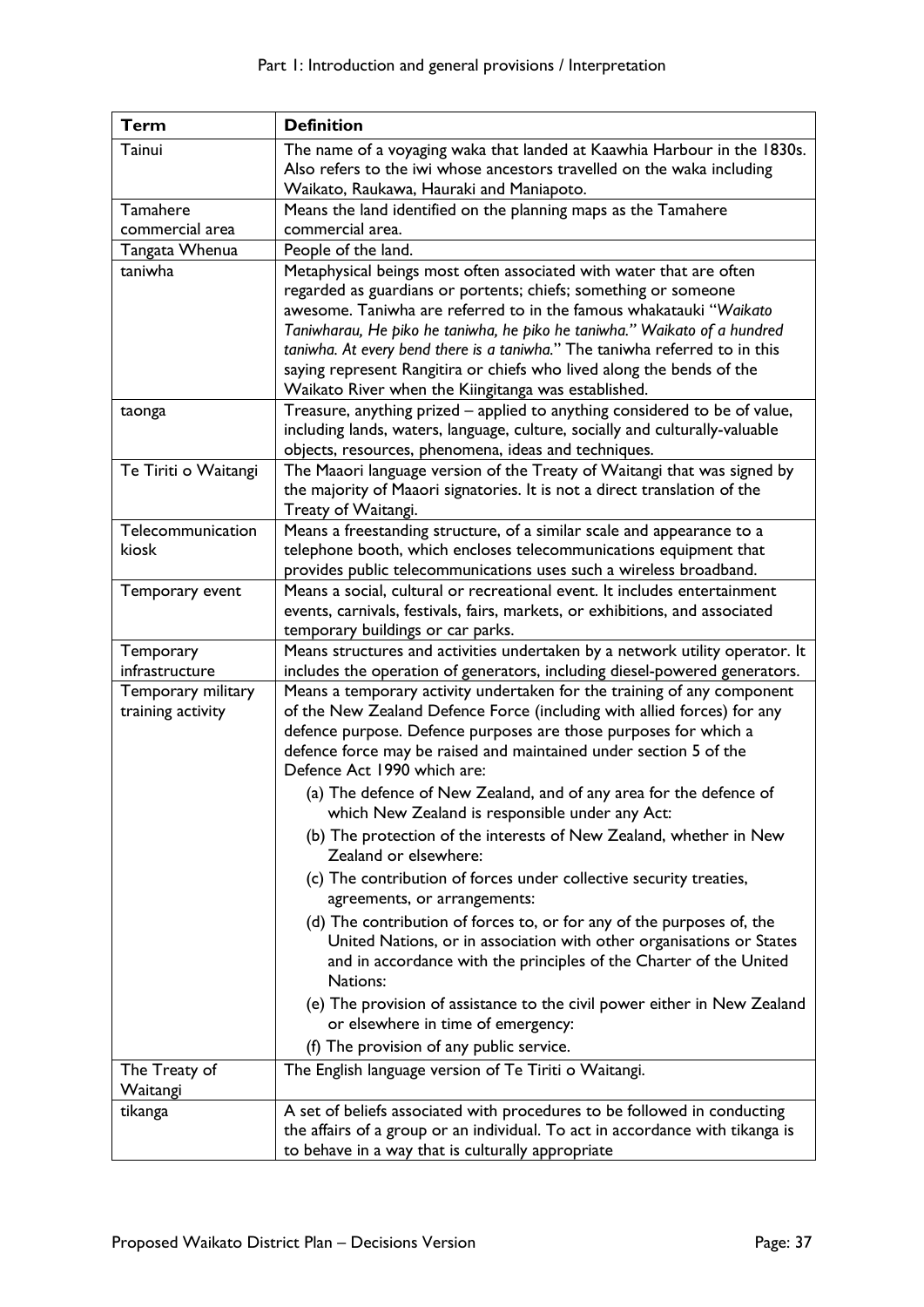| <b>Term</b>          | <b>Definition</b>                                                                                                                               |
|----------------------|-------------------------------------------------------------------------------------------------------------------------------------------------|
| Tainui               | The name of a voyaging waka that landed at Kaawhia Harbour in the 1830s.                                                                        |
|                      | Also refers to the iwi whose ancestors travelled on the waka including                                                                          |
|                      | Waikato, Raukawa, Hauraki and Maniapoto.                                                                                                        |
| Tamahere             | Means the land identified on the planning maps as the Tamahere                                                                                  |
| commercial area      | commercial area.                                                                                                                                |
| Tangata Whenua       | People of the land.                                                                                                                             |
| taniwha              | Metaphysical beings most often associated with water that are often<br>regarded as guardians or portents; chiefs; something or someone          |
|                      | awesome. Taniwha are referred to in the famous whakatauki "Waikato                                                                              |
|                      | Taniwharau, He piko he taniwha, he piko he taniwha." Waikato of a hundred                                                                       |
|                      | taniwha. At every bend there is a taniwha." The taniwha referred to in this                                                                     |
|                      | saying represent Rangitira or chiefs who lived along the bends of the                                                                           |
|                      | Waikato River when the Kiingitanga was established.                                                                                             |
| taonga               | Treasure, anything prized - applied to anything considered to be of value,                                                                      |
|                      | including lands, waters, language, culture, socially and culturally-valuable                                                                    |
|                      | objects, resources, phenomena, ideas and techniques.                                                                                            |
| Te Tiriti o Waitangi | The Maaori language version of the Treaty of Waitangi that was signed by                                                                        |
|                      | the majority of Maaori signatories. It is not a direct translation of the                                                                       |
|                      | Treaty of Waitangi.                                                                                                                             |
| Telecommunication    | Means a freestanding structure, of a similar scale and appearance to a                                                                          |
| kiosk                | telephone booth, which encloses telecommunications equipment that                                                                               |
|                      | provides public telecommunications uses such a wireless broadband.<br>Means a social, cultural or recreational event. It includes entertainment |
| Temporary event      | events, carnivals, festivals, fairs, markets, or exhibitions, and associated                                                                    |
|                      | temporary buildings or car parks.                                                                                                               |
| Temporary            | Means structures and activities undertaken by a network utility operator. It                                                                    |
| infrastructure       | includes the operation of generators, including diesel-powered generators.                                                                      |
| Temporary military   | Means a temporary activity undertaken for the training of any component                                                                         |
| training activity    | of the New Zealand Defence Force (including with allied forces) for any                                                                         |
|                      | defence purpose. Defence purposes are those purposes for which a                                                                                |
|                      | defence force may be raised and maintained under section 5 of the                                                                               |
|                      | Defence Act 1990 which are:                                                                                                                     |
|                      | (a) The defence of New Zealand, and of any area for the defence of<br>which New Zealand is responsible under any Act:                           |
|                      |                                                                                                                                                 |
|                      | (b) The protection of the interests of New Zealand, whether in New<br>Zealand or elsewhere:                                                     |
|                      | (c) The contribution of forces under collective security treaties,                                                                              |
|                      | agreements, or arrangements:                                                                                                                    |
|                      | (d) The contribution of forces to, or for any of the purposes of, the                                                                           |
|                      | United Nations, or in association with other organisations or States                                                                            |
|                      | and in accordance with the principles of the Charter of the United<br>Nations:                                                                  |
|                      |                                                                                                                                                 |
|                      | (e) The provision of assistance to the civil power either in New Zealand<br>or elsewhere in time of emergency:                                  |
|                      | (f) The provision of any public service.                                                                                                        |
| The Treaty of        | The English language version of Te Tiriti o Waitangi.                                                                                           |
| Waitangi             |                                                                                                                                                 |
| tikanga              | A set of beliefs associated with procedures to be followed in conducting                                                                        |
|                      | the affairs of a group or an individual. To act in accordance with tikanga is                                                                   |
|                      | to behave in a way that is culturally appropriate                                                                                               |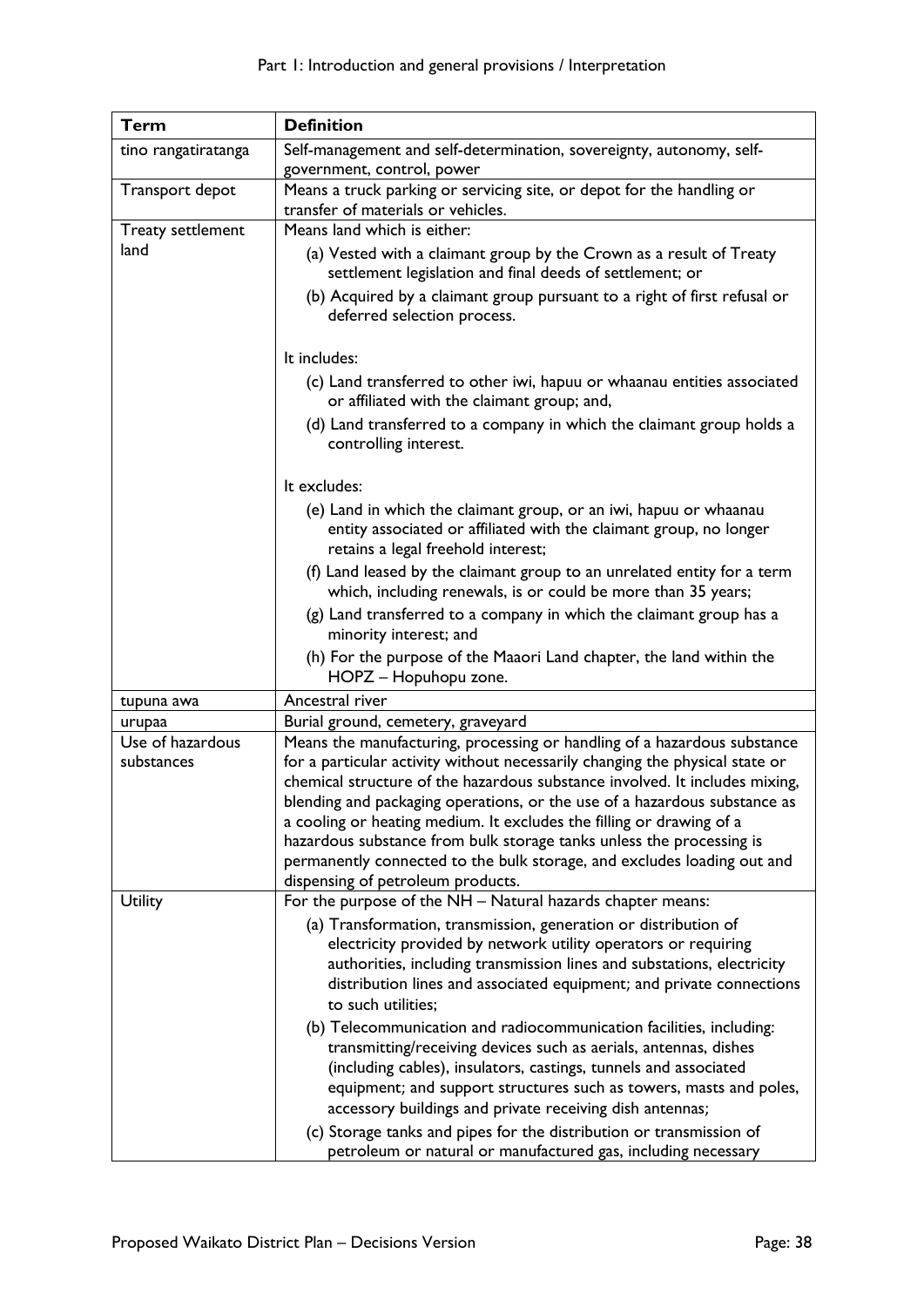| Term                           | <b>Definition</b>                                                                                                                                                                                                                                                                                                                                                                                                                                                                                                                                                                    |
|--------------------------------|--------------------------------------------------------------------------------------------------------------------------------------------------------------------------------------------------------------------------------------------------------------------------------------------------------------------------------------------------------------------------------------------------------------------------------------------------------------------------------------------------------------------------------------------------------------------------------------|
| tino rangatiratanga            | Self-management and self-determination, sovereignty, autonomy, self-                                                                                                                                                                                                                                                                                                                                                                                                                                                                                                                 |
|                                | government, control, power                                                                                                                                                                                                                                                                                                                                                                                                                                                                                                                                                           |
| Transport depot                | Means a truck parking or servicing site, or depot for the handling or<br>transfer of materials or vehicles.                                                                                                                                                                                                                                                                                                                                                                                                                                                                          |
|                                | Means land which is either:                                                                                                                                                                                                                                                                                                                                                                                                                                                                                                                                                          |
| Treaty settlement<br>land      | (a) Vested with a claimant group by the Crown as a result of Treaty<br>settlement legislation and final deeds of settlement; or<br>(b) Acquired by a claimant group pursuant to a right of first refusal or<br>deferred selection process.                                                                                                                                                                                                                                                                                                                                           |
|                                |                                                                                                                                                                                                                                                                                                                                                                                                                                                                                                                                                                                      |
|                                | It includes:                                                                                                                                                                                                                                                                                                                                                                                                                                                                                                                                                                         |
|                                | (c) Land transferred to other iwi, hapuu or whaanau entities associated<br>or affiliated with the claimant group; and,                                                                                                                                                                                                                                                                                                                                                                                                                                                               |
|                                | (d) Land transferred to a company in which the claimant group holds a<br>controlling interest.                                                                                                                                                                                                                                                                                                                                                                                                                                                                                       |
|                                | It excludes:                                                                                                                                                                                                                                                                                                                                                                                                                                                                                                                                                                         |
|                                | (e) Land in which the claimant group, or an iwi, hapuu or whaanau<br>entity associated or affiliated with the claimant group, no longer<br>retains a legal freehold interest;                                                                                                                                                                                                                                                                                                                                                                                                        |
|                                | (f) Land leased by the claimant group to an unrelated entity for a term<br>which, including renewals, is or could be more than 35 years;                                                                                                                                                                                                                                                                                                                                                                                                                                             |
|                                | (g) Land transferred to a company in which the claimant group has a<br>minority interest; and                                                                                                                                                                                                                                                                                                                                                                                                                                                                                        |
|                                | (h) For the purpose of the Maaori Land chapter, the land within the<br>HOPZ - Hopuhopu zone.                                                                                                                                                                                                                                                                                                                                                                                                                                                                                         |
| tupuna awa                     | Ancestral river                                                                                                                                                                                                                                                                                                                                                                                                                                                                                                                                                                      |
| urupaa                         | Burial ground, cemetery, graveyard                                                                                                                                                                                                                                                                                                                                                                                                                                                                                                                                                   |
| Use of hazardous<br>substances | Means the manufacturing, processing or handling of a hazardous substance<br>for a particular activity without necessarily changing the physical state or<br>chemical structure of the hazardous substance involved. It includes mixing,<br>blending and packaging operations, or the use of a hazardous substance as<br>a cooling or heating medium. It excludes the filling or drawing of a<br>hazardous substance from bulk storage tanks unless the processing is<br>permanently connected to the bulk storage, and excludes loading out and<br>dispensing of petroleum products. |
| Utility                        | For the purpose of the NH - Natural hazards chapter means:                                                                                                                                                                                                                                                                                                                                                                                                                                                                                                                           |
|                                | (a) Transformation, transmission, generation or distribution of<br>electricity provided by network utility operators or requiring<br>authorities, including transmission lines and substations, electricity<br>distribution lines and associated equipment; and private connections<br>to such utilities;                                                                                                                                                                                                                                                                            |
|                                | (b) Telecommunication and radiocommunication facilities, including:<br>transmitting/receiving devices such as aerials, antennas, dishes<br>(including cables), insulators, castings, tunnels and associated<br>equipment; and support structures such as towers, masts and poles,<br>accessory buildings and private receiving dish antennas;<br>(c) Storage tanks and pipes for the distribution or transmission of                                                                                                                                                                 |
|                                | petroleum or natural or manufactured gas, including necessary                                                                                                                                                                                                                                                                                                                                                                                                                                                                                                                        |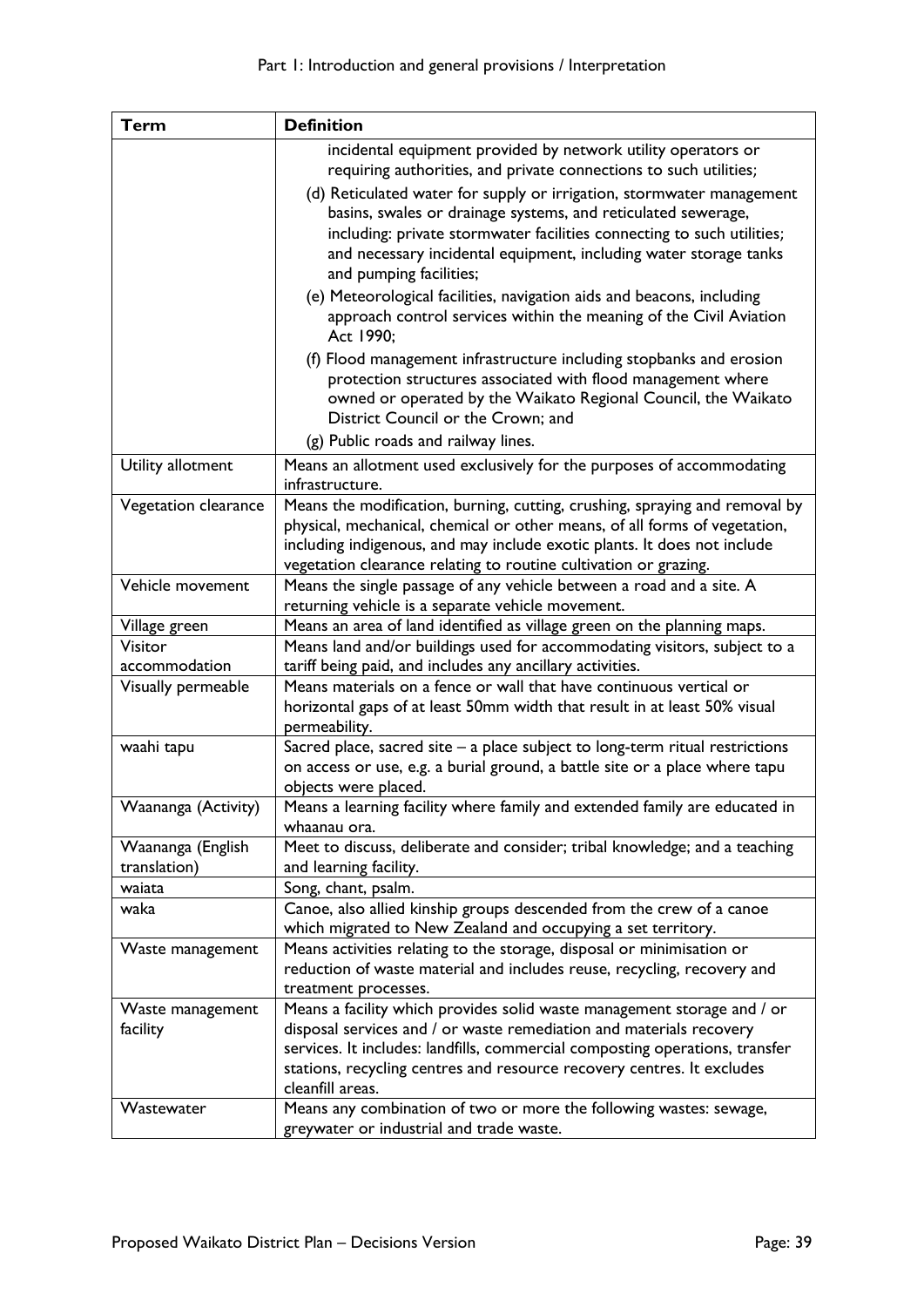| <b>Term</b>          | <b>Definition</b>                                                                                                                                        |
|----------------------|----------------------------------------------------------------------------------------------------------------------------------------------------------|
|                      | incidental equipment provided by network utility operators or                                                                                            |
|                      | requiring authorities, and private connections to such utilities;                                                                                        |
|                      | (d) Reticulated water for supply or irrigation, stormwater management                                                                                    |
|                      | basins, swales or drainage systems, and reticulated sewerage,                                                                                            |
|                      | including: private stormwater facilities connecting to such utilities;                                                                                   |
|                      | and necessary incidental equipment, including water storage tanks                                                                                        |
|                      | and pumping facilities;                                                                                                                                  |
|                      | (e) Meteorological facilities, navigation aids and beacons, including<br>approach control services within the meaning of the Civil Aviation<br>Act 1990; |
|                      | (f) Flood management infrastructure including stopbanks and erosion                                                                                      |
|                      | protection structures associated with flood management where                                                                                             |
|                      | owned or operated by the Waikato Regional Council, the Waikato                                                                                           |
|                      | District Council or the Crown; and                                                                                                                       |
|                      | (g) Public roads and railway lines.                                                                                                                      |
| Utility allotment    | Means an allotment used exclusively for the purposes of accommodating                                                                                    |
|                      | infrastructure.                                                                                                                                          |
| Vegetation clearance | Means the modification, burning, cutting, crushing, spraying and removal by                                                                              |
|                      | physical, mechanical, chemical or other means, of all forms of vegetation,                                                                               |
|                      | including indigenous, and may include exotic plants. It does not include<br>vegetation clearance relating to routine cultivation or grazing.             |
| Vehicle movement     | Means the single passage of any vehicle between a road and a site. A                                                                                     |
|                      | returning vehicle is a separate vehicle movement.                                                                                                        |
| Village green        | Means an area of land identified as village green on the planning maps.                                                                                  |
| Visitor              | Means land and/or buildings used for accommodating visitors, subject to a                                                                                |
| accommodation        | tariff being paid, and includes any ancillary activities.                                                                                                |
| Visually permeable   | Means materials on a fence or wall that have continuous vertical or                                                                                      |
|                      | horizontal gaps of at least 50mm width that result in at least 50% visual                                                                                |
|                      | permeability.                                                                                                                                            |
| waahi tapu           | Sacred place, sacred site $-$ a place subject to long-term ritual restrictions                                                                           |
|                      | on access or use, e.g. a burial ground, a battle site or a place where tapu                                                                              |
|                      | objects were placed.                                                                                                                                     |
| Waananga (Activity)  | Means a learning facility where family and extended family are educated in                                                                               |
|                      | whaanau ora.                                                                                                                                             |
| Waananga (English    | Meet to discuss, deliberate and consider; tribal knowledge; and a teaching                                                                               |
| translation)         | and learning facility.                                                                                                                                   |
| waiata               | Song, chant, psalm.                                                                                                                                      |
| waka                 | Canoe, also allied kinship groups descended from the crew of a canoe<br>which migrated to New Zealand and occupying a set territory.                     |
| Waste management     | Means activities relating to the storage, disposal or minimisation or                                                                                    |
|                      | reduction of waste material and includes reuse, recycling, recovery and                                                                                  |
|                      | treatment processes.                                                                                                                                     |
| Waste management     | Means a facility which provides solid waste management storage and / or                                                                                  |
| facility             | disposal services and / or waste remediation and materials recovery                                                                                      |
|                      | services. It includes: landfills, commercial composting operations, transfer                                                                             |
|                      | stations, recycling centres and resource recovery centres. It excludes                                                                                   |
|                      | cleanfill areas.                                                                                                                                         |
| Wastewater           | Means any combination of two or more the following wastes: sewage,                                                                                       |
|                      | greywater or industrial and trade waste.                                                                                                                 |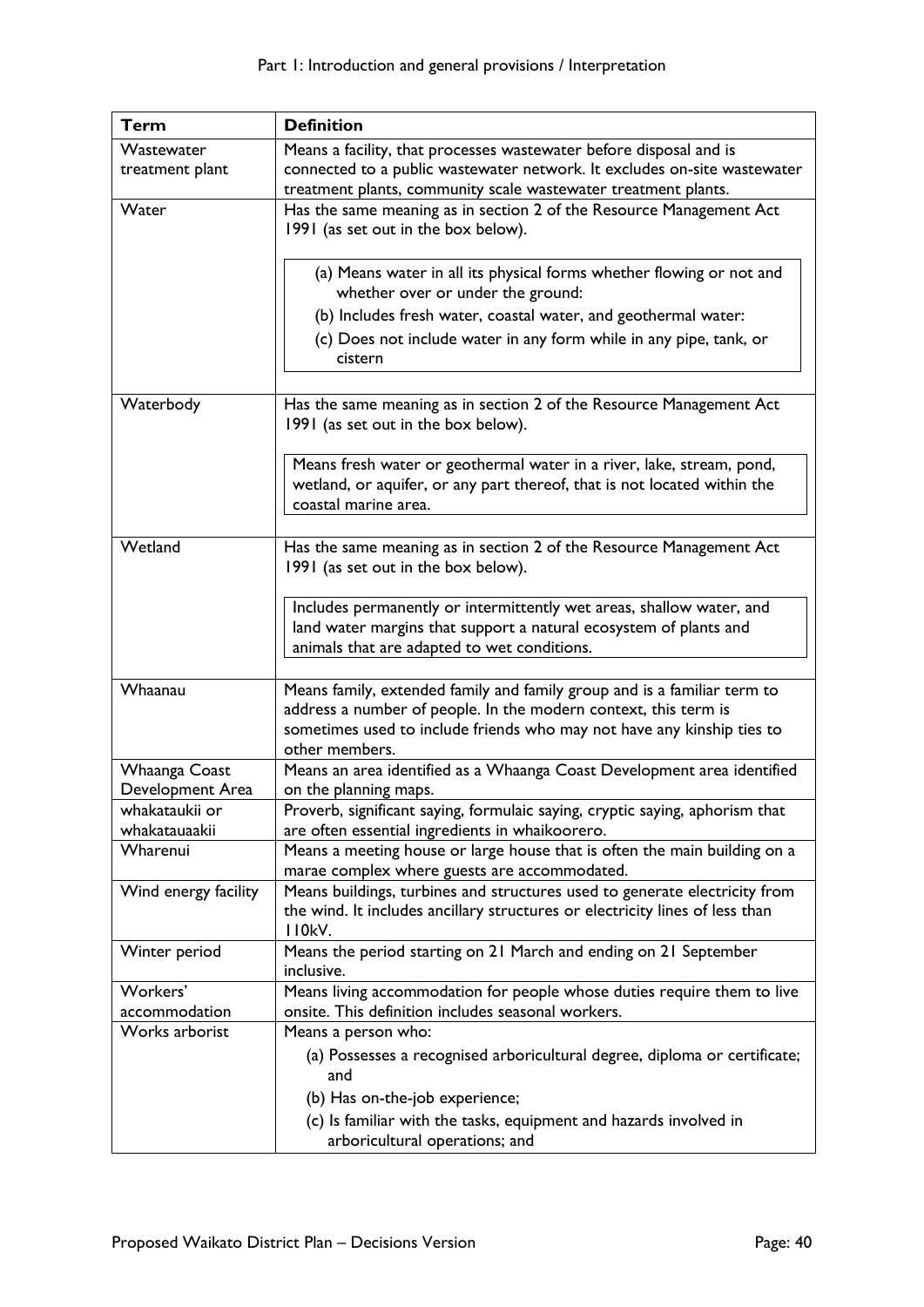| <b>Term</b>                       | <b>Definition</b>                                                                                                                                                                                                                       |
|-----------------------------------|-----------------------------------------------------------------------------------------------------------------------------------------------------------------------------------------------------------------------------------------|
| Wastewater                        | Means a facility, that processes wastewater before disposal and is                                                                                                                                                                      |
| treatment plant                   | connected to a public wastewater network. It excludes on-site wastewater                                                                                                                                                                |
|                                   | treatment plants, community scale wastewater treatment plants.                                                                                                                                                                          |
| Water                             | Has the same meaning as in section 2 of the Resource Management Act<br>1991 (as set out in the box below).                                                                                                                              |
|                                   | (a) Means water in all its physical forms whether flowing or not and<br>whether over or under the ground:                                                                                                                               |
|                                   | (b) Includes fresh water, coastal water, and geothermal water:                                                                                                                                                                          |
|                                   | (c) Does not include water in any form while in any pipe, tank, or<br>cistern                                                                                                                                                           |
| Waterbody                         | Has the same meaning as in section 2 of the Resource Management Act<br>1991 (as set out in the box below).                                                                                                                              |
|                                   | Means fresh water or geothermal water in a river, lake, stream, pond,<br>wetland, or aquifer, or any part thereof, that is not located within the<br>coastal marine area.                                                               |
| Wetland                           | Has the same meaning as in section 2 of the Resource Management Act<br>1991 (as set out in the box below).                                                                                                                              |
|                                   | Includes permanently or intermittently wet areas, shallow water, and<br>land water margins that support a natural ecosystem of plants and<br>animals that are adapted to wet conditions.                                                |
| Whaanau                           | Means family, extended family and family group and is a familiar term to<br>address a number of people. In the modern context, this term is<br>sometimes used to include friends who may not have any kinship ties to<br>other members. |
| Whaanga Coast<br>Development Area | Means an area identified as a Whaanga Coast Development area identified<br>on the planning maps.                                                                                                                                        |
| whakataukii or<br>whakatauaakii   | Proverb, significant saying, formulaic saying, cryptic saying, aphorism that<br>are often essential ingredients in whaikoorero.                                                                                                         |
| Wharenui                          | Means a meeting house or large house that is often the main building on a<br>marae complex where guests are accommodated.                                                                                                               |
| Wind energy facility              | Means buildings, turbines and structures used to generate electricity from<br>the wind. It includes ancillary structures or electricity lines of less than<br>I I OkV.                                                                  |
| Winter period                     | Means the period starting on 21 March and ending on 21 September<br>inclusive.                                                                                                                                                          |
| Workers'<br>accommodation         | Means living accommodation for people whose duties require them to live<br>onsite. This definition includes seasonal workers.                                                                                                           |
| Works arborist                    | Means a person who:                                                                                                                                                                                                                     |
|                                   | (a) Possesses a recognised arboricultural degree, diploma or certificate;<br>and                                                                                                                                                        |
|                                   | (b) Has on-the-job experience;                                                                                                                                                                                                          |
|                                   | (c) Is familiar with the tasks, equipment and hazards involved in<br>arboricultural operations; and                                                                                                                                     |